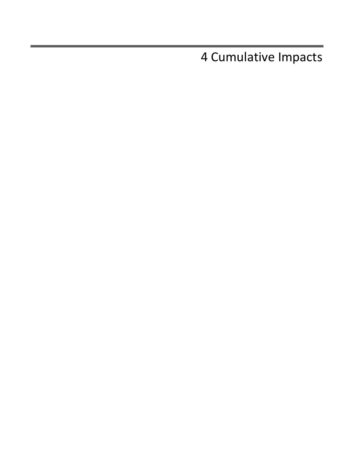4 Cumulative Impacts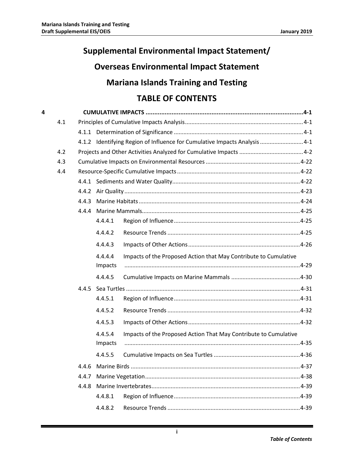# **Supplemental Environmental Impact Statement/**

# **Overseas Environmental Impact Statement**

# **Mariana Islands Training and Testing**

# **TABLE OF CONTENTS**

| 4 |     |       |         |                                                                            |          |
|---|-----|-------|---------|----------------------------------------------------------------------------|----------|
|   | 4.1 |       |         |                                                                            |          |
|   |     |       |         |                                                                            |          |
|   |     |       |         | 4.1.2 Identifying Region of Influence for Cumulative Impacts Analysis  4-1 |          |
|   | 4.2 |       |         |                                                                            |          |
|   | 4.3 |       |         |                                                                            |          |
|   | 4.4 |       |         |                                                                            |          |
|   |     |       |         |                                                                            |          |
|   |     | 4.4.2 |         |                                                                            |          |
|   |     | 4.4.3 |         |                                                                            |          |
|   |     | 4.4.4 |         |                                                                            |          |
|   |     |       | 4.4.4.1 |                                                                            |          |
|   |     |       | 4.4.4.2 |                                                                            |          |
|   |     |       | 4.4.4.3 |                                                                            |          |
|   |     |       | 4.4.4.4 | Impacts of the Proposed Action that May Contribute to Cumulative           |          |
|   |     |       | Impacts |                                                                            |          |
|   |     |       | 4.4.4.5 |                                                                            |          |
|   |     |       |         |                                                                            |          |
|   |     |       | 4.4.5.1 |                                                                            |          |
|   |     |       | 4.4.5.2 |                                                                            |          |
|   |     |       | 4.4.5.3 |                                                                            |          |
|   |     |       | 4.4.5.4 | Impacts of the Proposed Action That May Contribute to Cumulative           |          |
|   |     |       | Impacts |                                                                            |          |
|   |     |       | 4.4.5.5 |                                                                            |          |
|   |     |       |         |                                                                            | $4 - 37$ |
|   |     | 4.4.7 |         |                                                                            |          |
|   |     | 4.4.8 |         |                                                                            |          |
|   |     |       | 4.4.8.1 |                                                                            |          |
|   |     |       | 4.4.8.2 |                                                                            |          |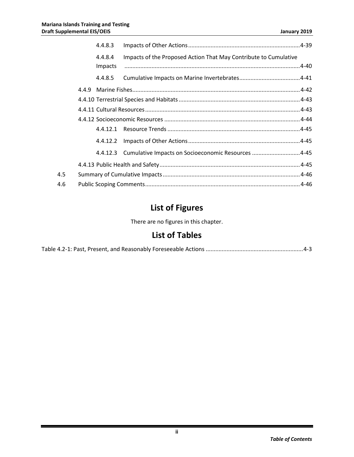|     | 4.4.8.3 |                                                                  |  |
|-----|---------|------------------------------------------------------------------|--|
|     | 4.4.8.4 | Impacts of the Proposed Action That May Contribute to Cumulative |  |
|     | Impacts |                                                                  |  |
|     | 4.4.8.5 |                                                                  |  |
|     |         |                                                                  |  |
|     |         |                                                                  |  |
|     |         |                                                                  |  |
|     |         |                                                                  |  |
|     |         |                                                                  |  |
|     |         |                                                                  |  |
|     |         | 4.4.12.3 Cumulative Impacts on Socioeconomic Resources 4-45      |  |
|     |         |                                                                  |  |
| 4.5 |         |                                                                  |  |
| 4.6 |         |                                                                  |  |

# **List of Figures**

There are no figures in this chapter.

# **List of Tables**

|--|--|--|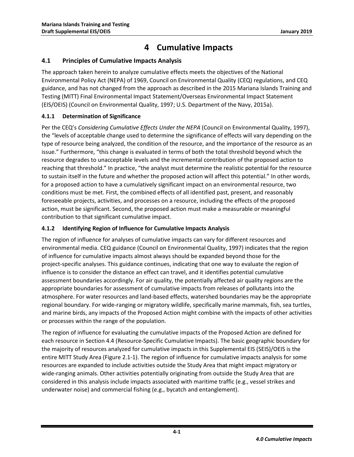# **4 Cumulative Impacts**

# <span id="page-4-1"></span><span id="page-4-0"></span>**4.1 Principles of Cumulative Impacts Analysis**

The approach taken herein to analyze cumulative effects meets the objectives of the National Environmental Policy Act (NEPA) of 1969, Council on Environmental Quality (CEQ) regulations, and CEQ guidance, and has not changed from the approach as described in the 2015 Mariana Islands Training and Testing (MITT) Final Environmental Impact Statement/Overseas Environmental Impact Statement (EIS/OEIS) [\(Council on Environmental Quality, 1997;](#page-54-0) [U.S. Department of the Navy, 2015a\)](#page-58-0).

## <span id="page-4-2"></span>**4.1.1 Determination of Significance**

Per the CEQ's *Considering Cumulative Effects Under the NEPA* [\(Council on Environmental Quality, 1997\)](#page-54-0), the "levels of acceptable change used to determine the significance of effects will vary depending on the type of resource being analyzed, the condition of the resource, and the importance of the resource as an issue." Furthermore, "this change is evaluated in terms of both the total threshold beyond which the resource degrades to unacceptable levels and the incremental contribution of the proposed action to reaching that threshold." In practice, "the analyst must determine the realistic potential for the resource to sustain itself in the future and whether the proposed action will affect this potential." In other words, for a proposed action to have a cumulatively significant impact on an environmental resource, two conditions must be met. First, the combined effects of all identified past, present, and reasonably foreseeable projects, activities, and processes on a resource, including the effects of the proposed action, must be significant. Second, the proposed action must make a measurable or meaningful contribution to that significant cumulative impact.

## <span id="page-4-3"></span>**4.1.2 Identifying Region of Influence for Cumulative Impacts Analysis**

The region of influence for analyses of cumulative impacts can vary for different resources and environmental media. CEQ guidance [\(Council on Environmental Quality, 1997\)](#page-54-0) indicates that the region of influence for cumulative impacts almost always should be expanded beyond those for the project-specific analyses. This guidance continues, indicating that one way to evaluate the region of influence is to consider the distance an effect can travel, and it identifies potential cumulative assessment boundaries accordingly. For air quality, the potentially affected air quality regions are the appropriate boundaries for assessment of cumulative impacts from releases of pollutants into the atmosphere. For water resources and land-based effects, watershed boundaries may be the appropriate regional boundary. For wide-ranging or migratory wildlife, specifically marine mammals, fish, sea turtles, and marine birds, any impacts of the Proposed Action might combine with the impacts of other activities or processes within the range of the population.

The region of influence for evaluating the cumulative impacts of the Proposed Action are defined for each resource in Section 4.4 (Resource-Specific Cumulative Impacts). The basic geographic boundary for the majority of resources analyzed for cumulative impacts in this Supplemental EIS (SEIS)/OEIS is the entire MITT Study Area (Figure 2.1-1). The region of influence for cumulative impacts analysis for some resources are expanded to include activities outside the Study Area that might impact migratory or wide-ranging animals. Other activities potentially originating from outside the Study Area that are considered in this analysis include impacts associated with maritime traffic (e.g., vessel strikes and underwater noise) and commercial fishing (e.g., bycatch and entanglement).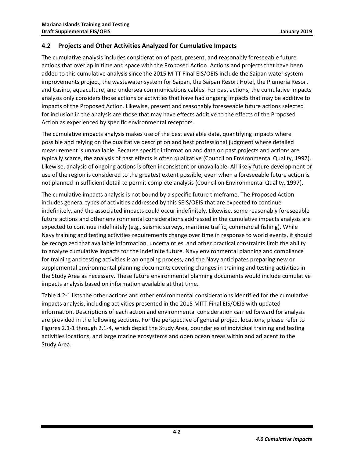## <span id="page-5-0"></span>**4.2 Projects and Other Activities Analyzed for Cumulative Impacts**

The cumulative analysis includes consideration of past, present, and reasonably foreseeable future actions that overlap in time and space with the Proposed Action. Actions and projects that have been added to this cumulative analysis since the 2015 MITT Final EIS/OEIS include the Saipan water system improvements project, the wastewater system for Saipan, the Saipan Resort Hotel, the Plumeria Resort and Casino, aquaculture, and undersea communications cables. For past actions, the cumulative impacts analysis only considers those actions or activities that have had ongoing impacts that may be additive to impacts of the Proposed Action. Likewise, present and reasonably foreseeable future actions selected for inclusion in the analysis are those that may have effects additive to the effects of the Proposed Action as experienced by specific environmental receptors.

The cumulative impacts analysis makes use of the best available data, quantifying impacts where possible and relying on the qualitative description and best professional judgment where detailed measurement is unavailable. Because specific information and data on past projects and actions are typically scarce, the analysis of past effects is often qualitative [\(Council on Environmental Quality, 1997\)](#page-54-0). Likewise, analysis of ongoing actions is often inconsistent or unavailable. All likely future development or use of the region is considered to the greatest extent possible, even when a foreseeable future action is not planned in sufficient detail to permit complete analysis [\(Council on Environmental Quality, 1997\)](#page-54-0).

The cumulative impacts analysis is not bound by a specific future timeframe. The Proposed Action includes general types of activities addressed by this SEIS/OEIS that are expected to continue indefinitely, and the associated impacts could occur indefinitely. Likewise, some reasonably foreseeable future actions and other environmental considerations addressed in the cumulative impacts analysis are expected to continue indefinitely (e.g., seismic surveys, maritime traffic, commercial fishing). While Navy training and testing activities requirements change over time in response to world events, it should be recognized that available information, uncertainties, and other practical constraints limit the ability to analyze cumulative impacts for the indefinite future. Navy environmental planning and compliance for training and testing activities is an ongoing process, and the Navy anticipates preparing new or supplemental environmental planning documents covering changes in training and testing activities in the Study Area as necessary. These future environmental planning documents would include cumulative impacts analysis based on information available at that time.

[Table 4.2-1](#page-6-0) lists the other actions and other environmental considerations identified for the cumulative impacts analysis, including activities presented in the 2015 MITT Final EIS/OEIS with updated information. Descriptions of each action and environmental consideration carried forward for analysis are provided in the following sections. For the perspective of general project locations, please refer to Figures 2.1-1 through 2.1-4, which depict the Study Area, boundaries of individual training and testing activities locations, and large marine ecosystems and open ocean areas within and adjacent to the Study Area.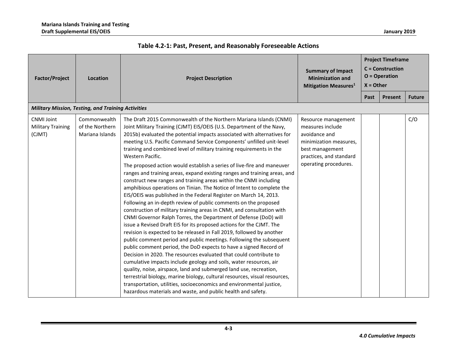<span id="page-6-0"></span>

| <b>Factor/Project</b>                                   | Location                                                  | <b>Project Description</b>                                                                                                                                                                                                                                                                                                                                                                                                                                                                                                                                                                                                                                                                                                                                                                                                                                                                                                                                                                                                                                                                                                                                                                                                                                                                                                                                                                                                                                                                                                                                                                                                                                                                                                 | <b>Summary of Impact</b><br><b>Minimization and</b><br><b>Mitigation Measures</b> <sup>1</sup>                                                            | <b>Project Timeframe</b><br><b>C</b> = Construction<br>$O = Operator$<br>$X = Other$ |         |               |
|---------------------------------------------------------|-----------------------------------------------------------|----------------------------------------------------------------------------------------------------------------------------------------------------------------------------------------------------------------------------------------------------------------------------------------------------------------------------------------------------------------------------------------------------------------------------------------------------------------------------------------------------------------------------------------------------------------------------------------------------------------------------------------------------------------------------------------------------------------------------------------------------------------------------------------------------------------------------------------------------------------------------------------------------------------------------------------------------------------------------------------------------------------------------------------------------------------------------------------------------------------------------------------------------------------------------------------------------------------------------------------------------------------------------------------------------------------------------------------------------------------------------------------------------------------------------------------------------------------------------------------------------------------------------------------------------------------------------------------------------------------------------------------------------------------------------------------------------------------------------|-----------------------------------------------------------------------------------------------------------------------------------------------------------|--------------------------------------------------------------------------------------|---------|---------------|
|                                                         |                                                           |                                                                                                                                                                                                                                                                                                                                                                                                                                                                                                                                                                                                                                                                                                                                                                                                                                                                                                                                                                                                                                                                                                                                                                                                                                                                                                                                                                                                                                                                                                                                                                                                                                                                                                                            |                                                                                                                                                           | Past                                                                                 | Present | <b>Future</b> |
|                                                         | <b>Military Mission, Testing, and Training Activities</b> |                                                                                                                                                                                                                                                                                                                                                                                                                                                                                                                                                                                                                                                                                                                                                                                                                                                                                                                                                                                                                                                                                                                                                                                                                                                                                                                                                                                                                                                                                                                                                                                                                                                                                                                            |                                                                                                                                                           |                                                                                      |         |               |
| <b>CNMI Joint</b><br><b>Military Training</b><br>(CJMT) | Commonwealth<br>of the Northern<br>Mariana Islands        | The Draft 2015 Commonwealth of the Northern Mariana Islands (CNMI)<br>Joint Military Training (CJMT) EIS/OEIS (U.S. Department of the Navy,<br>2015b) evaluated the potential impacts associated with alternatives for<br>meeting U.S. Pacific Command Service Components' unfilled unit-level<br>training and combined level of military training requirements in the<br>Western Pacific.<br>The proposed action would establish a series of live-fire and maneuver<br>ranges and training areas, expand existing ranges and training areas, and<br>construct new ranges and training areas within the CNMI including<br>amphibious operations on Tinian. The Notice of Intent to complete the<br>EIS/OEIS was published in the Federal Register on March 14, 2013.<br>Following an in-depth review of public comments on the proposed<br>construction of military training areas in CNMI, and consultation with<br>CNMI Governor Ralph Torres, the Department of Defense (DoD) will<br>issue a Revised Draft EIS for its proposed actions for the CJMT. The<br>revision is expected to be released in Fall 2019, followed by another<br>public comment period and public meetings. Following the subsequent<br>public comment period, the DoD expects to have a signed Record of<br>Decision in 2020. The resources evaluated that could contribute to<br>cumulative impacts include geology and soils, water resources, air<br>quality, noise, airspace, land and submerged land use, recreation,<br>terrestrial biology, marine biology, cultural resources, visual resources,<br>transportation, utilities, socioeconomics and environmental justice,<br>hazardous materials and waste, and public health and safety. | Resource management<br>measures include<br>avoidance and<br>minimization measures,<br>best management<br>practices, and standard<br>operating procedures. |                                                                                      |         | C/O           |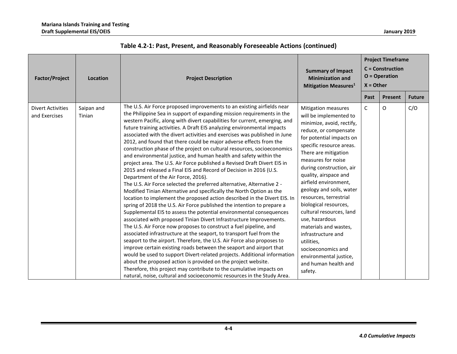| <b>Factor/Project</b>                     | Location             | <b>Project Description</b>                                                                                                                                                                                                                                                                                                                                                                                                                                                                                                                                                                                                                                                                                                                                                                                                                                                                                                                                                                                                                                                                                                                                                                                                                                                                                                                                                                                                                                                                                                                                                                                                                                                                                                                                                                                                                                | <b>Summary of Impact</b><br><b>Minimization and</b><br>Mitigation Measures <sup>1</sup>                                                                                                                                                                                                                                                                                                                                                                                                                                                                                     | <b>Project Timeframe</b><br><b>C</b> = Construction<br>$O = Operator$<br>$X =$ Other |         |               |  |
|-------------------------------------------|----------------------|-----------------------------------------------------------------------------------------------------------------------------------------------------------------------------------------------------------------------------------------------------------------------------------------------------------------------------------------------------------------------------------------------------------------------------------------------------------------------------------------------------------------------------------------------------------------------------------------------------------------------------------------------------------------------------------------------------------------------------------------------------------------------------------------------------------------------------------------------------------------------------------------------------------------------------------------------------------------------------------------------------------------------------------------------------------------------------------------------------------------------------------------------------------------------------------------------------------------------------------------------------------------------------------------------------------------------------------------------------------------------------------------------------------------------------------------------------------------------------------------------------------------------------------------------------------------------------------------------------------------------------------------------------------------------------------------------------------------------------------------------------------------------------------------------------------------------------------------------------------|-----------------------------------------------------------------------------------------------------------------------------------------------------------------------------------------------------------------------------------------------------------------------------------------------------------------------------------------------------------------------------------------------------------------------------------------------------------------------------------------------------------------------------------------------------------------------------|--------------------------------------------------------------------------------------|---------|---------------|--|
|                                           |                      |                                                                                                                                                                                                                                                                                                                                                                                                                                                                                                                                                                                                                                                                                                                                                                                                                                                                                                                                                                                                                                                                                                                                                                                                                                                                                                                                                                                                                                                                                                                                                                                                                                                                                                                                                                                                                                                           |                                                                                                                                                                                                                                                                                                                                                                                                                                                                                                                                                                             | Past                                                                                 | Present | <b>Future</b> |  |
| <b>Divert Activities</b><br>and Exercises | Saipan and<br>Tinian | The U.S. Air Force proposed improvements to an existing airfields near<br>the Philippine Sea in support of expanding mission requirements in the<br>western Pacific, along with divert capabilities for current, emerging, and<br>future training activities. A Draft EIS analyzing environmental impacts<br>associated with the divert activities and exercises was published in June<br>2012, and found that there could be major adverse effects from the<br>construction phase of the project on cultural resources, socioeconomics<br>and environmental justice, and human health and safety within the<br>project area. The U.S. Air Force published a Revised Draft Divert EIS in<br>2015 and released a Final EIS and Record of Decision in 2016 (U.S.<br>Department of the Air Force, 2016).<br>The U.S. Air Force selected the preferred alternative, Alternative 2 -<br>Modified Tinian Alternative and specifically the North Option as the<br>location to implement the proposed action described in the Divert EIS. In<br>spring of 2018 the U.S. Air Force published the intention to prepare a<br>Supplemental EIS to assess the potential environmental consequences<br>associated with proposed Tinian Divert Infrastructure Improvements.<br>The U.S. Air Force now proposes to construct a fuel pipeline, and<br>associated infrastructure at the seaport, to transport fuel from the<br>seaport to the airport. Therefore, the U.S. Air Force also proposes to<br>improve certain existing roads between the seaport and airport that<br>would be used to support Divert-related projects. Additional information<br>about the proposed action is provided on the project website.<br>Therefore, this project may contribute to the cumulative impacts on<br>natural, noise, cultural and socioeconomic resources in the Study Area. | <b>Mitigation measures</b><br>will be implemented to<br>minimize, avoid, rectify,<br>reduce, or compensate<br>for potential impacts on<br>specific resource areas.<br>There are mitigation<br>measures for noise<br>during construction, air<br>quality, airspace and<br>airfield environment,<br>geology and soils, water<br>resources, terrestrial<br>biological resources,<br>cultural resources, land<br>use, hazardous<br>materials and wastes,<br>infrastructure and<br>utilities,<br>socioeconomics and<br>environmental justice,<br>and human health and<br>safety. | C                                                                                    | O       | C/O           |  |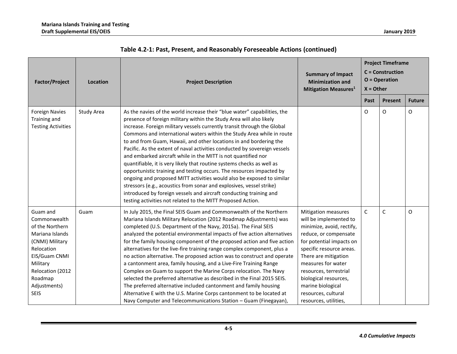| <b>Factor/Project</b>                                                                                                                                                                      | Location   | <b>Project Description</b>                                                                                                                                                                                                                                                                                                                                                                                                                                                                                                                                                                                                                                                                                                                                                                                                                                                                                                                                      | <b>Summary of Impact</b><br><b>Minimization and</b><br><b>Mitigation Measures</b> <sup>1</sup>                                                                                                                                                                                                                                    | <b>Project Timeframe</b><br><b>C</b> = Construction<br>$O = Operator$<br>$X = Other$ |              |               |
|--------------------------------------------------------------------------------------------------------------------------------------------------------------------------------------------|------------|-----------------------------------------------------------------------------------------------------------------------------------------------------------------------------------------------------------------------------------------------------------------------------------------------------------------------------------------------------------------------------------------------------------------------------------------------------------------------------------------------------------------------------------------------------------------------------------------------------------------------------------------------------------------------------------------------------------------------------------------------------------------------------------------------------------------------------------------------------------------------------------------------------------------------------------------------------------------|-----------------------------------------------------------------------------------------------------------------------------------------------------------------------------------------------------------------------------------------------------------------------------------------------------------------------------------|--------------------------------------------------------------------------------------|--------------|---------------|
|                                                                                                                                                                                            |            |                                                                                                                                                                                                                                                                                                                                                                                                                                                                                                                                                                                                                                                                                                                                                                                                                                                                                                                                                                 |                                                                                                                                                                                                                                                                                                                                   | Past                                                                                 | Present      | <b>Future</b> |
| <b>Foreign Navies</b><br>Training and<br><b>Testing Activities</b>                                                                                                                         | Study Area | As the navies of the world increase their "blue water" capabilities, the<br>presence of foreign military within the Study Area will also likely<br>increase. Foreign military vessels currently transit through the Global<br>Commons and international waters within the Study Area while in route<br>to and from Guam, Hawaii, and other locations in and bordering the<br>Pacific. As the extent of naval activities conducted by sovereign vessels<br>and embarked aircraft while in the MITT is not quantified nor<br>quantifiable, it is very likely that routine systems checks as well as<br>opportunistic training and testing occurs. The resources impacted by<br>ongoing and proposed MITT activities would also be exposed to similar<br>stressors (e.g., acoustics from sonar and explosives, vessel strike)<br>introduced by foreign vessels and aircraft conducting training and<br>testing activities not related to the MITT Proposed Action. |                                                                                                                                                                                                                                                                                                                                   | O                                                                                    | O            | O             |
| Guam and<br>Commonwealth<br>of the Northern<br>Mariana Islands<br>(CNMI) Military<br>Relocation<br>EIS/Guam CNMI<br>Military<br>Relocation (2012<br>Roadmap<br>Adjustments)<br><b>SEIS</b> | Guam       | In July 2015, the Final SEIS Guam and Commonwealth of the Northern<br>Mariana Islands Military Relocation (2012 Roadmap Adjustments) was<br>completed (U.S. Department of the Navy, 2015a). The Final SEIS<br>analyzed the potential environmental impacts of five action alternatives<br>for the family housing component of the proposed action and five action<br>alternatives for the live-fire training range complex component, plus a<br>no action alternative. The proposed action was to construct and operate<br>a cantonment area, family housing, and a Live-Fire Training Range<br>Complex on Guam to support the Marine Corps relocation. The Navy<br>selected the preferred alternative as described in the Final 2015 SEIS.<br>The preferred alternative included cantonment and family housing<br>Alternative E with the U.S. Marine Corps cantonment to be located at<br>Navy Computer and Telecommunications Station - Guam (Finegayan),     | Mitigation measures<br>will be implemented to<br>minimize, avoid, rectify,<br>reduce, or compensate<br>for potential impacts on<br>specific resource areas.<br>There are mitigation<br>measures for water<br>resources, terrestrial<br>biological resources,<br>marine biological<br>resources, cultural<br>resources, utilities, | $\mathsf{C}$                                                                         | $\mathsf{C}$ | O             |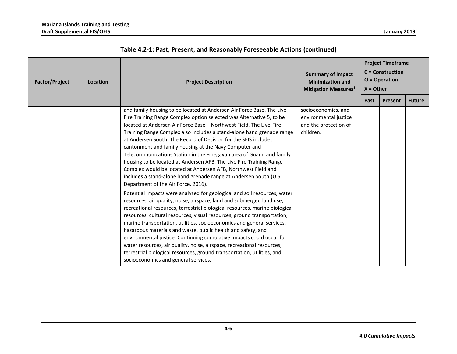| <b>Factor/Project</b> | Location | <b>Project Description</b>                                                                                                                                                                                                                                                                                                                                                                                                                                                                                                                                                                                                                                                                                                                              | <b>Summary of Impact</b><br><b>Minimization and</b><br>Mitigation Measures <sup>1</sup> | <b>Project Timeframe</b><br>$C =$ Construction<br>$O = Operator$<br>$X = Other$ |         |               |
|-----------------------|----------|---------------------------------------------------------------------------------------------------------------------------------------------------------------------------------------------------------------------------------------------------------------------------------------------------------------------------------------------------------------------------------------------------------------------------------------------------------------------------------------------------------------------------------------------------------------------------------------------------------------------------------------------------------------------------------------------------------------------------------------------------------|-----------------------------------------------------------------------------------------|---------------------------------------------------------------------------------|---------|---------------|
|                       |          |                                                                                                                                                                                                                                                                                                                                                                                                                                                                                                                                                                                                                                                                                                                                                         |                                                                                         | Past                                                                            | Present | <b>Future</b> |
|                       |          | and family housing to be located at Andersen Air Force Base. The Live-<br>Fire Training Range Complex option selected was Alternative 5, to be<br>located at Andersen Air Force Base – Northwest Field. The Live-Fire<br>Training Range Complex also includes a stand-alone hand grenade range<br>at Andersen South. The Record of Decision for the SEIS includes<br>cantonment and family housing at the Navy Computer and<br>Telecommunications Station in the Finegayan area of Guam, and family<br>housing to be located at Andersen AFB. The Live Fire Training Range<br>Complex would be located at Andersen AFB, Northwest Field and<br>includes a stand-alone hand grenade range at Andersen South (U.S.<br>Department of the Air Force, 2016). | socioeconomics, and<br>environmental justice<br>and the protection of<br>children.      |                                                                                 |         |               |
|                       |          | Potential impacts were analyzed for geological and soil resources, water<br>resources, air quality, noise, airspace, land and submerged land use,<br>recreational resources, terrestrial biological resources, marine biological<br>resources, cultural resources, visual resources, ground transportation,<br>marine transportation, utilities, socioeconomics and general services,<br>hazardous materials and waste, public health and safety, and<br>environmental justice. Continuing cumulative impacts could occur for<br>water resources, air quality, noise, airspace, recreational resources,<br>terrestrial biological resources, ground transportation, utilities, and<br>socioeconomics and general services.                              |                                                                                         |                                                                                 |         |               |

| Table 4.2-1: Past, Present, and Reasonably Foreseeable Actions (continued) |  |  |  |  |  |
|----------------------------------------------------------------------------|--|--|--|--|--|
|----------------------------------------------------------------------------|--|--|--|--|--|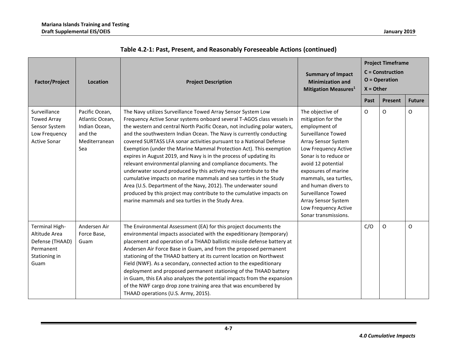| <b>Factor/Project</b>                                                                           | Location                                                                              | <b>Project Description</b>                                                                                                                                                                                                                                                                                                                                                                                                                                                                                                                                                                                                                                                                                                                                                                                                                                                                                            | <b>Summary of Impact</b><br><b>Minimization and</b><br><b>Mitigation Measures1</b>                                                                                                                                                                                                                                                                            | <b>Project Timeframe</b><br><b>C</b> = Construction<br>$O = Operator$<br>$X =$ Other |          |               |
|-------------------------------------------------------------------------------------------------|---------------------------------------------------------------------------------------|-----------------------------------------------------------------------------------------------------------------------------------------------------------------------------------------------------------------------------------------------------------------------------------------------------------------------------------------------------------------------------------------------------------------------------------------------------------------------------------------------------------------------------------------------------------------------------------------------------------------------------------------------------------------------------------------------------------------------------------------------------------------------------------------------------------------------------------------------------------------------------------------------------------------------|---------------------------------------------------------------------------------------------------------------------------------------------------------------------------------------------------------------------------------------------------------------------------------------------------------------------------------------------------------------|--------------------------------------------------------------------------------------|----------|---------------|
|                                                                                                 |                                                                                       |                                                                                                                                                                                                                                                                                                                                                                                                                                                                                                                                                                                                                                                                                                                                                                                                                                                                                                                       |                                                                                                                                                                                                                                                                                                                                                               | Past                                                                                 | Present  | <b>Future</b> |
| Surveillance<br><b>Towed Array</b><br>Sensor System<br>Low Frequency<br><b>Active Sonar</b>     | Pacific Ocean,<br>Atlantic Ocean,<br>Indian Ocean,<br>and the<br>Mediterranean<br>Sea | The Navy utilizes Surveillance Towed Array Sensor System Low<br>Frequency Active Sonar systems onboard several T-AGOS class vessels in<br>the western and central North Pacific Ocean, not including polar waters,<br>and the southwestern Indian Ocean. The Navy is currently conducting<br>covered SURTASS LFA sonar activities pursuant to a National Defense<br>Exemption (under the Marine Mammal Protection Act). This exemption<br>expires in August 2019, and Navy is in the process of updating its<br>relevant environmental planning and compliance documents. The<br>underwater sound produced by this activity may contribute to the<br>cumulative impacts on marine mammals and sea turtles in the Study<br>Area (U.S. Department of the Navy, 2012). The underwater sound<br>produced by this project may contribute to the cumulative impacts on<br>marine mammals and sea turtles in the Study Area. | The objective of<br>mitigation for the<br>employment of<br><b>Surveillance Towed</b><br>Array Sensor System<br>Low Frequency Active<br>Sonar is to reduce or<br>avoid 12 potential<br>exposures of marine<br>mammals, sea turtles,<br>and human divers to<br><b>Surveillance Towed</b><br>Array Sensor System<br>Low Frequency Active<br>Sonar transmissions. | O                                                                                    | $\Omega$ | $\mathsf O$   |
| <b>Terminal High-</b><br>Altitude Area<br>Defense (THAAD)<br>Permanent<br>Stationing in<br>Guam | Andersen Air<br>Force Base,<br>Guam                                                   | The Environmental Assessment (EA) for this project documents the<br>environmental impacts associated with the expeditionary (temporary)<br>placement and operation of a THAAD ballistic missile defense battery at<br>Andersen Air Force Base in Guam, and from the proposed permanent<br>stationing of the THAAD battery at its current location on Northwest<br>Field (NWF). As a secondary, connected action to the expeditionary<br>deployment and proposed permanent stationing of the THAAD battery<br>in Guam, this EA also analyzes the potential impacts from the expansion<br>of the NWF cargo drop zone training area that was encumbered by<br>THAAD operations (U.S. Army, 2015).                                                                                                                                                                                                                        |                                                                                                                                                                                                                                                                                                                                                               | C/O                                                                                  | O        | O             |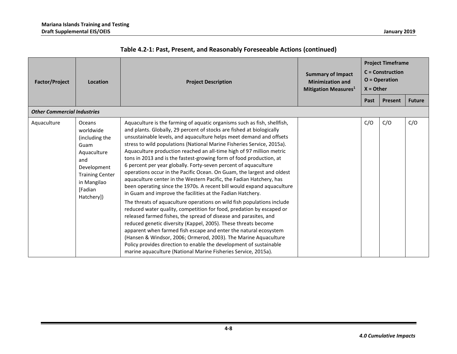| <b>Factor/Project</b>              | Location                                                                                                                                             | <b>Project Description</b>                                                                                                                                                                                                                                                                                                                                                                                                                                                                                                                                                                                                                                                                                                                                                                                                                                                                                                                                                                                                                                                                                                                                                                                                                                                                                                                                                           | <b>Summary of Impact</b><br><b>Minimization and</b><br>Mitigation Measures <sup>1</sup> | <b>Project Timeframe</b><br>$C =$ Construction<br>$O = Operator$<br>$X =$ Other |         |               |
|------------------------------------|------------------------------------------------------------------------------------------------------------------------------------------------------|--------------------------------------------------------------------------------------------------------------------------------------------------------------------------------------------------------------------------------------------------------------------------------------------------------------------------------------------------------------------------------------------------------------------------------------------------------------------------------------------------------------------------------------------------------------------------------------------------------------------------------------------------------------------------------------------------------------------------------------------------------------------------------------------------------------------------------------------------------------------------------------------------------------------------------------------------------------------------------------------------------------------------------------------------------------------------------------------------------------------------------------------------------------------------------------------------------------------------------------------------------------------------------------------------------------------------------------------------------------------------------------|-----------------------------------------------------------------------------------------|---------------------------------------------------------------------------------|---------|---------------|
|                                    |                                                                                                                                                      |                                                                                                                                                                                                                                                                                                                                                                                                                                                                                                                                                                                                                                                                                                                                                                                                                                                                                                                                                                                                                                                                                                                                                                                                                                                                                                                                                                                      |                                                                                         | Past                                                                            | Present | <b>Future</b> |
| <b>Other Commercial Industries</b> |                                                                                                                                                      |                                                                                                                                                                                                                                                                                                                                                                                                                                                                                                                                                                                                                                                                                                                                                                                                                                                                                                                                                                                                                                                                                                                                                                                                                                                                                                                                                                                      |                                                                                         |                                                                                 |         |               |
| Aquaculture                        | Oceans<br>worldwide<br>(including the<br>Guam<br>Aquaculture<br>and<br>Development<br><b>Training Center</b><br>in Mangilao<br>[Fadian<br>Hatchery]) | Aquaculture is the farming of aquatic organisms such as fish, shellfish,<br>and plants. Globally, 29 percent of stocks are fished at biologically<br>unsustainable levels, and aquaculture helps meet demand and offsets<br>stress to wild populations (National Marine Fisheries Service, 2015a).<br>Aquaculture production reached an all-time high of 97 million metric<br>tons in 2013 and is the fastest-growing form of food production, at<br>6 percent per year globally. Forty-seven percent of aquaculture<br>operations occur in the Pacific Ocean. On Guam, the largest and oldest<br>aquaculture center in the Western Pacific, the Fadian Hatchery, has<br>been operating since the 1970s. A recent bill would expand aquaculture<br>in Guam and improve the facilities at the Fadian Hatchery.<br>The threats of aquaculture operations on wild fish populations include<br>reduced water quality, competition for food, predation by escaped or<br>released farmed fishes, the spread of disease and parasites, and<br>reduced genetic diversity (Kappel, 2005). These threats become<br>apparent when farmed fish escape and enter the natural ecosystem<br>(Hansen & Windsor, 2006; Ormerod, 2003). The Marine Aquaculture<br>Policy provides direction to enable the development of sustainable<br>marine aquaculture (National Marine Fisheries Service, 2015a). |                                                                                         | C/O                                                                             | C/O     | C/O           |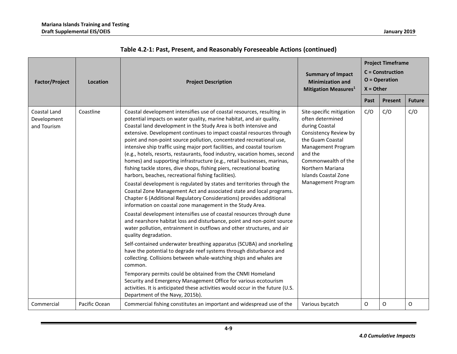| <b>Factor/Project</b>                      | <b>Location</b> | <b>Project Description</b>                                                                                                                                                                                                                                                                                                                                                                                                                                                                                                                                                                                                                                                                                                                                                                                                                                                                                                                                                                                                                                                                                                                                                                                                                                                                                                                                                                                                                                                                                                                                                                                                                                                                                                                                               | <b>Summary of Impact</b><br><b>Minimization and</b><br><b>Mitigation Measures1</b>                                                                                                                                                           | <b>Project Timeframe</b><br><b>C</b> = Construction<br>$O = Operator$<br>$X = Other$ |         |               |  |
|--------------------------------------------|-----------------|--------------------------------------------------------------------------------------------------------------------------------------------------------------------------------------------------------------------------------------------------------------------------------------------------------------------------------------------------------------------------------------------------------------------------------------------------------------------------------------------------------------------------------------------------------------------------------------------------------------------------------------------------------------------------------------------------------------------------------------------------------------------------------------------------------------------------------------------------------------------------------------------------------------------------------------------------------------------------------------------------------------------------------------------------------------------------------------------------------------------------------------------------------------------------------------------------------------------------------------------------------------------------------------------------------------------------------------------------------------------------------------------------------------------------------------------------------------------------------------------------------------------------------------------------------------------------------------------------------------------------------------------------------------------------------------------------------------------------------------------------------------------------|----------------------------------------------------------------------------------------------------------------------------------------------------------------------------------------------------------------------------------------------|--------------------------------------------------------------------------------------|---------|---------------|--|
|                                            |                 |                                                                                                                                                                                                                                                                                                                                                                                                                                                                                                                                                                                                                                                                                                                                                                                                                                                                                                                                                                                                                                                                                                                                                                                                                                                                                                                                                                                                                                                                                                                                                                                                                                                                                                                                                                          |                                                                                                                                                                                                                                              | Past                                                                                 | Present | <b>Future</b> |  |
| Coastal Land<br>Development<br>and Tourism | Coastline       | Coastal development intensifies use of coastal resources, resulting in<br>potential impacts on water quality, marine habitat, and air quality.<br>Coastal land development in the Study Area is both intensive and<br>extensive. Development continues to impact coastal resources through<br>point and non-point source pollution, concentrated recreational use,<br>intensive ship traffic using major port facilities, and coastal tourism<br>(e.g., hotels, resorts, restaurants, food industry, vacation homes, second<br>homes) and supporting infrastructure (e.g., retail businesses, marinas,<br>fishing tackle stores, dive shops, fishing piers, recreational boating<br>harbors, beaches, recreational fishing facilities).<br>Coastal development is regulated by states and territories through the<br>Coastal Zone Management Act and associated state and local programs.<br>Chapter 6 (Additional Regulatory Considerations) provides additional<br>information on coastal zone management in the Study Area.<br>Coastal development intensifies use of coastal resources through dune<br>and nearshore habitat loss and disturbance, point and non-point source<br>water pollution, entrainment in outflows and other structures, and air<br>quality degradation.<br>Self-contained underwater breathing apparatus (SCUBA) and snorkeling<br>have the potential to degrade reef systems through disturbance and<br>collecting. Collisions between whale-watching ships and whales are<br>common.<br>Temporary permits could be obtained from the CNMI Homeland<br>Security and Emergency Management Office for various ecotourism<br>activities. It is anticipated these activities would occur in the future (U.S.<br>Department of the Navy, 2015b). | Site-specific mitigation<br>often determined<br>during Coastal<br>Consistency Review by<br>the Guam Coastal<br>Management Program<br>and the<br>Commonwealth of the<br>Northern Mariana<br><b>Islands Coastal Zone</b><br>Management Program | C/O                                                                                  | C/O     | C/O           |  |
| Commercial                                 | Pacific Ocean   | Commercial fishing constitutes an important and widespread use of the                                                                                                                                                                                                                                                                                                                                                                                                                                                                                                                                                                                                                                                                                                                                                                                                                                                                                                                                                                                                                                                                                                                                                                                                                                                                                                                                                                                                                                                                                                                                                                                                                                                                                                    | Various bycatch                                                                                                                                                                                                                              | O                                                                                    | O       | O             |  |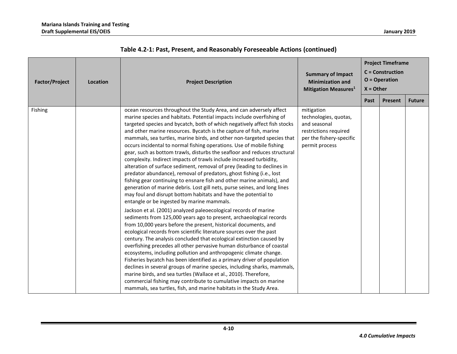| <b>Factor/Project</b> | Location | <b>Project Timeframe</b><br>$C =$ Construction<br><b>Summary of Impact</b><br>$O = Operator$<br><b>Minimization and</b><br><b>Project Description</b><br>$X =$ Other<br><b>Mitigation Measures1</b>                                                                                                                                                                                                                                                                                                                                                                                                                                                                                                                                                                                                                                                                                                                                                                                                                                                                                                                                                                                                                                                                                                                                                                                                                                                                                                                                                                                                                                                                                                                                                                                                                                                                                                                |                                                                                                                            |      |         |               |
|-----------------------|----------|--------------------------------------------------------------------------------------------------------------------------------------------------------------------------------------------------------------------------------------------------------------------------------------------------------------------------------------------------------------------------------------------------------------------------------------------------------------------------------------------------------------------------------------------------------------------------------------------------------------------------------------------------------------------------------------------------------------------------------------------------------------------------------------------------------------------------------------------------------------------------------------------------------------------------------------------------------------------------------------------------------------------------------------------------------------------------------------------------------------------------------------------------------------------------------------------------------------------------------------------------------------------------------------------------------------------------------------------------------------------------------------------------------------------------------------------------------------------------------------------------------------------------------------------------------------------------------------------------------------------------------------------------------------------------------------------------------------------------------------------------------------------------------------------------------------------------------------------------------------------------------------------------------------------|----------------------------------------------------------------------------------------------------------------------------|------|---------|---------------|
|                       |          |                                                                                                                                                                                                                                                                                                                                                                                                                                                                                                                                                                                                                                                                                                                                                                                                                                                                                                                                                                                                                                                                                                                                                                                                                                                                                                                                                                                                                                                                                                                                                                                                                                                                                                                                                                                                                                                                                                                    |                                                                                                                            | Past | Present | <b>Future</b> |
| Fishing               |          | ocean resources throughout the Study Area, and can adversely affect<br>marine species and habitats. Potential impacts include overfishing of<br>targeted species and bycatch, both of which negatively affect fish stocks<br>and other marine resources. Bycatch is the capture of fish, marine<br>mammals, sea turtles, marine birds, and other non-targeted species that<br>occurs incidental to normal fishing operations. Use of mobile fishing<br>gear, such as bottom trawls, disturbs the seafloor and reduces structural<br>complexity. Indirect impacts of trawls include increased turbidity,<br>alteration of surface sediment, removal of prey (leading to declines in<br>predator abundance), removal of predators, ghost fishing (i.e., lost<br>fishing gear continuing to ensnare fish and other marine animals), and<br>generation of marine debris. Lost gill nets, purse seines, and long lines<br>may foul and disrupt bottom habitats and have the potential to<br>entangle or be ingested by marine mammals.<br>Jackson et al. (2001) analyzed paleoecological records of marine<br>sediments from 125,000 years ago to present, archaeological records<br>from 10,000 years before the present, historical documents, and<br>ecological records from scientific literature sources over the past<br>century. The analysis concluded that ecological extinction caused by<br>overfishing precedes all other pervasive human disturbance of coastal<br>ecosystems, including pollution and anthropogenic climate change.<br>Fisheries bycatch has been identified as a primary driver of population<br>declines in several groups of marine species, including sharks, mammals,<br>marine birds, and sea turtles (Wallace et al., 2010). Therefore,<br>commercial fishing may contribute to cumulative impacts on marine<br>mammals, sea turtles, fish, and marine habitats in the Study Area. | mitigation<br>technologies, quotas,<br>and seasonal<br>restrictions required<br>per the fishery-specific<br>permit process |      |         |               |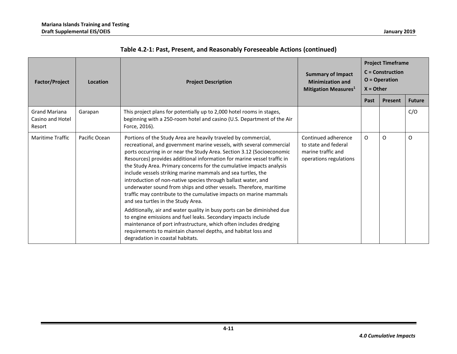| <b>Factor/Project</b>                              | Location      | <b>Project Description</b>                                                                                                                                                                                                                                                                                                                                                                                                                                                                                                                                                                                                                                                                                                                                                                                                                                                                                                                                                                                   | <b>Summary of Impact</b><br><b>Minimization and</b><br><b>Mitigation Measures</b> <sup>1</sup> | <b>Project Timeframe</b><br>$C =$ Construction<br>$O = Operator$<br>$X = Other$ |         |               |
|----------------------------------------------------|---------------|--------------------------------------------------------------------------------------------------------------------------------------------------------------------------------------------------------------------------------------------------------------------------------------------------------------------------------------------------------------------------------------------------------------------------------------------------------------------------------------------------------------------------------------------------------------------------------------------------------------------------------------------------------------------------------------------------------------------------------------------------------------------------------------------------------------------------------------------------------------------------------------------------------------------------------------------------------------------------------------------------------------|------------------------------------------------------------------------------------------------|---------------------------------------------------------------------------------|---------|---------------|
|                                                    |               |                                                                                                                                                                                                                                                                                                                                                                                                                                                                                                                                                                                                                                                                                                                                                                                                                                                                                                                                                                                                              |                                                                                                | Past                                                                            | Present | <b>Future</b> |
| <b>Grand Mariana</b><br>Casino and Hotel<br>Resort | Garapan       | This project plans for potentially up to 2,000 hotel rooms in stages,<br>beginning with a 250-room hotel and casino (U.S. Department of the Air<br>Force, 2016).                                                                                                                                                                                                                                                                                                                                                                                                                                                                                                                                                                                                                                                                                                                                                                                                                                             |                                                                                                |                                                                                 |         | C/O           |
| <b>Maritime Traffic</b>                            | Pacific Ocean | Portions of the Study Area are heavily traveled by commercial,<br>recreational, and government marine vessels, with several commercial<br>ports occurring in or near the Study Area. Section 3.12 (Socioeconomic<br>Resources) provides additional information for marine vessel traffic in<br>the Study Area. Primary concerns for the cumulative impacts analysis<br>include vessels striking marine mammals and sea turtles, the<br>introduction of non-native species through ballast water, and<br>underwater sound from ships and other vessels. Therefore, maritime<br>traffic may contribute to the cumulative impacts on marine mammals<br>and sea turtles in the Study Area.<br>Additionally, air and water quality in busy ports can be diminished due<br>to engine emissions and fuel leaks. Secondary impacts include<br>maintenance of port infrastructure, which often includes dredging<br>requirements to maintain channel depths, and habitat loss and<br>degradation in coastal habitats. | Continued adherence<br>to state and federal<br>marine traffic and<br>operations regulations    | O                                                                               | O       | $\circ$       |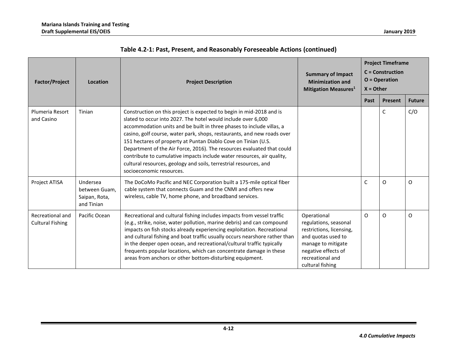| <b>Factor/Project</b>                       | Location                                                 | <b>Project Description</b>                                                                                                                                                                                                                                                                                                                                                                                                                                                                                                                                                                                       | <b>Summary of Impact</b><br><b>Minimization and</b><br><b>Mitigation Measures</b> <sup>1</sup>                                                                              | <b>Project Timeframe</b><br>$C =$ Construction<br>$O = Operator$<br>$X =$ Other |                |               |
|---------------------------------------------|----------------------------------------------------------|------------------------------------------------------------------------------------------------------------------------------------------------------------------------------------------------------------------------------------------------------------------------------------------------------------------------------------------------------------------------------------------------------------------------------------------------------------------------------------------------------------------------------------------------------------------------------------------------------------------|-----------------------------------------------------------------------------------------------------------------------------------------------------------------------------|---------------------------------------------------------------------------------|----------------|---------------|
|                                             |                                                          |                                                                                                                                                                                                                                                                                                                                                                                                                                                                                                                                                                                                                  |                                                                                                                                                                             | Past                                                                            | <b>Present</b> | <b>Future</b> |
| Plumeria Resort<br>and Casino               | Tinian                                                   | Construction on this project is expected to begin in mid-2018 and is<br>slated to occur into 2027. The hotel would include over 6,000<br>accommodation units and be built in three phases to include villas, a<br>casino, golf course, water park, shops, restaurants, and new roads over<br>151 hectares of property at Puntan Diablo Cove on Tinian (U.S.<br>Department of the Air Force, 2016). The resources evaluated that could<br>contribute to cumulative impacts include water resources, air quality,<br>cultural resources, geology and soils, terrestrial resources, and<br>socioeconomic resources. |                                                                                                                                                                             |                                                                                 | C              | C/O           |
| Project ATISA                               | Undersea<br>between Guam.<br>Saipan, Rota,<br>and Tinian | The DoCoMo Pacific and NEC Corporation built a 175-mile optical fiber<br>cable system that connects Guam and the CNMI and offers new<br>wireless, cable TV, home phone, and broadband services.                                                                                                                                                                                                                                                                                                                                                                                                                  |                                                                                                                                                                             | $\mathsf{C}$                                                                    | O              | $\Omega$      |
| Recreational and<br><b>Cultural Fishing</b> | Pacific Ocean                                            | Recreational and cultural fishing includes impacts from vessel traffic<br>(e.g., strike, noise, water pollution, marine debris) and can compound<br>impacts on fish stocks already experiencing exploitation. Recreational<br>and cultural fishing and boat traffic usually occurs nearshore rather than<br>in the deeper open ocean, and recreational/cultural traffic typically<br>frequents popular locations, which can concentrate damage in these<br>areas from anchors or other bottom-disturbing equipment.                                                                                              | Operational<br>regulations, seasonal<br>restrictions, licensing,<br>and quotas used to<br>manage to mitigate<br>negative effects of<br>recreational and<br>cultural fishing | $\Omega$                                                                        | O              | $\Omega$      |

| Table 4.2-1: Past, Present, and Reasonably Foreseeable Actions (continued) |  |  |  |  |  |
|----------------------------------------------------------------------------|--|--|--|--|--|
|----------------------------------------------------------------------------|--|--|--|--|--|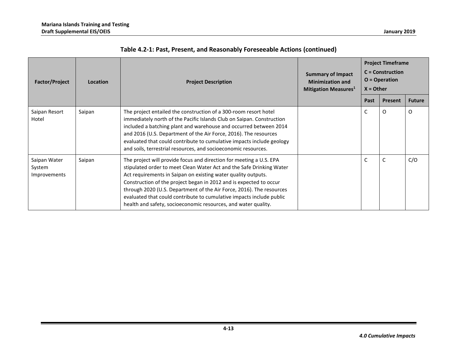| <b>Factor/Project</b>                  | Location | <b>Project Description</b>                                                                                                                                                                                                                                                                                                                                                                                                                                                                           | <b>Summary of Impact</b><br><b>Minimization and</b><br><b>Mitigation Measures</b> <sup>1</sup> | <b>Project Timeframe</b><br>$C =$ Construction<br>$O = Operator$<br>$X =$ Other |                |               |
|----------------------------------------|----------|------------------------------------------------------------------------------------------------------------------------------------------------------------------------------------------------------------------------------------------------------------------------------------------------------------------------------------------------------------------------------------------------------------------------------------------------------------------------------------------------------|------------------------------------------------------------------------------------------------|---------------------------------------------------------------------------------|----------------|---------------|
|                                        |          |                                                                                                                                                                                                                                                                                                                                                                                                                                                                                                      |                                                                                                | Past                                                                            | <b>Present</b> | <b>Future</b> |
| Saipan Resort<br>Hotel                 | Saipan   | The project entailed the construction of a 300-room resort hotel<br>immediately north of the Pacific Islands Club on Saipan. Construction<br>included a batching plant and warehouse and occurred between 2014<br>and 2016 (U.S. Department of the Air Force, 2016). The resources<br>evaluated that could contribute to cumulative impacts include geology<br>and soils, terrestrial resources, and socioeconomic resources.                                                                        |                                                                                                | C                                                                               | O              | $\Omega$      |
| Saipan Water<br>System<br>Improvements | Saipan   | The project will provide focus and direction for meeting a U.S. EPA<br>stipulated order to meet Clean Water Act and the Safe Drinking Water<br>Act requirements in Saipan on existing water quality outputs.<br>Construction of the project began in 2012 and is expected to occur<br>through 2020 (U.S. Department of the Air Force, 2016). The resources<br>evaluated that could contribute to cumulative impacts include public<br>health and safety, socioeconomic resources, and water quality. |                                                                                                | C                                                                               | C              | C/O           |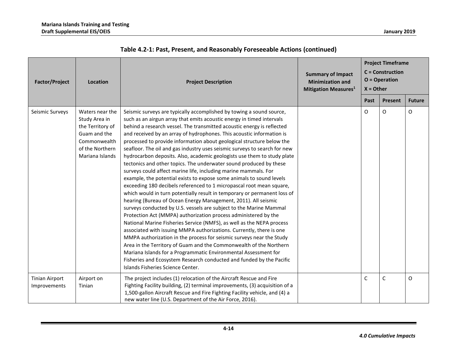| <b>Factor/Project</b>                 | Location                                                                                                                   | <b>Project Description</b>                                                                                                                                                                                                                                                                                                                                                                                                                                                                                                                                                                                                                                                                                                                                                                                                                                                                                                                                                                                                                                                                                                                                                                                                                                                                                                                                                                                                                                                                                                                                                                       | <b>Summary of Impact</b><br><b>Minimization and</b><br><b>Mitigation Measures1</b> | <b>Project Timeframe</b><br><b>C</b> = Construction<br>$O = Operator$<br>$X = Other$ |              |               |
|---------------------------------------|----------------------------------------------------------------------------------------------------------------------------|--------------------------------------------------------------------------------------------------------------------------------------------------------------------------------------------------------------------------------------------------------------------------------------------------------------------------------------------------------------------------------------------------------------------------------------------------------------------------------------------------------------------------------------------------------------------------------------------------------------------------------------------------------------------------------------------------------------------------------------------------------------------------------------------------------------------------------------------------------------------------------------------------------------------------------------------------------------------------------------------------------------------------------------------------------------------------------------------------------------------------------------------------------------------------------------------------------------------------------------------------------------------------------------------------------------------------------------------------------------------------------------------------------------------------------------------------------------------------------------------------------------------------------------------------------------------------------------------------|------------------------------------------------------------------------------------|--------------------------------------------------------------------------------------|--------------|---------------|
|                                       |                                                                                                                            |                                                                                                                                                                                                                                                                                                                                                                                                                                                                                                                                                                                                                                                                                                                                                                                                                                                                                                                                                                                                                                                                                                                                                                                                                                                                                                                                                                                                                                                                                                                                                                                                  |                                                                                    | Past                                                                                 | Present      | <b>Future</b> |
| Seismic Surveys                       | Waters near the<br>Study Area in<br>the Territory of<br>Guam and the<br>Commonwealth<br>of the Northern<br>Mariana Islands | Seismic surveys are typically accomplished by towing a sound source,<br>such as an airgun array that emits acoustic energy in timed intervals<br>behind a research vessel. The transmitted acoustic energy is reflected<br>and received by an array of hydrophones. This acoustic information is<br>processed to provide information about geological structure below the<br>seafloor. The oil and gas industry uses seismic surveys to search for new<br>hydrocarbon deposits. Also, academic geologists use them to study plate<br>tectonics and other topics. The underwater sound produced by these<br>surveys could affect marine life, including marine mammals. For<br>example, the potential exists to expose some animals to sound levels<br>exceeding 180 decibels referenced to 1 micropascal root mean square,<br>which would in turn potentially result in temporary or permanent loss of<br>hearing (Bureau of Ocean Energy Management, 2011). All seismic<br>surveys conducted by U.S. vessels are subject to the Marine Mammal<br>Protection Act (MMPA) authorization process administered by the<br>National Marine Fisheries Service (NMFS), as well as the NEPA process<br>associated with issuing MMPA authorizations. Currently, there is one<br>MMPA authorization in the process for seismic surveys near the Study<br>Area in the Territory of Guam and the Commonwealth of the Northern<br>Mariana Islands for a Programmatic Environmental Assessment for<br>Fisheries and Ecosystem Research conducted and funded by the Pacific<br>Islands Fisheries Science Center. |                                                                                    | O                                                                                    | $\circ$      | O             |
| <b>Tinian Airport</b><br>Improvements | Airport on<br>Tinian                                                                                                       | The project includes (1) relocation of the Aircraft Rescue and Fire<br>Fighting Facility building, (2) terminal improvements, (3) acquisition of a<br>1,500-gallon Aircraft Rescue and Fire Fighting Facility vehicle, and (4) a<br>new water line (U.S. Department of the Air Force, 2016).                                                                                                                                                                                                                                                                                                                                                                                                                                                                                                                                                                                                                                                                                                                                                                                                                                                                                                                                                                                                                                                                                                                                                                                                                                                                                                     |                                                                                    | $\mathsf{C}$                                                                         | $\mathsf{C}$ | O             |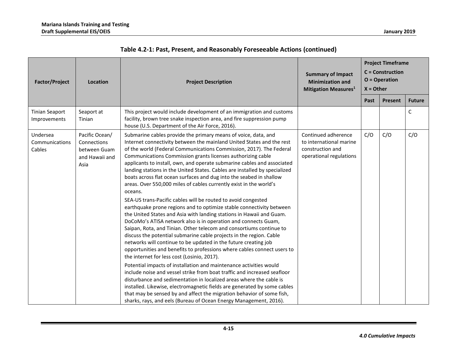| <b>Factor/Project</b>                 | Location                                                                | <b>Project Description</b>                                                                                                                                                                                                                                                                                                                                                                                                                                                                                                                                                                                                                                                                                                                                                                                                                                                                                                                                                                                                                                                                                                                                                                                                                                                                                                                                                                                                                                                                                                                                                                                                                                                      | <b>Summary of Impact</b><br><b>Minimization and</b><br><b>Mitigation Measures1</b>            | <b>Project Timeframe</b><br>$C =$ Construction<br>$O = Operator$<br>$X =$ Other |         |               |
|---------------------------------------|-------------------------------------------------------------------------|---------------------------------------------------------------------------------------------------------------------------------------------------------------------------------------------------------------------------------------------------------------------------------------------------------------------------------------------------------------------------------------------------------------------------------------------------------------------------------------------------------------------------------------------------------------------------------------------------------------------------------------------------------------------------------------------------------------------------------------------------------------------------------------------------------------------------------------------------------------------------------------------------------------------------------------------------------------------------------------------------------------------------------------------------------------------------------------------------------------------------------------------------------------------------------------------------------------------------------------------------------------------------------------------------------------------------------------------------------------------------------------------------------------------------------------------------------------------------------------------------------------------------------------------------------------------------------------------------------------------------------------------------------------------------------|-----------------------------------------------------------------------------------------------|---------------------------------------------------------------------------------|---------|---------------|
|                                       |                                                                         |                                                                                                                                                                                                                                                                                                                                                                                                                                                                                                                                                                                                                                                                                                                                                                                                                                                                                                                                                                                                                                                                                                                                                                                                                                                                                                                                                                                                                                                                                                                                                                                                                                                                                 |                                                                                               | Past                                                                            | Present | <b>Future</b> |
| <b>Tinian Seaport</b><br>Improvements | Seaport at<br>Tinian                                                    | This project would include development of an immigration and customs<br>facility, brown tree snake inspection area, and fire suppression pump<br>house (U.S. Department of the Air Force, 2016).                                                                                                                                                                                                                                                                                                                                                                                                                                                                                                                                                                                                                                                                                                                                                                                                                                                                                                                                                                                                                                                                                                                                                                                                                                                                                                                                                                                                                                                                                |                                                                                               |                                                                                 |         | C             |
| Undersea<br>Communications<br>Cables  | Pacific Ocean/<br>Connections<br>between Guam<br>and Hawaii and<br>Asia | Submarine cables provide the primary means of voice, data, and<br>Internet connectivity between the mainland United States and the rest<br>of the world (Federal Communications Commission, 2017). The Federal<br>Communications Commission grants licenses authorizing cable<br>applicants to install, own, and operate submarine cables and associated<br>landing stations in the United States. Cables are installed by specialized<br>boats across flat ocean surfaces and dug into the seabed in shallow<br>areas. Over 550,000 miles of cables currently exist in the world's<br>oceans.<br>SEA-US trans-Pacific cables will be routed to avoid congested<br>earthquake prone regions and to optimize stable connectivity between<br>the United States and Asia with landing stations in Hawaii and Guam.<br>DoCoMo's ATISA network also is in operation and connects Guam,<br>Saipan, Rota, and Tinian. Other telecom and consortiums continue to<br>discuss the potential submarine cable projects in the region. Cable<br>networks will continue to be updated in the future creating job<br>opportunities and benefits to professions where cables connect users to<br>the internet for less cost (Losinio, 2017).<br>Potential impacts of installation and maintenance activities would<br>include noise and vessel strike from boat traffic and increased seafloor<br>disturbance and sedimentation in localized areas where the cable is<br>installed. Likewise, electromagnetic fields are generated by some cables<br>that may be sensed by and affect the migration behavior of some fish,<br>sharks, rays, and eels (Bureau of Ocean Energy Management, 2016). | Continued adherence<br>to international marine<br>construction and<br>operational regulations | C/O                                                                             | C/O     | C/O           |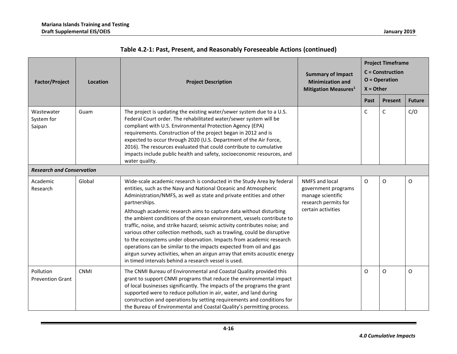| <b>Factor/Project</b>                | <b>Location</b> | <b>Project Description</b>                                                                                                                                                                                                                                                                                                                                                                                                                                                                                                                                                                                                                                                                                                                                                                                                    | <b>Summary of Impact</b><br><b>Minimization and</b><br><b>Mitigation Measures</b> <sup>1</sup>                  | <b>Project Timeframe</b><br>$C =$ Construction<br>$O = Operator$<br>$X =$ Other |                |               |
|--------------------------------------|-----------------|-------------------------------------------------------------------------------------------------------------------------------------------------------------------------------------------------------------------------------------------------------------------------------------------------------------------------------------------------------------------------------------------------------------------------------------------------------------------------------------------------------------------------------------------------------------------------------------------------------------------------------------------------------------------------------------------------------------------------------------------------------------------------------------------------------------------------------|-----------------------------------------------------------------------------------------------------------------|---------------------------------------------------------------------------------|----------------|---------------|
|                                      |                 |                                                                                                                                                                                                                                                                                                                                                                                                                                                                                                                                                                                                                                                                                                                                                                                                                               |                                                                                                                 | Past                                                                            | <b>Present</b> | <b>Future</b> |
| Wastewater<br>System for<br>Saipan   | Guam            | The project is updating the existing water/sewer system due to a U.S.<br>Federal Court order. The rehabilitated water/sewer system will be<br>compliant with U.S. Environmental Protection Agency (EPA)<br>requirements. Construction of the project began in 2012 and is<br>expected to occur through 2020 (U.S. Department of the Air Force,<br>2016). The resources evaluated that could contribute to cumulative<br>impacts include public health and safety, socioeconomic resources, and<br>water quality.                                                                                                                                                                                                                                                                                                              |                                                                                                                 | C                                                                               | $\mathsf C$    | C/O           |
| <b>Research and Conservation</b>     |                 |                                                                                                                                                                                                                                                                                                                                                                                                                                                                                                                                                                                                                                                                                                                                                                                                                               |                                                                                                                 |                                                                                 |                |               |
| Academic<br>Research                 | Global          | Wide-scale academic research is conducted in the Study Area by federal<br>entities, such as the Navy and National Oceanic and Atmospheric<br>Administration/NMFS, as well as state and private entities and other<br>partnerships.<br>Although academic research aims to capture data without disturbing<br>the ambient conditions of the ocean environment, vessels contribute to<br>traffic, noise, and strike hazard; seismic activity contributes noise; and<br>various other collection methods, such as trawling, could be disruptive<br>to the ecosystems under observation. Impacts from academic research<br>operations can be similar to the impacts expected from oil and gas<br>airgun survey activities, when an airgun array that emits acoustic energy<br>in timed intervals behind a research vessel is used. | <b>NMFS and local</b><br>government programs<br>manage scientific<br>research permits for<br>certain activities | O                                                                               | O              | O             |
| Pollution<br><b>Prevention Grant</b> | <b>CNMI</b>     | The CNMI Bureau of Environmental and Coastal Quality provided this<br>grant to support CNMI programs that reduce the environmental impact<br>of local businesses significantly. The impacts of the programs the grant<br>supported were to reduce pollution in air, water, and land during<br>construction and operations by setting requirements and conditions for<br>the Bureau of Environmental and Coastal Quality's permitting process.                                                                                                                                                                                                                                                                                                                                                                                 |                                                                                                                 | O                                                                               | O              | O             |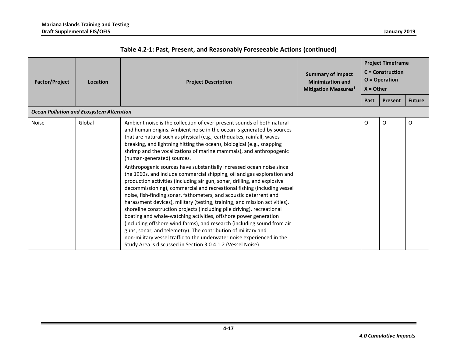| <b>Factor/Project</b>                           | Location | <b>Project Description</b>                                                                                                                                                                                                                                                                                                                                                                                                                                                                                                                                                                                                                                                                                       | <b>Summary of Impact</b><br><b>Minimization and</b><br><b>Mitigation Measures1</b> | <b>Project Timeframe</b><br>$C =$ Construction<br>$O = Operator$<br>$X =$ Other |         |               |
|-------------------------------------------------|----------|------------------------------------------------------------------------------------------------------------------------------------------------------------------------------------------------------------------------------------------------------------------------------------------------------------------------------------------------------------------------------------------------------------------------------------------------------------------------------------------------------------------------------------------------------------------------------------------------------------------------------------------------------------------------------------------------------------------|------------------------------------------------------------------------------------|---------------------------------------------------------------------------------|---------|---------------|
|                                                 |          |                                                                                                                                                                                                                                                                                                                                                                                                                                                                                                                                                                                                                                                                                                                  |                                                                                    | Past                                                                            | Present | <b>Future</b> |
| <b>Ocean Pollution and Ecosystem Alteration</b> |          |                                                                                                                                                                                                                                                                                                                                                                                                                                                                                                                                                                                                                                                                                                                  |                                                                                    |                                                                                 |         |               |
| <b>Noise</b>                                    | Global   | Ambient noise is the collection of ever-present sounds of both natural<br>and human origins. Ambient noise in the ocean is generated by sources<br>that are natural such as physical (e.g., earthquakes, rainfall, waves<br>breaking, and lightning hitting the ocean), biological (e.g., snapping<br>shrimp and the vocalizations of marine mammals), and anthropogenic<br>(human-generated) sources.<br>Anthropogenic sources have substantially increased ocean noise since<br>the 1960s, and include commercial shipping, oil and gas exploration and<br>production activities (including air gun, sonar, drilling, and explosive<br>decommissioning), commercial and recreational fishing (including vessel |                                                                                    | O                                                                               | O       | O             |
|                                                 |          | noise, fish-finding sonar, fathometers, and acoustic deterrent and<br>harassment devices), military (testing, training, and mission activities),<br>shoreline construction projects (including pile driving), recreational<br>boating and whale-watching activities, offshore power generation<br>(including offshore wind farms), and research (including sound from air<br>guns, sonar, and telemetry). The contribution of military and<br>non-military vessel traffic to the underwater noise experienced in the<br>Study Area is discussed in Section 3.0.4.1.2 (Vessel Noise).                                                                                                                             |                                                                                    |                                                                                 |         |               |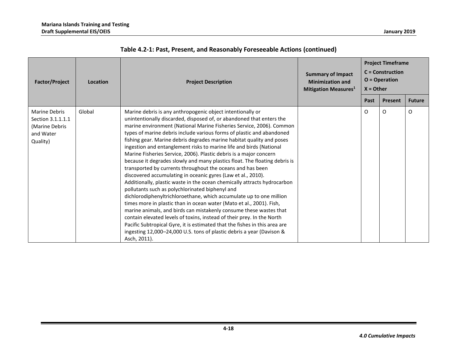| <b>Factor/Project</b>                                                                | Location | <b>Project Description</b>                                                                                                                                                                                                                                                                                                                                                                                                                                                                                                                                                                                                                                                                                                                                                                                                                                                                                                                                                                                                                                                                                                                                                                                                                                                                                                 | <b>Summary of Impact</b><br><b>Minimization and</b><br><b>Mitigation Measures</b> <sup>1</sup> | <b>Project Timeframe</b><br>$C =$ Construction<br>$O = Operator$<br>$X =$ Other |         |               |
|--------------------------------------------------------------------------------------|----------|----------------------------------------------------------------------------------------------------------------------------------------------------------------------------------------------------------------------------------------------------------------------------------------------------------------------------------------------------------------------------------------------------------------------------------------------------------------------------------------------------------------------------------------------------------------------------------------------------------------------------------------------------------------------------------------------------------------------------------------------------------------------------------------------------------------------------------------------------------------------------------------------------------------------------------------------------------------------------------------------------------------------------------------------------------------------------------------------------------------------------------------------------------------------------------------------------------------------------------------------------------------------------------------------------------------------------|------------------------------------------------------------------------------------------------|---------------------------------------------------------------------------------|---------|---------------|
|                                                                                      |          |                                                                                                                                                                                                                                                                                                                                                                                                                                                                                                                                                                                                                                                                                                                                                                                                                                                                                                                                                                                                                                                                                                                                                                                                                                                                                                                            |                                                                                                | Past                                                                            | Present | <b>Future</b> |
| <b>Marine Debris</b><br>Section 3.1.1.1.1<br>(Marine Debris<br>and Water<br>Quality) | Global   | Marine debris is any anthropogenic object intentionally or<br>unintentionally discarded, disposed of, or abandoned that enters the<br>marine environment (National Marine Fisheries Service, 2006). Common<br>types of marine debris include various forms of plastic and abandoned<br>fishing gear. Marine debris degrades marine habitat quality and poses<br>ingestion and entanglement risks to marine life and birds (National<br>Marine Fisheries Service, 2006). Plastic debris is a major concern<br>because it degrades slowly and many plastics float. The floating debris is<br>transported by currents throughout the oceans and has been<br>discovered accumulating in oceanic gyres (Law et al., 2010).<br>Additionally, plastic waste in the ocean chemically attracts hydrocarbon<br>pollutants such as polychlorinated biphenyl and<br>dichlorodiphenyltrichloroethane, which accumulate up to one million<br>times more in plastic than in ocean water (Mato et al., 2001). Fish,<br>marine animals, and birds can mistakenly consume these wastes that<br>contain elevated levels of toxins, instead of their prey. In the North<br>Pacific Subtropical Gyre, it is estimated that the fishes in this area are<br>ingesting 12,000-24,000 U.S. tons of plastic debris a year (Davison &<br>Asch, 2011). |                                                                                                | O                                                                               | O       | O             |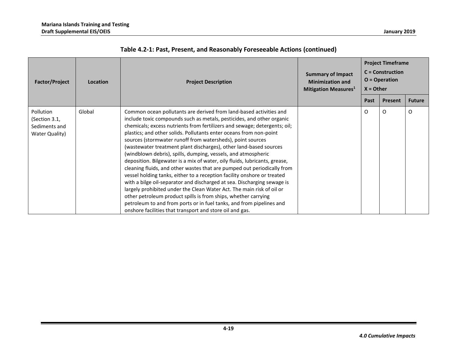| <b>Factor/Project</b>                                         | <b>Summary of Impact</b><br><b>Minimization and</b><br><b>Project Description</b><br>Location<br><b>Mitigation Measures</b> <sup>1</sup> | <b>Project Timeframe</b><br>$C =$ Construction<br>$O = Operator$<br>$X =$ Other                                                                                                                                                                                                                                                                                                                                                                                                                                                                                                                                                                                                                                                                                                                                                                                                                                                                                                                                                                                                                  |  |      |                |               |
|---------------------------------------------------------------|------------------------------------------------------------------------------------------------------------------------------------------|--------------------------------------------------------------------------------------------------------------------------------------------------------------------------------------------------------------------------------------------------------------------------------------------------------------------------------------------------------------------------------------------------------------------------------------------------------------------------------------------------------------------------------------------------------------------------------------------------------------------------------------------------------------------------------------------------------------------------------------------------------------------------------------------------------------------------------------------------------------------------------------------------------------------------------------------------------------------------------------------------------------------------------------------------------------------------------------------------|--|------|----------------|---------------|
|                                                               |                                                                                                                                          |                                                                                                                                                                                                                                                                                                                                                                                                                                                                                                                                                                                                                                                                                                                                                                                                                                                                                                                                                                                                                                                                                                  |  | Past | <b>Present</b> | <b>Future</b> |
| Pollution<br>(Section 3.1,<br>Sediments and<br>Water Quality) | Global                                                                                                                                   | Common ocean pollutants are derived from land-based activities and<br>include toxic compounds such as metals, pesticides, and other organic<br>chemicals; excess nutrients from fertilizers and sewage; detergents; oil;<br>plastics; and other solids. Pollutants enter oceans from non-point<br>sources (stormwater runoff from watersheds), point sources<br>(wastewater treatment plant discharges), other land-based sources<br>(windblown debris), spills, dumping, vessels, and atmospheric<br>deposition. Bilgewater is a mix of water, oily fluids, lubricants, grease,<br>cleaning fluids, and other wastes that are pumped out periodically from<br>vessel holding tanks, either to a reception facility onshore or treated<br>with a bilge oil-separator and discharged at sea. Discharging sewage is<br>largely prohibited under the Clean Water Act. The main risk of oil or<br>other petroleum product spills is from ships, whether carrying<br>petroleum to and from ports or in fuel tanks, and from pipelines and<br>onshore facilities that transport and store oil and gas. |  | O    | O              | O             |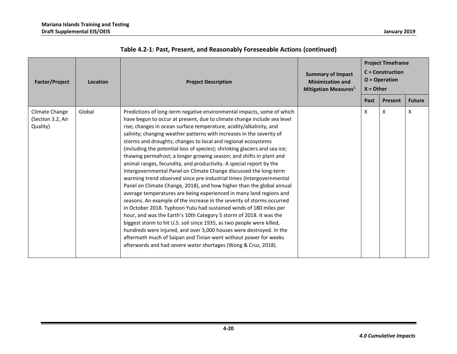| <b>Factor/Project</b>                           | Location | <b>Project Description</b>                                                                                                                                                                                                                                                                                                                                                                                                                                                                                                                                                                                                                                                                                                                                                                                                                                                                                                                                                                                                                                                                                                                                                                                                                                                                                                                                                                                | <b>Summary of Impact</b><br><b>Minimization and</b><br><b>Mitigation Measures1</b> | <b>Project Timeframe</b><br>$C =$ Construction<br>$O = Operator$<br>$X =$ Other |         |               |
|-------------------------------------------------|----------|-----------------------------------------------------------------------------------------------------------------------------------------------------------------------------------------------------------------------------------------------------------------------------------------------------------------------------------------------------------------------------------------------------------------------------------------------------------------------------------------------------------------------------------------------------------------------------------------------------------------------------------------------------------------------------------------------------------------------------------------------------------------------------------------------------------------------------------------------------------------------------------------------------------------------------------------------------------------------------------------------------------------------------------------------------------------------------------------------------------------------------------------------------------------------------------------------------------------------------------------------------------------------------------------------------------------------------------------------------------------------------------------------------------|------------------------------------------------------------------------------------|---------------------------------------------------------------------------------|---------|---------------|
|                                                 |          |                                                                                                                                                                                                                                                                                                                                                                                                                                                                                                                                                                                                                                                                                                                                                                                                                                                                                                                                                                                                                                                                                                                                                                                                                                                                                                                                                                                                           |                                                                                    | Past                                                                            | Present | <b>Future</b> |
| Climate Change<br>(Section 3.2, Air<br>Quality) | Global   | Predictions of long-term negative environmental impacts, some of which<br>have begun to occur at present, due to climate change include sea level<br>rise; changes in ocean surface temperature, acidity/alkalinity, and<br>salinity; changing weather patterns with increases in the severity of<br>storms and droughts; changes to local and regional ecosystems<br>(including the potential loss of species); shrinking glaciers and sea ice;<br>thawing permafrost; a longer growing season; and shifts in plant and<br>animal ranges, fecundity, and productivity. A special report by the<br>Intergovernmental Panel on Climate Change discussed the long-term<br>warming trend observed since pre-industrial times (Intergovernmental<br>Panel on Climate Change, 2018), and how higher than the global annual<br>average temperatures are being experienced in many land regions and<br>seasons. An example of the increase in the severity of storms occurred<br>in October 2018. Typhoon Yutu had sustained winds of 180 miles per<br>hour, and was the Earth's 10th Category 5 storm of 2018. It was the<br>biggest storm to hit U.S. soil since 1935, as two people were killed,<br>hundreds were injured, and over 3,000 houses were destroyed. In the<br>aftermath much of Saipan and Tinian went without power for weeks<br>afterwards and had severe water shortages (Wong & Cruz, 2018). |                                                                                    | X                                                                               | X       | X             |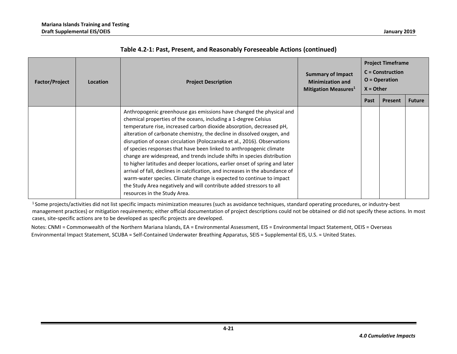| <b>Factor/Project</b> | <b>Location</b> | <b>Project Description</b>                                                                                                                                                                                                                                                                                                                                                                                                                                                                                                                                                                                                                                                                                                                                                                                                                                                | <b>Summary of Impact</b><br><b>Minimization and</b><br>Mitigation Measures <sup>1</sup> | <b>Project Timeframe</b><br>$C =$ Construction<br>$O = Operator$<br>$X =$ Other |         |               |
|-----------------------|-----------------|---------------------------------------------------------------------------------------------------------------------------------------------------------------------------------------------------------------------------------------------------------------------------------------------------------------------------------------------------------------------------------------------------------------------------------------------------------------------------------------------------------------------------------------------------------------------------------------------------------------------------------------------------------------------------------------------------------------------------------------------------------------------------------------------------------------------------------------------------------------------------|-----------------------------------------------------------------------------------------|---------------------------------------------------------------------------------|---------|---------------|
|                       |                 |                                                                                                                                                                                                                                                                                                                                                                                                                                                                                                                                                                                                                                                                                                                                                                                                                                                                           |                                                                                         | Past                                                                            | Present | <b>Future</b> |
|                       |                 | Anthropogenic greenhouse gas emissions have changed the physical and<br>chemical properties of the oceans, including a 1-degree Celsius<br>temperature rise, increased carbon dioxide absorption, decreased pH,<br>alteration of carbonate chemistry, the decline in dissolved oxygen, and<br>disruption of ocean circulation (Poloczanska et al., 2016). Observations<br>of species responses that have been linked to anthropogenic climate<br>change are widespread, and trends include shifts in species distribution<br>to higher latitudes and deeper locations, earlier onset of spring and later<br>arrival of fall, declines in calcification, and increases in the abundance of<br>warm-water species. Climate change is expected to continue to impact<br>the Study Area negatively and will contribute added stressors to all<br>resources in the Study Area. |                                                                                         |                                                                                 |         |               |

<sup>1</sup> Some projects/activities did not list specific impacts minimization measures (such as avoidance techniques, standard operating procedures, or industry-best management practices) or mitigation requirements; either official documentation of project descriptions could not be obtained or did not specify these actions. In most cases, site-specific actions are to be developed as specific projects are developed.

Notes: CNMI = Commonwealth of the Northern Mariana Islands, EA = Environmental Assessment, EIS = Environmental Impact Statement, OEIS = Overseas Environmental Impact Statement, SCUBA = Self-Contained Underwater Breathing Apparatus, SEIS = Supplemental EIS, U.S. = United States.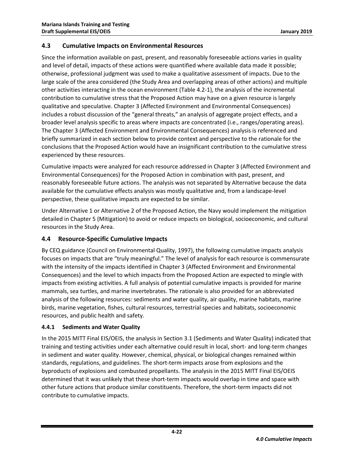## <span id="page-25-0"></span>**4.3 Cumulative Impacts on Environmental Resources**

Since the information available on past, present, and reasonably foreseeable actions varies in quality and level of detail, impacts of these actions were quantified where available data made it possible; otherwise, professional judgment was used to make a qualitative assessment of impacts. Due to the large scale of the area considered (the Study Area and overlapping areas of other actions) and multiple other activities interacting in the ocean environment [\(Table 4.2-1\)](#page-6-0), the analysis of the incremental contribution to cumulative stress that the Proposed Action may have on a given resource is largely qualitative and speculative. Chapter 3 (Affected Environment and Environmental Consequences) includes a robust discussion of the "general threats," an analysis of aggregate project effects, and a broader level analysis specific to areas where impacts are concentrated (i.e., ranges/operating areas). The Chapter 3 (Affected Environment and Environmental Consequences) analysis is referenced and briefly summarized in each section below to provide context and perspective to the rationale for the conclusions that the Proposed Action would have an insignificant contribution to the cumulative stress experienced by these resources.

Cumulative impacts were analyzed for each resource addressed in Chapter 3 (Affected Environment and Environmental Consequences) for the Proposed Action in combination with past, present, and reasonably foreseeable future actions. The analysis was not separated by Alternative because the data available for the cumulative effects analysis was mostly qualitative and, from a landscape-level perspective, these qualitative impacts are expected to be similar.

Under Alternative 1 or Alternative 2 of the Proposed Action, the Navy would implement the mitigation detailed in Chapter 5 (Mitigation) to avoid or reduce impacts on biological, socioeconomic, and cultural resources in the Study Area.

## <span id="page-25-1"></span>**4.4 Resource-Specific Cumulative Impacts**

By CEQ guidance [\(Council on Environmental Quality, 1997\)](#page-54-0), the following cumulative impacts analysis focuses on impacts that are "truly meaningful." The level of analysis for each resource is commensurate with the intensity of the impacts identified in Chapter 3 (Affected Environment and Environmental Consequences) and the level to which impacts from the Proposed Action are expected to mingle with impacts from existing activities. A full analysis of potential cumulative impacts is provided for marine mammals, sea turtles, and marine invertebrates. The rationale is also provided for an abbreviated analysis of the following resources: sediments and water quality, air quality, marine habitats, marine birds, marine vegetation, fishes, cultural resources, terrestrial species and habitats, socioeconomic resources, and public health and safety.

## <span id="page-25-2"></span>**4.4.1 Sediments and Water Quality**

In the 2015 MITT Final EIS/OEIS, the analysis in Section 3.1 (Sediments and Water Quality) indicated that training and testing activities under each alternative could result in local, short- and long-term changes in sediment and water quality. However, chemical, physical, or biological changes remained within standards, regulations, and guidelines. The short-term impacts arose from explosions and the byproducts of explosions and combusted propellants. The analysis in the 2015 MITT Final EIS/OEIS determined that it was unlikely that these short-term impacts would overlap in time and space with other future actions that produce similar constituents. Therefore, the short-term impacts did not contribute to cumulative impacts.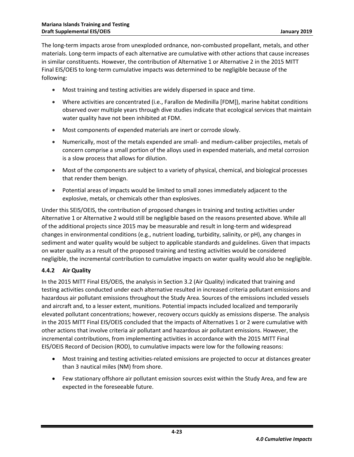The long-term impacts arose from unexploded ordnance, non-combusted propellant, metals, and other materials. Long-term impacts of each alternative are cumulative with other actions that cause increases in similar constituents. However, the contribution of Alternative 1 or Alternative 2 in the 2015 MITT Final EIS/OEIS to long-term cumulative impacts was determined to be negligible because of the following:

- Most training and testing activities are widely dispersed in space and time.
- Where activities are concentrated (i.e., Farallon de Medinilla [FDM]), marine habitat conditions observed over multiple years through dive studies indicate that ecological services that maintain water quality have not been inhibited at FDM.
- Most components of expended materials are inert or corrode slowly.
- Numerically, most of the metals expended are small- and medium-caliber projectiles, metals of concern comprise a small portion of the alloys used in expended materials, and metal corrosion is a slow process that allows for dilution.
- Most of the components are subject to a variety of physical, chemical, and biological processes that render them benign.
- Potential areas of impacts would be limited to small zones immediately adjacent to the explosive, metals, or chemicals other than explosives.

Under this SEIS/OEIS, the contribution of proposed changes in training and testing activities under Alternative 1 or Alternative 2 would still be negligible based on the reasons presented above. While all of the additional projects since 2015 may be measurable and result in long-term and widespread changes in environmental conditions (e.g., nutrient loading, turbidity, salinity, or pH), any changes in sediment and water quality would be subject to applicable standards and guidelines. Given that impacts on water quality as a result of the proposed training and testing activities would be considered negligible, the incremental contribution to cumulative impacts on water quality would also be negligible.

## <span id="page-26-0"></span>**4.4.2 Air Quality**

In the 2015 MITT Final EIS/OEIS, the analysis in Section 3.2 (Air Quality) indicated that training and testing activities conducted under each alternative resulted in increased criteria pollutant emissions and hazardous air pollutant emissions throughout the Study Area. Sources of the emissions included vessels and aircraft and, to a lesser extent, munitions. Potential impacts included localized and temporarily elevated pollutant concentrations; however, recovery occurs quickly as emissions disperse. The analysis in the 2015 MITT Final EIS/OEIS concluded that the impacts of Alternatives 1 or 2 were cumulative with other actions that involve criteria air pollutant and hazardous air pollutant emissions. However, the incremental contributions, from implementing activities in accordance with the 2015 MITT Final EIS/OEIS Record of Decision (ROD), to cumulative impacts were low for the following reasons:

- Most training and testing activities-related emissions are projected to occur at distances greater than 3 nautical miles (NM) from shore.
- Few stationary offshore air pollutant emission sources exist within the Study Area, and few are expected in the foreseeable future.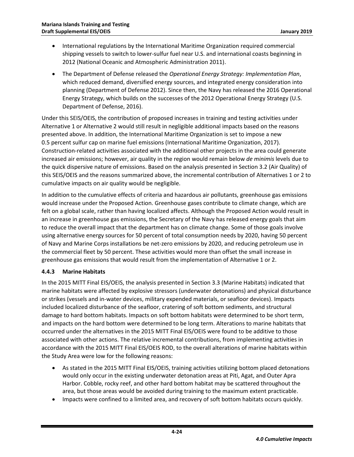- International regulations by the International Maritime Organization required commercial shipping vessels to switch to lower-sulfur fuel near U.S. and international coasts beginning in 2012 (National Oceanic and Atmospheric Administration 2011).
- The Department of Defense released the *Operational Energy Strategy: Implementation Plan*, which reduced demand, diversified energy sources, and integrated energy consideration into planning (Department of Defense 2012). Since then, the Navy has released the 2016 Operational Energy Strategy, which builds on the successes of the 2012 Operational Energy Strategy [\(U.S.](#page-58-8)  [Department of Defense, 2016\)](#page-58-8).

Under this SEIS/OEIS, the contribution of proposed increases in training and testing activities under Alternative 1 or Alternative 2 would still result in negligible additional impacts based on the reasons presented above. In addition, the International Maritime Organization is set to impose a new 0.5 percent sulfur cap on marine fuel emissions [\(International Maritime Organization, 2017\)](#page-56-5). Construction-related activities associated with the additional other projects in the area could generate increased air emissions; however, air quality in the region would remain below *de minimis* levels due to the quick dispersive nature of emissions. Based on the analysis presented in Section 3.2 (Air Quality) of this SEIS/OEIS and the reasons summarized above, the incremental contribution of Alternatives 1 or 2 to cumulative impacts on air quality would be negligible.

In addition to the cumulative effects of criteria and hazardous air pollutants, greenhouse gas emissions would increase under the Proposed Action. Greenhouse gases contribute to climate change, which are felt on a global scale, rather than having localized affects. Although the Proposed Action would result in an increase in greenhouse gas emissions, the Secretary of the Navy has released energy goals that aim to reduce the overall impact that the department has on climate change. Some of those goals involve using alternative energy sources for 50 percent of total consumption needs by 2020, having 50 percent of Navy and Marine Corps installations be net-zero emissions by 2020, and reducing petroleum use in the commercial fleet by 50 percent. These activities would more than offset the small increase in greenhouse gas emissions that would result from the implementation of Alternative 1 or 2.

## <span id="page-27-0"></span>**4.4.3 Marine Habitats**

In the 2015 MITT Final EIS/OEIS, the analysis presented in Section 3.3 (Marine Habitats) indicated that marine habitats were affected by explosive stressors (underwater detonations) and physical disturbance or strikes (vessels and in-water devices, military expended materials, or seafloor devices). Impacts included localized disturbance of the seafloor, cratering of soft bottom sediments, and structural damage to hard bottom habitats. Impacts on soft bottom habitats were determined to be short term, and impacts on the hard bottom were determined to be long term. Alterations to marine habitats that occurred under the alternatives in the 2015 MITT Final EIS/OEIS were found to be additive to those associated with other actions. The relative incremental contributions, from implementing activities in accordance with the 2015 MITT Final EIS/OEIS ROD, to the overall alterations of marine habitats within the Study Area were low for the following reasons:

- As stated in the 2015 MITT Final EIS/OEIS, training activities utilizing bottom placed detonations would only occur in the existing underwater detonation areas at Piti, Agat, and Outer Apra Harbor. Cobble, rocky reef, and other hard bottom habitat may be scattered throughout the area, but those areas would be avoided during training to the maximum extent practicable.
- Impacts were confined to a limited area, and recovery of soft bottom habitats occurs quickly.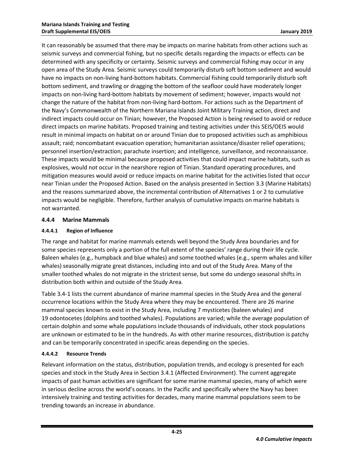It can reasonably be assumed that there may be impacts on marine habitats from other actions such as seismic surveys and commercial fishing, but no specific details regarding the impacts or effects can be determined with any specificity or certainty. Seismic surveys and commercial fishing may occur in any open area of the Study Area. Seismic surveys could temporarily disturb soft bottom sediment and would have no impacts on non-living hard-bottom habitats. Commercial fishing could temporarily disturb soft bottom sediment, and trawling or dragging the bottom of the seafloor could have moderately longer impacts on non-living hard-bottom habitats by movement of sediment; however, impacts would not change the nature of the habitat from non-living hard-bottom. For actions such as the Department of the Navy's Commonwealth of the Northern Mariana Islands Joint Military Training action, direct and indirect impacts could occur on Tinian; however, the Proposed Action is being revised to avoid or reduce direct impacts on marine habitats. Proposed training and testing activities under this SEIS/OEIS would result in minimal impacts on habitat on or around Tinian due to proposed activities such as amphibious assault; raid; noncombatant evacuation operation; humanitarian assistance/disaster relief operations; personnel insertion/extraction; parachute insertion; and intelligence, surveillance, and reconnaissance. These impacts would be minimal because proposed activities that could impact marine habitats, such as explosives, would not occur in the nearshore region of Tinian. Standard operating procedures, and mitigation measures would avoid or reduce impacts on marine habitat for the activities listed that occur near Tinian under the Proposed Action. Based on the analysis presented in Section 3.3 (Marine Habitats) and the reasons summarized above, the incremental contribution of Alternatives 1 or 2 to cumulative impacts would be negligible. Therefore, further analysis of cumulative impacts on marine habitats is not warranted.

## <span id="page-28-0"></span>**4.4.4 Marine Mammals**

## <span id="page-28-1"></span>**4.4.4.1 Region of Influence**

The range and habitat for marine mammals extends well beyond the Study Area boundaries and for some species represents only a portion of the full extent of the species' range during their life cycle. Baleen whales (e.g., humpback and blue whales) and some toothed whales (e.g., sperm whales and killer whales) seasonally migrate great distances, including into and out of the Study Area. Many of the smaller toothed whales do not migrate in the strictest sense, but some do undergo seasonal shifts in distribution both within and outside of the Study Area.

Table 3.4-1 lists the current abundance of marine mammal species in the Study Area and the general occurrence locations within the Study Area where they may be encountered. There are 26 marine mammal species known to exist in the Study Area, including 7 mysticetes (baleen whales) and 19 odontocetes (dolphins and toothed whales). Populations are varied; while the average population of certain dolphin and some whale populations include thousands of individuals, other stock populations are unknown or estimated to be in the hundreds. As with other marine resources, distribution is patchy and can be temporarily concentrated in specific areas depending on the species.

## <span id="page-28-2"></span>**4.4.4.2 Resource Trends**

Relevant information on the status, distribution, population trends, and ecology is presented for each species and stock in the Study Area in Section 3.4.1 (Affected Environment). The current aggregate impacts of past human activities are significant for some marine mammal species, many of which were in serious decline across the world's oceans. In the Pacific and specifically where the Navy has been intensively training and testing activities for decades, many marine mammal populations seem to be trending towards an increase in abundance.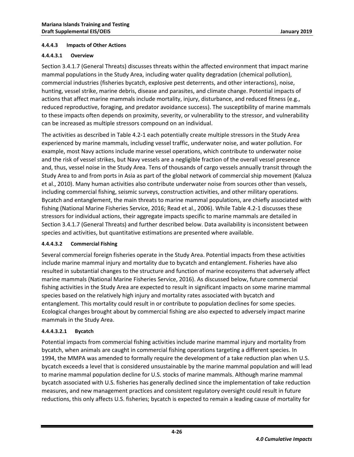#### <span id="page-29-0"></span>**4.4.4.3 Impacts of Other Actions**

#### **4.4.4.3.1 Overview**

Section 3.4.1.7 (General Threats) discusses threats within the affected environment that impact marine mammal populations in the Study Area, including water quality degradation (chemical pollution), commercial industries (fisheries bycatch, explosive pest deterrents, and other interactions), noise, hunting, vessel strike, marine debris, disease and parasites, and climate change. Potential impacts of actions that affect marine mammals include mortality, injury, disturbance, and reduced fitness (e.g., reduced reproductive, foraging, and predator avoidance success). The susceptibility of marine mammals to these impacts often depends on proximity, severity, or vulnerability to the stressor, and vulnerability can be increased as multiple stressors compound on an individual.

The activities as described in [Table 4.2-1](#page-6-0) each potentially create multiple stressors in the Study Area experienced by marine mammals, including vessel traffic, underwater noise, and water pollution. For example, most Navy actions include marine vessel operations, which contribute to underwater noise and the risk of vessel strikes, but Navy vessels are a negligible fraction of the overall vessel presence and, thus, vessel noise in the Study Area. Tens of thousands of cargo vessels annually transit through the Study Area to and from ports in Asia as part of the global network of commercial ship movement [\(Kaluza](#page-56-6)  [et al., 2010\)](#page-56-6). Many human activities also contribute underwater noise from sources other than vessels, including commercial fishing, seismic surveys, construction activities, and other military operations. Bycatch and entanglement, the main threats to marine mammal populations, are chiefly associated with fishing [\(National Marine Fisheries Service, 2016;](#page-57-2) [Read et al., 2006\)](#page-58-9). While [Table 4.2-1](#page-6-0) discusses these stressors for individual actions, their aggregate impacts specific to marine mammals are detailed in Section 3.4.1.7 (General Threats) and further described below. Data availability is inconsistent between species and activities, but quantitative estimations are presented where available.

#### **4.4.4.3.2 Commercial Fishing**

Several commercial foreign fisheries operate in the Study Area. Potential impacts from these activities include marine mammal injury and mortality due to bycatch and entanglement. Fisheries have also resulted in substantial changes to the structure and function of marine ecosystems that adversely affect marine mammals [\(National Marine Fisheries Service, 2016\)](#page-57-2). As discussed below, future commercial fishing activities in the Study Area are expected to result in significant impacts on some marine mammal species based on the relatively high injury and mortality rates associated with bycatch and entanglement. This mortality could result in or contribute to population declines for some species. Ecological changes brought about by commercial fishing are also expected to adversely impact marine mammals in the Study Area.

#### **4.4.4.3.2.1 Bycatch**

Potential impacts from commercial fishing activities include marine mammal injury and mortality from bycatch, when animals are caught in commercial fishing operations targeting a different species. In 1994, the MMPA was amended to formally require the development of a take reduction plan when U.S. bycatch exceeds a level that is considered unsustainable by the marine mammal population and will lead to marine mammal population decline for U.S. stocks of marine mammals. Although marine mammal bycatch associated with U.S. fisheries has generally declined since the implementation of take reduction measures, and new management practices and consistent regulatory oversight could result in future reductions, this only affects U.S. fisheries; bycatch is expected to remain a leading cause of mortality for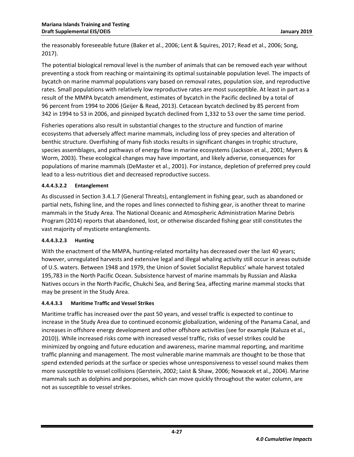the reasonably foreseeable future [\(Baker et al., 2006;](#page-54-4) [Lent & Squires, 2017;](#page-56-7) [Read et al., 2006;](#page-58-9) [Song,](#page-58-10)  [2017\)](#page-58-10).

The potential biological removal level is the number of animals that can be removed each year without preventing a stock from reaching or maintaining its optimal sustainable population level. The impacts of bycatch on marine mammal populations vary based on removal rates, population size, and reproductive rates. Small populations with relatively low reproductive rates are most susceptible. At least in part as a result of the MMPA bycatch amendment, estimates of bycatch in the Pacific declined by a total of 96 percent from 1994 to 2006 [\(Geijer & Read, 2013\)](#page-55-3). Cetacean bycatch declined by 85 percent from 342 in 1994 to 53 in 2006, and pinniped bycatch declined from 1,332 to 53 over the same time period.

Fisheries operations also result in substantial changes to the structure and function of marine ecosystems that adversely affect marine mammals, including loss of prey species and alteration of benthic structure. Overfishing of many fish stocks results in significant changes in trophic structure, species assemblages, and pathways of energy flow in marine ecosystems [\(Jackson et al., 2001;](#page-56-8) [Myers &](#page-57-3)  [Worm, 2003\)](#page-57-3). These ecological changes may have important, and likely adverse, consequences for populations of marine mammals [\(DeMaster et al., 2001\)](#page-55-4). For instance, depletion of preferred prey could lead to a less-nutritious diet and decreased reproductive success.

### **4.4.4.3.2.2 Entanglement**

As discussed in Section 3.4.1.7 (General Threats), entanglement in fishing gear, such as abandoned or partial nets, fishing line, and the ropes and lines connected to fishing gear, is another threat to marine mammals in the Study Area. The National Oceanic and Atmospheric Administration Marine Debris Program (2014) reports that abandoned, lost, or otherwise discarded fishing gear still constitutes the vast majority of mysticete entanglements.

#### **4.4.4.3.2.3 Hunting**

With the enactment of the MMPA, hunting-related mortality has decreased over the last 40 years; however, unregulated harvests and extensive legal and illegal whaling activity still occur in areas outside of U.S. waters. Between 1948 and 1979, the Union of Soviet Socialist Republics' whale harvest totaled 195,783 in the North Pacific Ocean. Subsistence harvest of marine mammals by Russian and Alaska Natives occurs in the North Pacific, Chukchi Sea, and Bering Sea, affecting marine mammal stocks that may be present in the Study Area.

#### **4.4.4.3.3 Maritime Traffic and Vessel Strikes**

Maritime traffic has increased over the past 50 years, and vessel traffic is expected to continue to increase in the Study Area due to continued economic globalization, widening of the Panama Canal, and increases in offshore energy development and other offshore activities (see for example [\(Kaluza et al.,](#page-56-6)  [2010\)](#page-56-6)). While increased risks come with increased vessel traffic, risks of vessel strikes could be minimized by ongoing and future education and awareness, marine mammal reporting, and maritime traffic planning and management. The most vulnerable marine mammals are thought to be those that spend extended periods at the surface or species whose unresponsiveness to vessel sound makes them more susceptible to vessel collisions [\(Gerstein, 2002;](#page-55-5) [Laist & Shaw, 2006;](#page-56-9) [Nowacek et al., 2004\)](#page-57-4). Marine mammals such as dolphins and porpoises, which can move quickly throughout the water column, are not as susceptible to vessel strikes.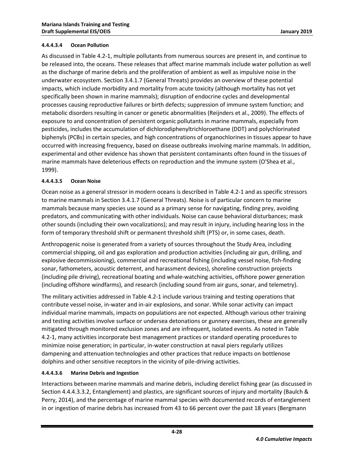#### **4.4.4.3.4 Ocean Pollution**

As discussed in Table 4.2-1, multiple pollutants from numerous sources are present in, and continue to be released into, the oceans. These releases that affect marine mammals include water pollution as well as the discharge of marine debris and the proliferation of ambient as well as impulsive noise in the underwater ecosystem. Section 3.4.1.7 (General Threats) provides an overview of these potential impacts, which include morbidity and mortality from acute toxicity (although mortality has not yet specifically been shown in marine mammals); disruption of endocrine cycles and developmental processes causing reproductive failures or birth defects; suppression of immune system function; and metabolic disorders resulting in cancer or genetic abnormalities [\(Reijnders et al., 2009\)](#page-58-11). The effects of exposure to and concentration of persistent organic pollutants in marine mammals, especially from pesticides, includes the accumulation of dichlorodiphenyltrichloroethane (DDT) and polychlorinated biphenyls (PCBs) in certain species, and high concentrations of organochlorines in tissues appear to have occurred with increasing frequency, based on disease outbreaks involving marine mammals. In addition, experimental and other evidence has shown that persistent contaminants often found in the tissues of marine mammals have deleterious effects on reproduction and the immune system [\(O'Shea et al.,](#page-57-5)  [1999\)](#page-57-5).

#### **4.4.4.3.5 Ocean Noise**

Ocean noise as a general stressor in modern oceans is described in [Table 4.2-1](#page-6-0) and as specific stressors to marine mammals in Section 3.4.1.7 (General Threats). Noise is of particular concern to marine mammals because many species use sound as a primary sense for navigating, finding prey, avoiding predators, and communicating with other individuals. Noise can cause behavioral disturbances; mask other sounds (including their own vocalizations); and may result in injury, including hearing loss in the form of temporary threshold shift or permanent threshold shift (PTS) or, in some cases, death.

Anthropogenic noise is generated from a variety of sources throughout the Study Area, including commercial shipping, oil and gas exploration and production activities (including air gun, drilling, and explosive decommissioning), commercial and recreational fishing (including vessel noise, fish-finding sonar, fathometers, acoustic deterrent, and harassment devices), shoreline construction projects (including pile driving), recreational boating and whale-watching activities, offshore power generation (including offshore windfarms), and research (including sound from air guns, sonar, and telemetry).

The military activities addressed in [Table 4.2-1](#page-6-0) include various training and testing operations that contribute vessel noise, in-water and in-air explosions, and sonar. While sonar activity can impact individual marine mammals, impacts on populations are not expected. Although various other training and testing activities involve surface or undersea detonations or gunnery exercises, these are generally mitigated through monitored exclusion zones and are infrequent, isolated events. As noted in [Table](#page-6-0)  [4.2-1,](#page-6-0) many activities incorporate best management practices or standard operating procedures to minimize noise generation; in particular, in-water construction at naval piers regularly utilizes dampening and attenuation technologies and other practices that reduce impacts on bottlenose dolphins and other sensitive receptors in the vicinity of pile-driving activities.

## **4.4.4.3.6 Marine Debris and Ingestion**

Interactions between marine mammals and marine debris, including derelict fishing gear (as discussed in Section 4.4.4.3.3.2, Entanglement) and plastics, are significant sources of injury and mortality [\(Baulch &](#page-54-5)  [Perry, 2014\)](#page-54-5), and the percentage of marine mammal species with documented records of entanglement in or ingestion of marine debris has increased from 43 to 66 percent over the past 18 years [\(Bergmann](#page-54-6)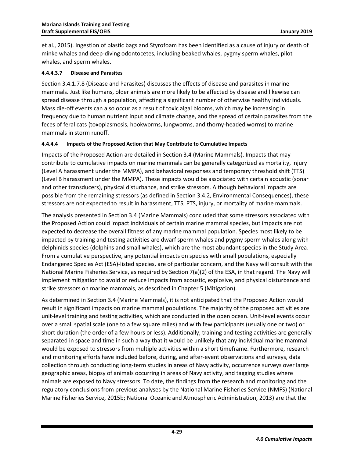[et al., 2015\)](#page-54-6). Ingestion of plastic bags and Styrofoam has been identified as a cause of injury or death of minke whales and deep-diving odontocetes, including beaked whales, pygmy sperm whales, pilot whales, and sperm whales.

#### **4.4.4.3.7 Disease and Parasites**

Section 3.4.1.7.8 (Disease and Parasites) discusses the effects of disease and parasites in marine mammals. Just like humans, older animals are more likely to be affected by disease and likewise can spread disease through a population, affecting a significant number of otherwise healthy individuals. Mass die-off events can also occur as a result of toxic algal blooms, which may be increasing in frequency due to human nutrient input and climate change, and the spread of certain parasites from the feces of feral cats (toxoplasmosis, hookworms, lungworms, and thorny-headed worms) to marine mammals in storm runoff.

### <span id="page-32-0"></span>**4.4.4.4 Impacts of the Proposed Action that May Contribute to Cumulative Impacts**

Impacts of the Proposed Action are detailed in Section 3.4 (Marine Mammals). Impacts that may contribute to cumulative impacts on marine mammals can be generally categorized as mortality, injury (Level A harassment under the MMPA), and behavioral responses and temporary threshold shift (TTS) (Level B harassment under the MMPA). These impacts would be associated with certain acoustic (sonar and other transducers), physical disturbance, and strike stressors. Although behavioral impacts are possible from the remaining stressors (as defined in Section 3.4.2, Environmental Consequences), these stressors are not expected to result in harassment, TTS, PTS, injury, or mortality of marine mammals.

The analysis presented in Section 3.4 (Marine Mammals) concluded that some stressors associated with the Proposed Action could impact individuals of certain marine mammal species, but impacts are not expected to decrease the overall fitness of any marine mammal population. Species most likely to be impacted by training and testing activities are dwarf sperm whales and pygmy sperm whales along with delphinids species (dolphins and small whales), which are the most abundant species in the Study Area. From a cumulative perspective, any potential impacts on species with small populations, especially Endangered Species Act (ESA)-listed species, are of particular concern, and the Navy will consult with the National Marine Fisheries Service, as required by Section 7(a)(2) of the ESA, in that regard. The Navy will implement mitigation to avoid or reduce impacts from acoustic, explosive, and physical disturbance and strike stressors on marine mammals, as described in Chapter 5 (Mitigation).

As determined in Section 3.4 (Marine Mammals), it is not anticipated that the Proposed Action would result in significant impacts on marine mammal populations. The majority of the proposed activities are unit-level training and testing activities, which are conducted in the open ocean. Unit-level events occur over a small spatial scale (one to a few square miles) and with few participants (usually one or two) or short duration (the order of a few hours or less). Additionally, training and testing activities are generally separated in space and time in such a way that it would be unlikely that any individual marine mammal would be exposed to stressors from multiple activities within a short timeframe. Furthermore, research and monitoring efforts have included before, during, and after-event observations and surveys, data collection through conducting long-term studies in areas of Navy activity, occurrence surveys over large geographic areas, biopsy of animals occurring in areas of Navy activity, and tagging studies where animals are exposed to Navy stressors. To date, the findings from the research and monitoring and the regulatory conclusions from previous analyses by the National Marine Fisheries Service (NMFS) [\(National](#page-57-6)  [Marine Fisheries Service, 2015b;](#page-57-6) [National Oceanic and Atmospheric Administration, 2013\)](#page-57-7) are that the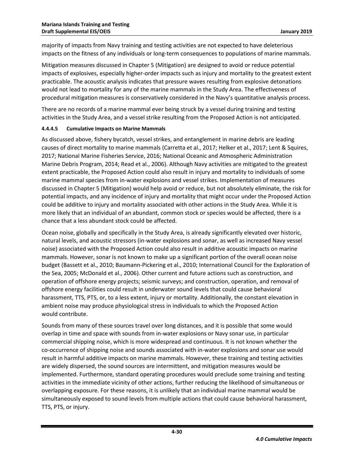majority of impacts from Navy training and testing activities are not expected to have deleterious impacts on the fitness of any individuals or long-term consequences to populations of marine mammals.

Mitigation measures discussed in Chapter 5 (Mitigation) are designed to avoid or reduce potential impacts of explosives, especially higher-order impacts such as injury and mortality to the greatest extent practicable. The acoustic analysis indicates that pressure waves resulting from explosive detonations would not lead to mortality for any of the marine mammals in the Study Area. The effectiveness of procedural mitigation measures is conservatively considered in the Navy's quantitative analysis process.

There are no records of a marine mammal ever being struck by a vessel during training and testing activities in the Study Area, and a vessel strike resulting from the Proposed Action is not anticipated.

#### <span id="page-33-0"></span>**4.4.4.5 Cumulative Impacts on Marine Mammals**

As discussed above, fishery bycatch, vessel strikes, and entanglement in marine debris are leading causes of direct mortality to marine mammals [\(Carretta et al., 2017;](#page-54-7) [Helker et al., 2017;](#page-55-6) [Lent & Squires,](#page-56-7)  [2017;](#page-56-7) [National Marine Fisheries Service, 2016;](#page-57-2) [National Oceanic and Atmospheric Administration](#page-57-8)  [Marine Debris Program, 2014;](#page-57-8) [Read et al., 2006\)](#page-58-9). Although Navy activities are mitigated to the greatest extent practicable, the Proposed Action could also result in injury and mortality to individuals of some marine mammal species from in-water explosions and vessel strikes. Implementation of measures discussed in Chapter 5 (Mitigation) would help avoid or reduce, but not absolutely eliminate, the risk for potential impacts, and any incidence of injury and mortality that might occur under the Proposed Action could be additive to injury and mortality associated with other actions in the Study Area. While it is more likely that an individual of an abundant, common stock or species would be affected, there is a chance that a less abundant stock could be affected.

Ocean noise, globally and specifically in the Study Area, is already significantly elevated over historic, natural levels, and acoustic stressors (in-water explosions and sonar, as well as increased Navy vessel noise) associated with the Proposed Action could also result in additive acoustic impacts on marine mammals. However, sonar is not known to make up a significant portion of the overall ocean noise budget [\(Bassett et al.,](#page-54-8) 2010; [Baumann-Pickering et al., 2010;](#page-54-9) [International Council for the Exploration of](#page-55-7)  [the Sea, 2005;](#page-55-7) [McDonald et al., 2006\)](#page-57-9). Other current and future actions such as construction, and operation of offshore energy projects; seismic surveys; and construction, operation, and removal of offshore energy facilities could result in underwater sound levels that could cause behavioral harassment, TTS, PTS, or, to a less extent, injury or mortality. Additionally, the constant elevation in ambient noise may produce physiological stress in individuals to which the Proposed Action would contribute.

Sounds from many of these sources travel over long distances, and it is possible that some would overlap in time and space with sounds from in-water explosions or Navy sonar use, in particular commercial shipping noise, which is more widespread and continuous. It is not known whether the co-occurrence of shipping noise and sounds associated with in-water explosions and sonar use would result in harmful additive impacts on marine mammals. However, these training and testing activities are widely dispersed, the sound sources are intermittent, and mitigation measures would be implemented. Furthermore, standard operating procedures would preclude some training and testing activities in the immediate vicinity of other actions, further reducing the likelihood of simultaneous or overlapping exposure. For these reasons, it is unlikely that an individual marine mammal would be simultaneously exposed to sound levels from multiple actions that could cause behavioral harassment, TTS, PTS, or injury.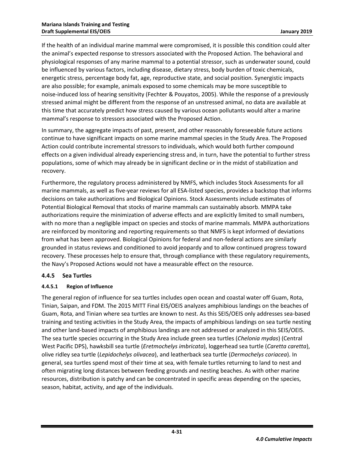If the health of an individual marine mammal were compromised, it is possible this condition could alter the animal's expected response to stressors associated with the Proposed Action. The behavioral and physiological responses of any marine mammal to a potential stressor, such as underwater sound, could be influenced by various factors, including disease, dietary stress, body burden of toxic chemicals, energetic stress, percentage body fat, age, reproductive state, and social position. Synergistic impacts are also possible; for example, animals exposed to some chemicals may be more susceptible to noise-induced loss of hearing sensitivity [\(Fechter & Pouyatos, 2005\)](#page-55-8). While the response of a previously stressed animal might be different from the response of an unstressed animal, no data are available at this time that accurately predict how stress caused by various ocean pollutants would alter a marine mammal's response to stressors associated with the Proposed Action.

In summary, the aggregate impacts of past, present, and other reasonably foreseeable future actions continue to have significant impacts on some marine mammal species in the Study Area. The Proposed Action could contribute incremental stressors to individuals, which would both further compound effects on a given individual already experiencing stress and, in turn, have the potential to further stress populations, some of which may already be in significant decline or in the midst of stabilization and recovery.

Furthermore, the regulatory process administered by NMFS, which includes Stock Assessments for all marine mammals, as well as five-year reviews for all ESA-listed species, provides a backstop that informs decisions on take authorizations and Biological Opinions. Stock Assessments include estimates of Potential Biological Removal that stocks of marine mammals can sustainably absorb. MMPA take authorizations require the minimization of adverse effects and are explicitly limited to small numbers, with no more than a negligible impact on species and stocks of marine mammals. MMPA authorizations are reinforced by monitoring and reporting requirements so that NMFS is kept informed of deviations from what has been approved. Biological Opinions for federal and non-federal actions are similarly grounded in status reviews and conditioned to avoid jeopardy and to allow continued progress toward recovery. These processes help to ensure that, through compliance with these regulatory requirements, the Navy's Proposed Actions would not have a measurable effect on the resource.

## <span id="page-34-0"></span>**4.4.5 Sea Turtles**

## <span id="page-34-1"></span>**4.4.5.1 Region of Influence**

The general region of influence for sea turtles includes open ocean and coastal water off Guam, Rota, Tinian, Saipan, and FDM. The 2015 MITT Final EIS/OEIS analyzes amphibious landings on the beaches of Guam, Rota, and Tinian where sea turtles are known to nest. As this SEIS/OEIS only addresses sea-based training and testing activities in the Study Area, the impacts of amphibious landings on sea turtle nesting and other land-based impacts of amphibious landings are not addressed or analyzed in this SEIS/OEIS. The sea turtle species occurring in the Study Area include green sea turtles (*Chelonia mydas*) (Central West Pacific DPS), hawksbill sea turtle (*Eretmochelys imbricata*), loggerhead sea turtle (*Caretta caretta*), olive ridley sea turtle (*Lepidochelys olivacea*), and leatherback sea turtle (*Dermochelys coriacea*). In general, sea turtles spend most of their time at sea, with female turtles returning to land to nest and often migrating long distances between feeding grounds and nesting beaches. As with other marine resources, distribution is patchy and can be concentrated in specific areas depending on the species, season, habitat, activity, and age of the individuals.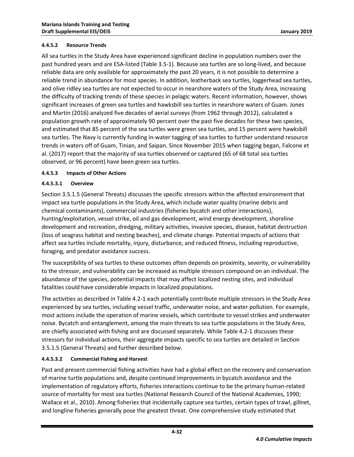#### <span id="page-35-0"></span>**4.4.5.2 Resource Trends**

All sea turtles in the Study Area have experienced significant decline in population numbers over the past hundred years and are ESA-listed (Table 3.5-1). Because sea turtles are so long-lived, and because reliable data are only available for approximately the past 20 years, it is not possible to determine a reliable trend in abundance for most species. In addition, leatherback sea turtles, loggerhead sea turtles, and olive ridley sea turtles are not expected to occur in nearshore waters of the Study Area, increasing the difficulty of tracking trends of these species in pelagic waters. Recent information, however, shows significant increases of green sea turtles and hawksbill sea turtles in nearshore waters of Guam. Jones and Martin (2016) analyzed five decades of aerial surveys (from 1962 through 2012), calculated a population growth rate of approximately 90 percent over the past five decades for these two species, and estimated that 85 percent of the sea turtles were green sea turtles, and 15 percent were hawksbill sea turtles. The Navy is currently funding in-water tagging of sea turtles to further understand resource trends in waters off of Guam, Tinian, and Saipan. Since November 2015 when tagging began, Falcone et al. (2017) report that the majority of sea turtles observed or captured (65 of 68 total sea turtles observed, or 96 percent) have been green sea turtles.

### <span id="page-35-1"></span>**4.4.5.3 Impacts of Other Actions**

### **4.4.5.3.1 Overview**

Section 3.5.1.5 (General Threats) discusses the specific stressors within the affected environment that impact sea turtle populations in the Study Area, which include water quality (marine debris and chemical contaminants), commercial industries (fisheries bycatch and other interactions), hunting/exploitation, vessel strike, oil and gas development, wind energy development, shoreline development and recreation, dredging, military activities, invasive species, disease, habitat destruction (loss of seagrass habitat and nesting beaches), and climate change. Potential impacts of actions that affect sea turtles include mortality, injury, disturbance, and reduced fitness, including reproductive, foraging, and predator avoidance success.

The susceptibility of sea turtles to these outcomes often depends on proximity, severity, or vulnerability to the stressor, and vulnerability can be increased as multiple stressors compound on an individual. The abundance of the species, potential impacts that may affect localized nesting sites, and individual fatalities could have considerable impacts in localized populations.

The activities as described in [Table 4.2-1](#page-6-0) each potentially contribute multiple stressors in the Study Area experienced by sea turtles, including vessel traffic, underwater noise, and water pollution. For example, most actions include the operation of marine vessels, which contribute to vessel strikes and underwater noise. Bycatch and entanglement, among the main threats to sea turtle populations in the Study Area, are chiefly associated with fishing and are discussed separately. While [Table 4.2-1](#page-6-0) discusses these stressors for individual actions, their aggregate impacts specific to sea turtles are detailed in Section 3.5.1.5 (General Threats) and further described below.

## **4.4.5.3.2 Commercial Fishing and Harvest**

Past and present commercial fishing activities have had a global effect on the recovery and conservation of marine turtle populations and, despite continued improvements in bycatch avoidance and the implementation of regulatory efforts, fisheries interactions continue to be the primary human-related source of mortality for most sea turtles [\(National Research Council of the National Academies, 1990;](#page-57-10) [Wallace et al., 2010\)](#page-59-2). Among fisheries that incidentally capture sea turtles, certain types of trawl, gillnet, and longline fisheries generally pose the greatest threat. One comprehensive study estimated that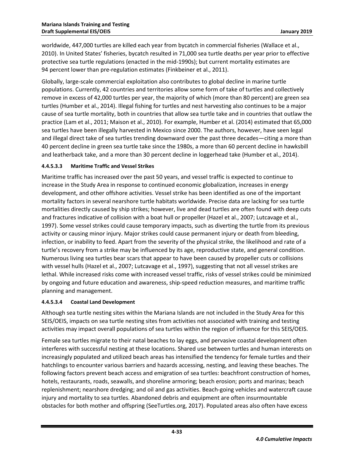worldwide, 447,000 turtles are killed each year from bycatch in commercial fisheries [\(Wallace et al.,](#page-59-2)  [2010\)](#page-59-2). In United States' fisheries, bycatch resulted in 71,000 sea turtle deaths per year prior to effective protective sea turtle regulations (enacted in the mid-1990s); but current mortality estimates are 94 percent lower than pre-regulation estimates [\(Finkbeiner et al., 2011\)](#page-55-9).

Globally, large-scale commercial exploitation also contributes to global decline in marine turtle populations. Currently, 42 countries and territories allow some form of take of turtles and collectively remove in excess of 42,000 turtles per year, the majority of which (more than 80 percent) are green sea turtles [\(Humber et al., 2014\)](#page-55-10). Illegal fishing for turtles and nest harvesting also continues to be a major cause of sea turtle mortality, both in countries that allow sea turtle take and in countries that outlaw the practice [\(Lam et al., 2011;](#page-56-10) [Maison et al., 2010\)](#page-56-11). For example, Humber et al. (2014) estimated that 65,000 sea turtles have been illegally harvested in Mexico since 2000. The authors, however, have seen legal and illegal direct take of sea turtles trending downward over the past three decades—citing a more than 40 percent decline in green sea turtle take since the 1980s, a more than 60 percent decline in hawksbill and leatherback take, and a more than 30 percent decline in loggerhead take [\(Humber et al., 2014\)](#page-55-10).

### **4.4.5.3.3 Maritime Traffic and Vessel Strikes**

Maritime traffic has increased over the past 50 years, and vessel traffic is expected to continue to increase in the Study Area in response to continued economic globalization, increases in energy development, and other offshore activities. Vessel strike has been identified as one of the important mortality factors in several nearshore turtle habitats worldwide. Precise data are lacking for sea turtle mortalities directly caused by ship strikes; however, live and dead turtles are often found with deep cuts and fractures indicative of collision with a boat hull or propeller [\(Hazel et al., 2007;](#page-55-11) [Lutcavage et al.,](#page-56-12)  [1997\)](#page-56-12). Some vessel strikes could cause temporary impacts, such as diverting the turtle from its previous activity or causing minor injury. Major strikes could cause permanent injury or death from bleeding, infection, or inability to feed. Apart from the severity of the physical strike, the likelihood and rate of a turtle's recovery from a strike may be influenced by its age, reproductive state, and general condition. Numerous living sea turtles bear scars that appear to have been caused by propeller cuts or collisions with vessel hulls [\(Hazel et al., 2007;](#page-55-11) [Lutcavage et al., 1997\)](#page-56-12), suggesting that not all vessel strikes are lethal. While increased risks come with increased vessel traffic, risks of vessel strikes could be minimized by ongoing and future education and awareness, ship-speed reduction measures, and maritime traffic planning and management.

#### **4.4.5.3.4 Coastal Land Development**

Although sea turtle nesting sites within the Mariana Islands are not included in the Study Area for this SEIS/OEIS, impacts on sea turtle nesting sites from activities not associated with training and testing activities may impact overall populations of sea turtles within the region of influence for this SEIS/OEIS.

Female sea turtles migrate to their natal beaches to lay eggs, and pervasive coastal development often interferes with successful nesting at these locations. Shared use between turtles and human interests on increasingly populated and utilized beach areas has intensified the tendency for female turtles and their hatchlings to encounter various barriers and hazards accessing, nesting, and leaving these beaches. The following factors prevent beach access and emigration of sea turtles: beachfront construction of homes, hotels, restaurants, roads, seawalls, and shoreline armoring; beach erosion; ports and marinas; beach replenishment; nearshore dredging; and oil and gas activities. Beach-going vehicles and watercraft cause injury and mortality to sea turtles. Abandoned debris and equipment are often insurmountable obstacles for both mother and offspring [\(SeeTurtles.org, 2017\)](#page-58-12). Populated areas also often have excess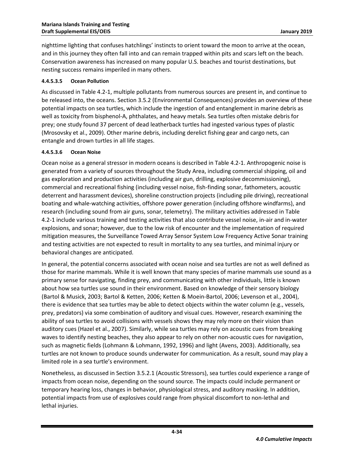nighttime lighting that confuses hatchlings' instincts to orient toward the moon to arrive at the ocean, and in this journey they often fall into and can remain trapped within pits and scars left on the beach. Conservation awareness has increased on many popular U.S. beaches and tourist destinations, but nesting success remains imperiled in many others.

#### **4.4.5.3.5 Ocean Pollution**

As discussed i[n Table 4.2-1,](#page-6-0) multiple pollutants from numerous sources are present in, and continue to be released into, the oceans. Section 3.5.2 (Environmental Consequences) provides an overview of these potential impacts on sea turtles, which include the ingestion of and entanglement in marine debris as well as toxicity from bisphenol-A, phthalates, and heavy metals. Sea turtles often mistake debris for prey; one study found 37 percent of dead leatherback turtles had ingested various types of plastic [\(Mrosovsky et al., 2009\)](#page-57-11). Other marine debris, including derelict fishing gear and cargo nets, can entangle and drown turtles in all life stages.

#### **4.4.5.3.6 Ocean Noise**

Ocean noise as a general stressor in modern oceans is described in [Table 4.2-1.](#page-6-0) Anthropogenic noise is generated from a variety of sources throughout the Study Area, including commercial shipping, oil and gas exploration and production activities (including air gun, drilling, explosive decommissioning), commercial and recreational fishing (including vessel noise, fish-finding sonar, fathometers, acoustic deterrent and harassment devices), shoreline construction projects (including pile driving), recreational boating and whale-watching activities, offshore power generation (including offshore windfarms), and research (including sound from air guns, sonar, telemetry). The military activities addressed in [Table](#page-6-0)  [4.2-1](#page-6-0) include various training and testing activities that also contribute vessel noise, in-air and in-water explosions, and sonar; however, due to the low risk of encounter and the implementation of required mitigation measures, the Surveillance Towed Array Sensor System Low Frequency Active Sonar training and testing activities are not expected to result in mortality to any sea turtles, and minimal injury or behavioral changes are anticipated.

In general, the potential concerns associated with ocean noise and sea turtles are not as well defined as those for marine mammals. While it is well known that many species of marine mammals use sound as a primary sense for navigating, finding prey, and communicating with other individuals, little is known about how sea turtles use sound in their environment. Based on knowledge of their sensory biology [\(Bartol & Musick, 2003;](#page-54-10) [Bartol & Ketten, 2006;](#page-54-11) [Ketten & Moein-Bartol, 2006;](#page-56-13) [Levenson et al., 2004\)](#page-56-14), there is evidence that sea turtles may be able to detect objects within the water column (e.g., vessels, prey, predators) via some combination of auditory and visual cues. However, research examining the ability of sea turtles to avoid collisions with vessels shows they may rely more on their vision than auditory cues [\(Hazel et al., 2007\)](#page-55-11). Similarly, while sea turtles may rely on acoustic cues from breaking waves to identify nesting beaches, they also appear to rely on other non-acoustic cues for navigation, such as magnetic fields [\(Lohmann & Lohmann, 1992,](#page-56-15) [1996\)](#page-56-16) and light [\(Avens, 2003\)](#page-54-12). Additionally, sea turtles are not known to produce sounds underwater for communication. As a result, sound may play a limited role in a sea turtle's environment.

Nonetheless, as discussed in Section 3.5.2.1 (Acoustic Stressors), sea turtles could experience a range of impacts from ocean noise, depending on the sound source. The impacts could include permanent or temporary hearing loss, changes in behavior, physiological stress, and auditory masking. In addition, potential impacts from use of explosives could range from physical discomfort to non-lethal and lethal injuries.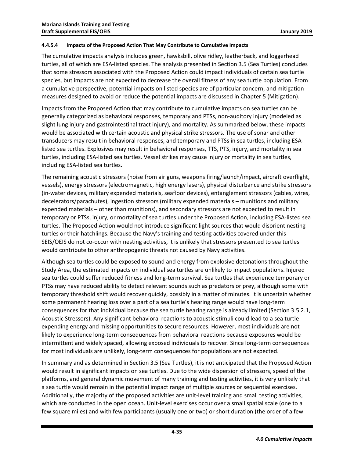#### <span id="page-38-0"></span>**4.4.5.4 Impacts of the Proposed Action That May Contribute to Cumulative Impacts**

The cumulative impacts analysis includes green, hawksbill, olive ridley, leatherback, and loggerhead turtles, all of which are ESA-listed species. The analysis presented in Section 3.5 (Sea Turtles) concludes that some stressors associated with the Proposed Action could impact individuals of certain sea turtle species, but impacts are not expected to decrease the overall fitness of any sea turtle population. From a cumulative perspective, potential impacts on listed species are of particular concern, and mitigation measures designed to avoid or reduce the potential impacts are discussed in Chapter 5 (Mitigation).

Impacts from the Proposed Action that may contribute to cumulative impacts on sea turtles can be generally categorized as behavioral responses, temporary and PTSs, non-auditory injury (modeled as slight lung injury and gastrointestinal tract injury), and mortality. As summarized below, these impacts would be associated with certain acoustic and physical strike stressors. The use of sonar and other transducers may result in behavioral responses, and temporary and PTSs in sea turtles, including ESAlisted sea turtles. Explosives may result in behavioral responses, TTS, PTS, injury, and mortality in sea turtles, including ESA-listed sea turtles. Vessel strikes may cause injury or mortality in sea turtles, including ESA-listed sea turtles.

The remaining acoustic stressors (noise from air guns, weapons firing/launch/impact, aircraft overflight, vessels), energy stressors (electromagnetic, high energy lasers), physical disturbance and strike stressors (in-water devices, military expended materials, seafloor devices), entanglement stressors (cables, wires, decelerators/parachutes), ingestion stressors (military expended materials – munitions and military expended materials – other than munitions), and secondary stressors are not expected to result in temporary or PTSs, injury, or mortality of sea turtles under the Proposed Action, including ESA-listed sea turtles. The Proposed Action would not introduce significant light sources that would disorient nesting turtles or their hatchlings. Because the Navy's training and testing activities covered under this SEIS/OEIS do not co-occur with nesting activities, it is unlikely that stressors presented to sea turtles would contribute to other anthropogenic threats not caused by Navy activities.

Although sea turtles could be exposed to sound and energy from explosive detonations throughout the Study Area, the estimated impacts on individual sea turtles are unlikely to impact populations. Injured sea turtles could suffer reduced fitness and long-term survival. Sea turtles that experience temporary or PTSs may have reduced ability to detect relevant sounds such as predators or prey, although some with temporary threshold shift would recover quickly, possibly in a matter of minutes. It is uncertain whether some permanent hearing loss over a part of a sea turtle's hearing range would have long-term consequences for that individual because the sea turtle hearing range is already limited (Section 3.5.2.1, Acoustic Stressors). Any significant behavioral reactions to acoustic stimuli could lead to a sea turtle expending energy and missing opportunities to secure resources. However, most individuals are not likely to experience long-term consequences from behavioral reactions because exposures would be intermittent and widely spaced, allowing exposed individuals to recover. Since long-term consequences for most individuals are unlikely, long-term consequences for populations are not expected.

In summary and as determined in Section 3.5 (Sea Turtles), it is not anticipated that the Proposed Action would result in significant impacts on sea turtles. Due to the wide dispersion of stressors, speed of the platforms, and general dynamic movement of many training and testing activities, it is very unlikely that a sea turtle would remain in the potential impact range of multiple sources or sequential exercises. Additionally, the majority of the proposed activities are unit-level training and small testing activities, which are conducted in the open ocean. Unit-level exercises occur over a small spatial scale (one to a few square miles) and with few participants (usually one or two) or short duration (the order of a few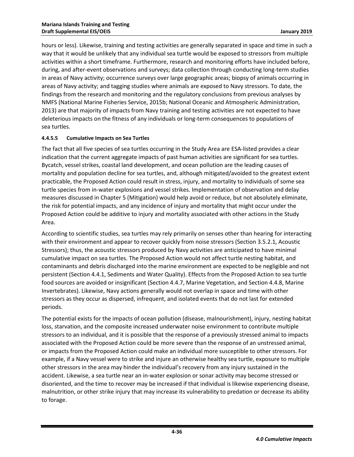hours or less). Likewise, training and testing activities are generally separated in space and time in such a way that it would be unlikely that any individual sea turtle would be exposed to stressors from multiple activities within a short timeframe. Furthermore, research and monitoring efforts have included before, during, and after-event observations and surveys; data collection through conducting long-term studies in areas of Navy activity; occurrence surveys over large geographic areas; biopsy of animals occurring in areas of Navy activity; and tagging studies where animals are exposed to Navy stressors. To date, the findings from the research and monitoring and the regulatory conclusions from previous analyses by NMFS [\(National Marine Fisheries Service, 2015b;](#page-57-6) [National Oceanic and Atmospheric Administration,](#page-57-7)  [2013\)](#page-57-7) are that majority of impacts from Navy training and testing activities are not expected to have deleterious impacts on the fitness of any individuals or long-term consequences to populations of sea turtles.

### <span id="page-39-0"></span>**4.4.5.5 Cumulative Impacts on Sea Turtles**

The fact that all five species of sea turtles occurring in the Study Area are ESA-listed provides a clear indication that the current aggregate impacts of past human activities are significant for sea turtles. Bycatch, vessel strikes, coastal land development, and ocean pollution are the leading causes of mortality and population decline for sea turtles, and, although mitigated/avoided to the greatest extent practicable, the Proposed Action could result in stress, injury, and mortality to individuals of some sea turtle species from in-water explosions and vessel strikes. Implementation of observation and delay measures discussed in Chapter 5 (Mitigation) would help avoid or reduce, but not absolutely eliminate, the risk for potential impacts, and any incidence of injury and mortality that might occur under the Proposed Action could be additive to injury and mortality associated with other actions in the Study Area.

According to scientific studies, sea turtles may rely primarily on senses other than hearing for interacting with their environment and appear to recover quickly from noise stressors (Section 3.5.2.1, Acoustic Stressors); thus, the acoustic stressors produced by Navy activities are anticipated to have minimal cumulative impact on sea turtles. The Proposed Action would not affect turtle nesting habitat, and contaminants and debris discharged into the marine environment are expected to be negligible and not persistent (Section 4.4.1, Sediments and Water Quality). Effects from the Proposed Action to sea turtle food sources are avoided or insignificant (Section 4.4.7, Marine Vegetation, and Section 4.4.8, Marine Invertebrates). Likewise, Navy actions generally would not overlap in space and time with other stressors as they occur as dispersed, infrequent, and isolated events that do not last for extended periods.

The potential exists for the impacts of ocean pollution (disease, malnourishment), injury, nesting habitat loss, starvation, and the composite increased underwater noise environment to contribute multiple stressors to an individual, and it is possible that the response of a previously stressed animal to impacts associated with the Proposed Action could be more severe than the response of an unstressed animal, or impacts from the Proposed Action could make an individual more susceptible to other stressors. For example, if a Navy vessel were to strike and injure an otherwise healthy sea turtle, exposure to multiple other stressors in the area may hinder the individual's recovery from any injury sustained in the accident. Likewise, a sea turtle near an in-water explosion or sonar activity may become stressed or disoriented, and the time to recover may be increased if that individual is likewise experiencing disease, malnutrition, or other strike injury that may increase its vulnerability to predation or decrease its ability to forage.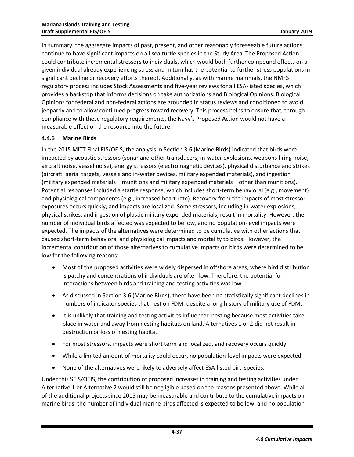In summary, the aggregate impacts of past, present, and other reasonably foreseeable future actions continue to have significant impacts on all sea turtle species in the Study Area. The Proposed Action could contribute incremental stressors to individuals, which would both further compound effects on a given individual already experiencing stress and in turn has the potential to further stress populations in significant decline or recovery efforts thereof. Additionally, as with marine mammals, the NMFS regulatory process includes Stock Assessments and five-year reviews for all ESA-listed species, which provides a backstop that informs decisions on take authorizations and Biological Opinions. Biological Opinions for federal and non-federal actions are grounded in status reviews and conditioned to avoid jeopardy and to allow continued progress toward recovery. This process helps to ensure that, through compliance with these regulatory requirements, the Navy's Proposed Action would not have a measurable effect on the resource into the future.

## <span id="page-40-0"></span>**4.4.6 Marine Birds**

In the 2015 MITT Final EIS/OEIS, the analysis in Section 3.6 (Marine Birds) indicated that birds were impacted by acoustic stressors (sonar and other transducers, in-water explosions, weapons firing noise, aircraft noise, vessel noise), energy stressors (electromagnetic devices), physical disturbance and strikes (aircraft, aerial targets, vessels and in-water devices, military expended materials), and ingestion (military expended materials – munitions and military expended materials – other than munitions). Potential responses included a startle response, which includes short-term behavioral (e.g., movement) and physiological components (e.g., increased heart rate). Recovery from the impacts of most stressor exposures occurs quickly, and impacts are localized. Some stressors, including in-water explosions, physical strikes, and ingestion of plastic military expended materials, result in mortality. However, the number of individual birds affected was expected to be low, and no population-level impacts were expected. The impacts of the alternatives were determined to be cumulative with other actions that caused short-term behavioral and physiological impacts and mortality to birds. However, the incremental contribution of those alternatives to cumulative impacts on birds were determined to be low for the following reasons:

- Most of the proposed activities were widely dispersed in offshore areas, where bird distribution is patchy and concentrations of individuals are often low. Therefore, the potential for interactions between birds and training and testing activities was low.
- As discussed in Section 3.6 (Marine Birds), there have been no statistically significant declines in numbers of indicator species that nest on FDM, despite a long history of military use of FDM.
- It is unlikely that training and testing activities influenced nesting because most activities take place in water and away from nesting habitats on land. Alternatives 1 or 2 did not result in destruction or loss of nesting habitat.
- For most stressors, impacts were short term and localized, and recovery occurs quickly.
- While a limited amount of mortality could occur, no population-level impacts were expected.
- None of the alternatives were likely to adversely affect ESA-listed bird species.

Under this SEIS/OEIS, the contribution of proposed increases in training and testing activities under Alternative 1 or Alternative 2 would still be negligible based on the reasons presented above. While all of the additional projects since 2015 may be measurable and contribute to the cumulative impacts on marine birds, the number of individual marine birds affected is expected to be low, and no population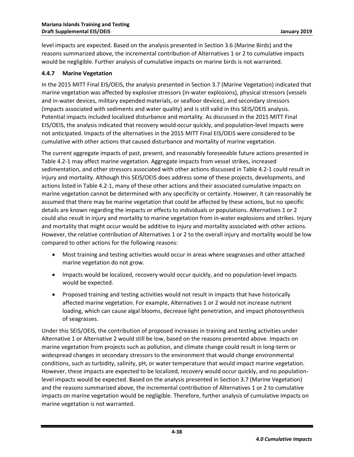level impacts are expected. Based on the analysis presented in Section 3.6 (Marine Birds) and the reasons summarized above, the incremental contribution of Alternatives 1 or 2 to cumulative impacts would be negligible. Further analysis of cumulative impacts on marine birds is not warranted.

#### <span id="page-41-0"></span>**4.4.7 Marine Vegetation**

In the 2015 MITT Final EIS/OEIS, the analysis presented in Section 3.7 (Marine Vegetation) indicated that marine vegetation was affected by explosive stressors (in-water explosions), physical stressors (vessels and in-water devices, military expended materials, or seafloor devices), and secondary stressors (impacts associated with sediments and water quality) and is still valid in this SEIS/OEIS analysis. Potential impacts included localized disturbance and mortality. As discussed in the 2015 MITT Final EIS/OEIS, the analysis indicated that recovery would occur quickly, and population-level impacts were not anticipated. Impacts of the alternatives in the 2015 MITT Final EIS/OEIS were considered to be cumulative with other actions that caused disturbance and mortality of marine vegetation.

The current aggregate impacts of past, present, and reasonably foreseeable future actions presented in [Table 4.2-1](#page-6-0) may affect marine vegetation. Aggregate impacts from vessel strikes, increased sedimentation, and other stressors associated with other actions discussed in [Table 4.2-1](#page-6-0) could result in injury and mortality. Although this SEIS/OEIS does address some of these projects, developments, and actions listed in [Table 4.2-1,](#page-6-0) many of these other actions and their associated cumulative impacts on marine vegetation cannot be determined with any specificity or certainty. However, it can reasonably be assumed that there may be marine vegetation that could be affected by these actions, but no specific details are known regarding the impacts or effects to individuals or populations. Alternatives 1 or 2 could also result in injury and mortality to marine vegetation from in-water explosions and strikes. Injury and mortality that might occur would be additive to injury and mortality associated with other actions. However, the relative contribution of Alternatives 1 or 2 to the overall injury and mortality would be low compared to other actions for the following reasons:

- Most training and testing activities would occur in areas where seagrasses and other attached marine vegetation do not grow.
- Impacts would be localized, recovery would occur quickly, and no population-level impacts would be expected.
- Proposed training and testing activities would not result in impacts that have historically affected marine vegetation. For example, Alternatives 1 or 2 would not increase nutrient loading, which can cause algal blooms, decrease light penetration, and impact photosynthesis of seagrasses.

Under this SEIS/OEIS, the contribution of proposed increases in training and testing activities under Alternative 1 or Alternative 2 would still be low, based on the reasons presented above. Impacts on marine vegetation from projects such as pollution, and climate change could result in long-term or widespread changes in secondary stressors to the environment that would change environmental conditions, such as turbidity, salinity, pH, or water temperature that would impact marine vegetation. However, these impacts are expected to be localized, recovery would occur quickly, and no populationlevel impacts would be expected. Based on the analysis presented in Section 3.7 (Marine Vegetation) and the reasons summarized above, the incremental contribution of Alternatives 1 or 2 to cumulative impacts on marine vegetation would be negligible. Therefore, further analysis of cumulative impacts on marine vegetation is not warranted.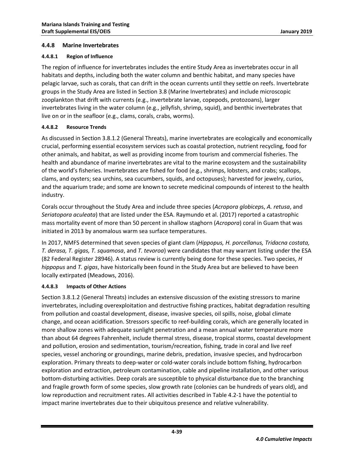#### <span id="page-42-0"></span>**4.4.8 Marine Invertebrates**

#### <span id="page-42-1"></span>**4.4.8.1 Region of Influence**

The region of influence for invertebrates includes the entire Study Area as invertebrates occur in all habitats and depths, including both the water column and benthic habitat, and many species have pelagic larvae, such as corals, that can drift in the ocean currents until they settle on reefs. Invertebrate groups in the Study Area are listed in Section 3.8 (Marine Invertebrates) and include microscopic zooplankton that drift with currents (e.g., invertebrate larvae, copepods, protozoans), larger invertebrates living in the water column (e.g., jellyfish, shrimp, squid), and benthic invertebrates that live on or in the seafloor (e.g., clams, corals, crabs, worms).

### <span id="page-42-2"></span>**4.4.8.2 Resource Trends**

As discussed in Section 3.8.1.2 (General Threats), marine invertebrates are ecologically and economically crucial, performing essential ecosystem services such as coastal protection, nutrient recycling, food for other animals, and habitat, as well as providing income from tourism and commercial fisheries. The health and abundance of marine invertebrates are vital to the marine ecosystem and the sustainability of the world's fisheries. Invertebrates are fished for food (e.g., shrimps, lobsters, and crabs; scallops, clams, and oysters; sea urchins, sea cucumbers, squids, and octopuses); harvested for jewelry, curios, and the aquarium trade; and some are known to secrete medicinal compounds of interest to the health industry.

Corals occur throughout the Study Area and include three species (*Acropora globicep*s, *A. retusa*, and *Seriatopora aculeata*) that are listed under the ESA. Raymundo et al. [\(2017\)](#page-58-13) reported a catastrophic mass mortality event of more than 50 percent in shallow staghorn (*Acropora*) coral in Guam that was initiated in 2013 by anomalous warm sea surface temperatures.

In 2017, NMFS determined that seven species of giant clam (*Hippopus, H. porcellanus, Tridacna costata, T. derasa, T. gigas, T. squamosa*, and *T. tevoroa*) were candidates that may warrant listing under the ESA (82 Federal Register 28946). A status review is currently being done for these species. Two species, *H hippopus* and *T. gigas*, have historically been found in the Study Area but are believed to have been locally extirpated [\(Meadows, 2016\)](#page-57-12).

#### <span id="page-42-3"></span>**4.4.8.3 Impacts of Other Actions**

Section 3.8.1.2 (General Threats) includes an extensive discussion of the existing stressors to marine invertebrates, including overexploitation and destructive fishing practices, habitat degradation resulting from pollution and coastal development, disease, invasive species, oil spills, noise, global climate change, and ocean acidification. Stressors specific to reef-building corals, which are generally located in more shallow zones with adequate sunlight penetration and a mean annual water temperature more than about 64 degrees Fahrenheit, include thermal stress, disease, tropical storms, coastal development and pollution, erosion and sedimentation, tourism/recreation, fishing, trade in coral and live reef species, vessel anchoring or groundings, marine debris, predation, invasive species, and hydrocarbon exploration. Primary threats to deep-water or cold-water corals include bottom fishing, hydrocarbon exploration and extraction, petroleum contamination, cable and pipeline installation, and other various bottom-disturbing activities. Deep corals are susceptible to physical disturbance due to the branching and fragile growth form of some species, slow growth rate (colonies can be hundreds of years old), and low reproduction and recruitment rates. All activities described in [Table 4.2-1](#page-6-0) have the potential to impact marine invertebrates due to their ubiquitous presence and relative vulnerability.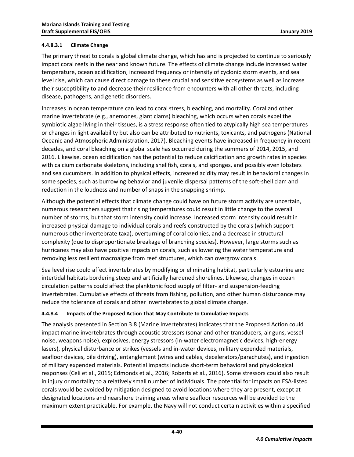#### **4.4.8.3.1 Climate Change**

The primary threat to corals is global climate change, which has and is projected to continue to seriously impact coral reefs in the near and known future. The effects of climate change include increased water temperature, ocean acidification, increased frequency or intensity of cyclonic storm events, and sea level rise, which can cause direct damage to these crucial and sensitive ecosystems as well as increase their susceptibility to and decrease their resilience from encounters with all other threats, including disease, pathogens, and genetic disorders.

Increases in ocean temperature can lead to coral stress, bleaching, and mortality. Coral and other marine invertebrate (e.g., anemones, giant clams) bleaching, which occurs when corals expel the symbiotic algae living in their tissues, is a stress response often tied to atypically high sea temperatures or changes in light availability but also can be attributed to nutrients, toxicants, and pathogens [\(National](#page-57-13)  [Oceanic and Atmospheric Administration, 2017\)](#page-57-13). Bleaching events have increased in frequency in recent decades, and coral bleaching on a global scale has occurred during the summers of 2014, 2015, and 2016. Likewise, ocean acidification has the potential to reduce calcification and growth rates in species with calcium carbonate skeletons, including shellfish, corals, and sponges, and possibly even lobsters and sea cucumbers. In addition to physical effects, increased acidity may result in behavioral changes in some species, such as burrowing behavior and juvenile dispersal patterns of the soft-shell clam and reduction in the loudness and number of snaps in the snapping shrimp.

Although the potential effects that climate change could have on future storm activity are uncertain, numerous researchers suggest that rising temperatures could result in little change to the overall number of storms, but that storm intensity could increase. Increased storm intensity could result in increased physical damage to individual corals and reefs constructed by the corals (which support numerous other invertebrate taxa), overturning of coral colonies, and a decrease in structural complexity (due to disproportionate breakage of branching species). However, large storms such as hurricanes may also have positive impacts on corals, such as lowering the water temperature and removing less resilient macroalgae from reef structures, which can overgrow corals.

Sea level rise could affect invertebrates by modifying or eliminating habitat, particularly estuarine and intertidal habitats bordering steep and artificially hardened shorelines. Likewise, changes in ocean circulation patterns could affect the planktonic food supply of filter- and suspension-feeding invertebrates. Cumulative effects of threats from fishing, pollution, and other human disturbance may reduce the tolerance of corals and other invertebrates to global climate change.

## <span id="page-43-0"></span>**4.4.8.4 Impacts of the Proposed Action That May Contribute to Cumulative Impacts**

The analysis presented in Section 3.8 (Marine Invertebrates) indicates that the Proposed Action could impact marine invertebrates through acoustic stressors (sonar and other transducers, air guns, vessel noise, weapons noise), explosives, energy stressors (in-water electromagnetic devices, high-energy lasers), physical disturbance or strikes (vessels and in-water devices, military expended materials, seafloor devices, pile driving), entanglement (wires and cables, decelerators/parachutes), and ingestion of military expended materials. Potential impacts include short-term behavioral and physiological responses [\(Celi et al., 2015;](#page-54-13) [Edmonds et al., 2016;](#page-55-12) [Roberts et al., 2016\)](#page-58-14). Some stressors could also result in injury or mortality to a relatively small number of individuals. The potential for impacts on ESA-listed corals would be avoided by mitigation designed to avoid locations where they are present, except at designated locations and nearshore training areas where seafloor resources will be avoided to the maximum extent practicable. For example, the Navy will not conduct certain activities within a specified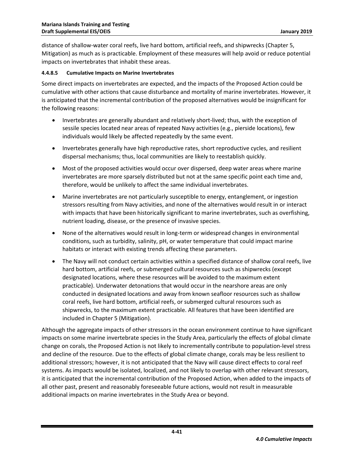distance of shallow-water coral reefs, live hard bottom, artificial reefs, and shipwrecks (Chapter 5, Mitigation) as much as is practicable. Employment of these measures will help avoid or reduce potential impacts on invertebrates that inhabit these areas.

#### <span id="page-44-0"></span>**4.4.8.5 Cumulative Impacts on Marine Invertebrates**

Some direct impacts on invertebrates are expected, and the impacts of the Proposed Action could be cumulative with other actions that cause disturbance and mortality of marine invertebrates. However, it is anticipated that the incremental contribution of the proposed alternatives would be insignificant for the following reasons:

- Invertebrates are generally abundant and relatively short-lived; thus, with the exception of sessile species located near areas of repeated Navy activities (e.g., pierside locations), few individuals would likely be affected repeatedly by the same event.
- Invertebrates generally have high reproductive rates, short reproductive cycles, and resilient dispersal mechanisms; thus, local communities are likely to reestablish quickly.
- Most of the proposed activities would occur over dispersed, deep water areas where marine invertebrates are more sparsely distributed but not at the same specific point each time and, therefore, would be unlikely to affect the same individual invertebrates.
- Marine invertebrates are not particularly susceptible to energy, entanglement, or ingestion stressors resulting from Navy activities, and none of the alternatives would result in or interact with impacts that have been historically significant to marine invertebrates, such as overfishing, nutrient loading, disease, or the presence of invasive species.
- None of the alternatives would result in long-term or widespread changes in environmental conditions, such as turbidity, salinity, pH, or water temperature that could impact marine habitats or interact with existing trends affecting these parameters.
- The Navy will not conduct certain activities within a specified distance of shallow coral reefs, live hard bottom, artificial reefs, or submerged cultural resources such as shipwrecks (except designated locations, where these resources will be avoided to the maximum extent practicable). Underwater detonations that would occur in the nearshore areas are only conducted in designated locations and away from known seafloor resources such as shallow coral reefs, live hard bottom, artificial reefs, or submerged cultural resources such as shipwrecks, to the maximum extent practicable. All features that have been identified are included in Chapter 5 (Mitigation).

Although the aggregate impacts of other stressors in the ocean environment continue to have significant impacts on some marine invertebrate species in the Study Area, particularly the effects of global climate change on corals, the Proposed Action is not likely to incrementally contribute to population-level stress and decline of the resource. Due to the effects of global climate change, corals may be less resilient to additional stressors; however, it is not anticipated that the Navy will cause direct effects to coral reef systems. As impacts would be isolated, localized, and not likely to overlap with other relevant stressors, it is anticipated that the incremental contribution of the Proposed Action, when added to the impacts of all other past, present and reasonably foreseeable future actions, would not result in measurable additional impacts on marine invertebrates in the Study Area or beyond.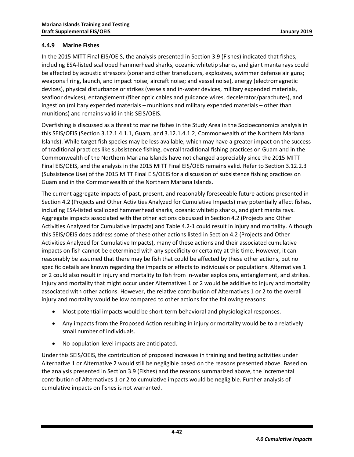### <span id="page-45-0"></span>**4.4.9 Marine Fishes**

In the 2015 MITT Final EIS/OEIS, the analysis presented in Section 3.9 (Fishes) indicated that fishes, including ESA-listed scalloped hammerhead sharks, oceanic whitetip sharks, and giant manta rays could be affected by acoustic stressors (sonar and other transducers, explosives, swimmer defense air guns; weapons firing, launch, and impact noise; aircraft noise; and vessel noise), energy (electromagnetic devices), physical disturbance or strikes (vessels and in-water devices, military expended materials, seafloor devices), entanglement (fiber optic cables and guidance wires, decelerator/parachutes), and ingestion (military expended materials – munitions and military expended materials – other than munitions) and remains valid in this SEIS/OEIS.

Overfishing is discussed as a threat to marine fishes in the Study Area in the Socioeconomics analysis in this SEIS/OEIS (Section 3.12.1.4.1.1, Guam, and 3.12.1.4.1.2, Commonwealth of the Northern Mariana Islands). While target fish species may be less available, which may have a greater impact on the success of traditional practices like subsistence fishing, overall traditional fishing practices on Guam and in the Commonwealth of the Northern Mariana Islands have not changed appreciably since the 2015 MITT Final EIS/OEIS, and the analysis in the 2015 MITT Final EIS/OEIS remains valid. Refer to Section 3.12.2.3 (Subsistence Use) of the 2015 MITT Final EIS/OEIS for a discussion of subsistence fishing practices on Guam and in the Commonwealth of the Northern Mariana Islands.

The current aggregate impacts of past, present, and reasonably foreseeable future actions presented in Section 4.2 (Projects and Other Activities Analyzed for Cumulative Impacts) may potentially affect fishes, including ESA-listed scalloped hammerhead sharks, oceanic whitetip sharks, and giant manta rays. Aggregate impacts associated with the other actions discussed in Section 4.2 (Projects and Other Activities Analyzed for Cumulative Impacts) and [Table 4.2-1](#page-6-0) could result in injury and mortality. Although this SEIS/OEIS does address some of these other actions listed in Section 4.2 (Projects and Other Activities Analyzed for Cumulative Impacts), many of these actions and their associated cumulative impacts on fish cannot be determined with any specificity or certainty at this time. However, it can reasonably be assumed that there may be fish that could be affected by these other actions, but no specific details are known regarding the impacts or effects to individuals or populations. Alternatives 1 or 2 could also result in injury and mortality to fish from in-water explosions, entanglement, and strikes. Injury and mortality that might occur under Alternatives 1 or 2 would be additive to injury and mortality associated with other actions. However, the relative contribution of Alternatives 1 or 2 to the overall injury and mortality would be low compared to other actions for the following reasons:

- Most potential impacts would be short-term behavioral and physiological responses.
- Any impacts from the Proposed Action resulting in injury or mortality would be to a relatively small number of individuals.
- No population-level impacts are anticipated.

Under this SEIS/OEIS, the contribution of proposed increases in training and testing activities under Alternative 1 or Alternative 2 would still be negligible based on the reasons presented above. Based on the analysis presented in Section 3.9 (Fishes) and the reasons summarized above, the incremental contribution of Alternatives 1 or 2 to cumulative impacts would be negligible. Further analysis of cumulative impacts on fishes is not warranted.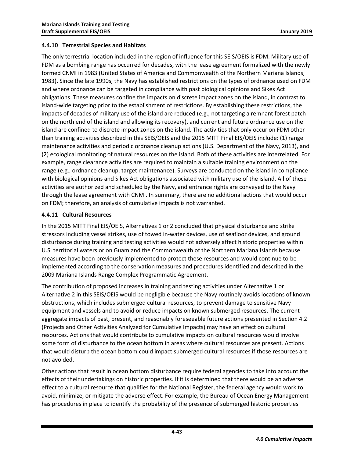### <span id="page-46-0"></span>**4.4.10 Terrestrial Species and Habitats**

The only terrestrial location included in the region of influence for this SEIS/OEIS is FDM. Military use of FDM as a bombing range has occurred for decades, with the lease agreement formalized with the newly formed CNMI in 1983 [\(United States of America and Commonwealth of the Northern Mariana Islands,](#page-59-3)  [1983\)](#page-59-3). Since the late 1990s, the Navy has established restrictions on the types of ordnance used on FDM and where ordnance can be targeted in compliance with past biological opinions and Sikes Act obligations. These measures confine the impacts on discrete impact zones on the island, in contrast to island-wide targeting prior to the establishment of restrictions. By establishing these restrictions, the impacts of decades of military use of the island are reduced (e.g., not targeting a remnant forest patch on the north end of the island and allowing its recovery), and current and future ordnance use on the island are confined to discrete impact zones on the island. The activities that only occur on FDM other than training activities described in this SEIS/OEIS and the 2015 MITT Final EIS/OEIS include: (1) range maintenance activities and periodic ordnance cleanup actions [\(U.S. Department of the Navy, 2013\)](#page-58-15), and (2) ecological monitoring of natural resources on the island. Both of these activities are interrelated. For example, range clearance activities are required to maintain a suitable training environment on the range (e.g., ordnance cleanup, target maintenance). Surveys are conducted on the island in compliance with biological opinions and Sikes Act obligations associated with military use of the island. All of these activities are authorized and scheduled by the Navy, and entrance rights are conveyed to the Navy through the lease agreement with CNMI. In summary, there are no additional actions that would occur on FDM; therefore, an analysis of cumulative impacts is not warranted.

### <span id="page-46-1"></span>**4.4.11 Cultural Resources**

In the 2015 MITT Final EIS/OEIS, Alternatives 1 or 2 concluded that physical disturbance and strike stressors including vessel strikes, use of towed in-water devices, use of seafloor devices, and ground disturbance during training and testing activities would not adversely affect historic properties within U.S. territorial waters or on Guam and the Commonwealth of the Northern Mariana Islands because measures have been previously implemented to protect these resources and would continue to be implemented according to the conservation measures and procedures identified and described in the 2009 Mariana Islands Range Complex Programmatic Agreement.

The contribution of proposed increases in training and testing activities under Alternative 1 or Alternative 2 in this SEIS/OEIS would be negligible because the Navy routinely avoids locations of known obstructions, which includes submerged cultural resources, to prevent damage to sensitive Navy equipment and vessels and to avoid or reduce impacts on known submerged resources. The current aggregate impacts of past, present, and reasonably foreseeable future actions presented in Section 4.2 (Projects and Other Activities Analyzed for Cumulative Impacts) may have an effect on cultural resources. Actions that would contribute to cumulative impacts on cultural resources would involve some form of disturbance to the ocean bottom in areas where cultural resources are present. Actions that would disturb the ocean bottom could impact submerged cultural resources if those resources are not avoided.

Other actions that result in ocean bottom disturbance require federal agencies to take into account the effects of their undertakings on historic properties. If it is determined that there would be an adverse effect to a cultural resource that qualifies for the National Register, the federal agency would work to avoid, minimize, or mitigate the adverse effect. For example, the Bureau of Ocean Energy Management has procedures in place to identify the probability of the presence of submerged historic properties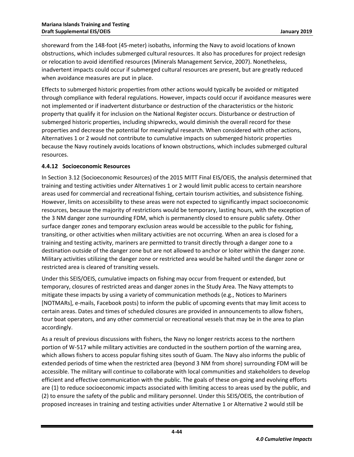shoreward from the 148-foot (45-meter) isobaths, informing the Navy to avoid locations of known obstructions, which includes submerged cultural resources. It also has procedures for project redesign or relocation to avoid identified resources [\(Minerals Management Service, 2007\)](#page-57-14). Nonetheless, inadvertent impacts could occur if submerged cultural resources are present, but are greatly reduced when avoidance measures are put in place.

Effects to submerged historic properties from other actions would typically be avoided or mitigated through compliance with federal regulations. However, impacts could occur if avoidance measures were not implemented or if inadvertent disturbance or destruction of the characteristics or the historic property that qualify it for inclusion on the National Register occurs. Disturbance or destruction of submerged historic properties, including shipwrecks, would diminish the overall record for these properties and decrease the potential for meaningful research. When considered with other actions, Alternatives 1 or 2 would not contribute to cumulative impacts on submerged historic properties because the Navy routinely avoids locations of known obstructions, which includes submerged cultural resources.

### <span id="page-47-0"></span>**4.4.12 Socioeconomic Resources**

In Section 3.12 (Socioeconomic Resources) of the 2015 MITT Final EIS/OEIS, the analysis determined that training and testing activities under Alternatives 1 or 2 would limit public access to certain nearshore areas used for commercial and recreational fishing, certain tourism activities, and subsistence fishing. However, limits on accessibility to these areas were not expected to significantly impact socioeconomic resources, because the majority of restrictions would be temporary, lasting hours, with the exception of the 3 NM danger zone surrounding FDM, which is permanently closed to ensure public safety. Other surface danger zones and temporary exclusion areas would be accessible to the public for fishing, transiting, or other activities when military activities are not occurring. When an area is closed for a training and testing activity, mariners are permitted to transit directly through a danger zone to a destination outside of the danger zone but are not allowed to anchor or loiter within the danger zone. Military activities utilizing the danger zone or restricted area would be halted until the danger zone or restricted area is cleared of transiting vessels.

Under this SEIS/OEIS, cumulative impacts on fishing may occur from frequent or extended, but temporary, closures of restricted areas and danger zones in the Study Area. The Navy attempts to mitigate these impacts by using a variety of communication methods (e.g., Notices to Mariners [NOTMARs], e-mails, Facebook posts) to inform the public of upcoming events that may limit access to certain areas. Dates and times of scheduled closures are provided in announcements to allow fishers, tour boat operators, and any other commercial or recreational vessels that may be in the area to plan accordingly.

As a result of previous discussions with fishers, the Navy no longer restricts access to the northern portion of W-517 while military activities are conducted in the southern portion of the warning area, which allows fishers to access popular fishing sites south of Guam. The Navy also informs the public of extended periods of time when the restricted area (beyond 3 NM from shore) surrounding FDM will be accessible. The military will continue to collaborate with local communities and stakeholders to develop efficient and effective communication with the public. The goals of these on-going and evolving efforts are (1) to reduce socioeconomic impacts associated with limiting access to areas used by the public, and (2) to ensure the safety of the public and military personnel. Under this SEIS/OEIS, the contribution of proposed increases in training and testing activities under Alternative 1 or Alternative 2 would still be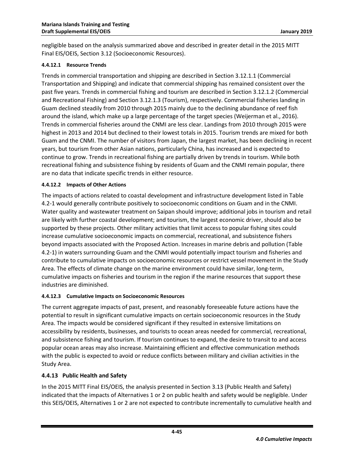negligible based on the analysis summarized above and described in greater detail in the 2015 MITT Final EIS/OEIS, Section 3.12 (Socioeconomic Resources).

#### <span id="page-48-0"></span>**4.4.12.1 Resource Trends**

Trends in commercial transportation and shipping are described in Section 3.12.1.1 (Commercial Transportation and Shipping) and indicate that commercial shipping has remained consistent over the past five years. Trends in commercial fishing and tourism are described in Section 3.12.1.2 (Commercial and Recreational Fishing) and Section 3.12.1.3 (Tourism), respectively. Commercial fisheries landing in Guam declined steadily from 2010 through 2015 mainly due to the declining abundance of reef fish around the island, which make up a large percentage of the target species [\(Weijerman et al., 2016\)](#page-59-4). Trends in commercial fisheries around the CNMI are less clear. Landings from 2010 through 2015 were highest in 2013 and 2014 but declined to their lowest totals in 2015. Tourism trends are mixed for both Guam and the CNMI. The number of visitors from Japan, the largest market, has been declining in recent years, but tourism from other Asian nations, particularly China, has increased and is expected to continue to grow. Trends in recreational fishing are partially driven by trends in tourism. While both recreational fishing and subsistence fishing by residents of Guam and the CNMI remain popular, there are no data that indicate specific trends in either resource.

#### <span id="page-48-1"></span>**4.4.12.2 Impacts of Other Actions**

The impacts of actions related to coastal development and infrastructure development listed i[n Table](#page-6-0)  [4.2-1](#page-6-0) would generally contribute positively to socioeconomic conditions on Guam and in the CNMI. Water quality and wastewater treatment on Saipan should improve; additional jobs in tourism and retail are likely with further coastal development; and tourism, the largest economic driver, should also be supported by these projects. Other military activities that limit access to popular fishing sites could increase cumulative socioeconomic impacts on commercial, recreational, and subsistence fishers beyond impacts associated with the Proposed Action. Increases in marine debris and pollution [\(Table](#page-6-0)  [4.2-1\)](#page-6-0) in waters surrounding Guam and the CNMI would potentially impact tourism and fisheries and contribute to cumulative impacts on socioeconomic resources or restrict vessel movement in the Study Area. The effects of climate change on the marine environment could have similar, long-term, cumulative impacts on fisheries and tourism in the region if the marine resources that support these industries are diminished.

#### <span id="page-48-2"></span>**4.4.12.3 Cumulative Impacts on Socioeconomic Resources**

The current aggregate impacts of past, present, and reasonably foreseeable future actions have the potential to result in significant cumulative impacts on certain socioeconomic resources in the Study Area. The impacts would be considered significant if they resulted in extensive limitations on accessibility by residents, businesses, and tourists to ocean areas needed for commercial, recreational, and subsistence fishing and tourism. If tourism continues to expand, the desire to transit to and access popular ocean areas may also increase. Maintaining efficient and effective communication methods with the public is expected to avoid or reduce conflicts between military and civilian activities in the Study Area.

#### <span id="page-48-3"></span>**4.4.13 Public Health and Safety**

In the 2015 MITT Final EIS/OEIS, the analysis presented in Section 3.13 (Public Health and Safety) indicated that the impacts of Alternatives 1 or 2 on public health and safety would be negligible. Under this SEIS/OEIS, Alternatives 1 or 2 are not expected to contribute incrementally to cumulative health and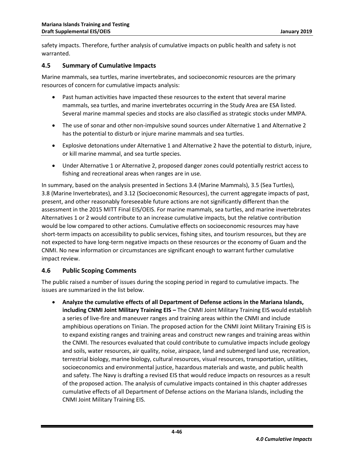safety impacts. Therefore, further analysis of cumulative impacts on public health and safety is not warranted.

### <span id="page-49-0"></span>**4.5 Summary of Cumulative Impacts**

Marine mammals, sea turtles, marine invertebrates, and socioeconomic resources are the primary resources of concern for cumulative impacts analysis:

- Past human activities have impacted these resources to the extent that several marine mammals, sea turtles, and marine invertebrates occurring in the Study Area are ESA listed. Several marine mammal species and stocks are also classified as strategic stocks under MMPA.
- The use of sonar and other non-impulsive sound sources under Alternative 1 and Alternative 2 has the potential to disturb or injure marine mammals and sea turtles.
- Explosive detonations under Alternative 1 and Alternative 2 have the potential to disturb, injure, or kill marine mammal, and sea turtle species.
- Under Alternative 1 or Alternative 2, proposed danger zones could potentially restrict access to fishing and recreational areas when ranges are in use.

In summary, based on the analysis presented in Sections 3.4 (Marine Mammals), 3.5 (Sea Turtles), 3.8 (Marine Invertebrates), and 3.12 (Socioeconomic Resources), the current aggregate impacts of past, present, and other reasonably foreseeable future actions are not significantly different than the assessment in the 2015 MITT Final EIS/OEIS. For marine mammals, sea turtles, and marine invertebrates Alternatives 1 or 2 would contribute to an increase cumulative impacts, but the relative contribution would be low compared to other actions. Cumulative effects on socioeconomic resources may have short-term impacts on accessibility to public services, fishing sites, and tourism resources, but they are not expected to have long-term negative impacts on these resources or the economy of Guam and the CNMI. No new information or circumstances are significant enough to warrant further cumulative impact review.

## <span id="page-49-1"></span>**4.6 Public Scoping Comments**

The public raised a number of issues during the scoping period in regard to cumulative impacts. The issues are summarized in the list below.

 **Analyze the cumulative effects of all Department of Defense actions in the Mariana Islands, including CNMI Joint Military Training EIS –** The CNMI Joint Military Training EIS would establish a series of live-fire and maneuver ranges and training areas within the CNMI and include amphibious operations on Tinian. The proposed action for the CNMI Joint Military Training EIS is to expand existing ranges and training areas and construct new ranges and training areas within the CNMI. The resources evaluated that could contribute to cumulative impacts include geology and soils, water resources, air quality, noise, airspace, land and submerged land use, recreation, terrestrial biology, marine biology, cultural resources, visual resources, transportation, utilities, socioeconomics and environmental justice, hazardous materials and waste, and public health and safety. The Navy is drafting a revised EIS that would reduce impacts on resources as a result of the proposed action. The analysis of cumulative impacts contained in this chapter addresses cumulative effects of all Department of Defense actions on the Mariana Islands, including the CNMI Joint Military Training EIS.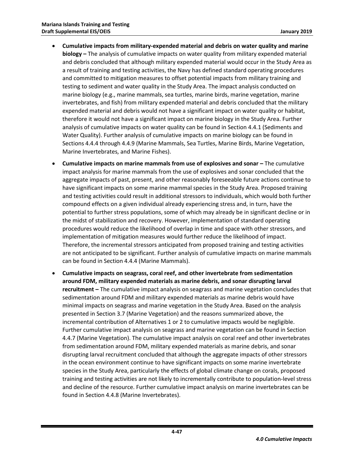- **Cumulative impacts from military-expended material and debris on water quality and marine biology –** The analysis of cumulative impacts on water quality from military expended material and debris concluded that although military expended material would occur in the Study Area as a result of training and testing activities, the Navy has defined standard operating procedures and committed to mitigation measures to offset potential impacts from military training and testing to sediment and water quality in the Study Area. The impact analysis conducted on marine biology (e.g., marine mammals, sea turtles, marine birds, marine vegetation, marine invertebrates, and fish) from military expended material and debris concluded that the military expended material and debris would not have a significant impact on water quality or habitat, therefore it would not have a significant impact on marine biology in the Study Area. Further analysis of cumulative impacts on water quality can be found in Section 4.4.1 (Sediments and Water Quality). Further analysis of cumulative impacts on marine biology can be found in Sections 4.4.4 through 4.4.9 (Marine Mammals, Sea Turtles, Marine Birds, Marine Vegetation, Marine Invertebrates, and Marine Fishes).
- **Cumulative impacts on marine mammals from use of explosives and sonar –** The cumulative impact analysis for marine mammals from the use of explosives and sonar concluded that the aggregate impacts of past, present, and other reasonably foreseeable future actions continue to have significant impacts on some marine mammal species in the Study Area. Proposed training and testing activities could result in additional stressors to individuals, which would both further compound effects on a given individual already experiencing stress and, in turn, have the potential to further stress populations, some of which may already be in significant decline or in the midst of stabilization and recovery. However, implementation of standard operating procedures would reduce the likelihood of overlap in time and space with other stressors, and implementation of mitigation measures would further reduce the likelihood of impact. Therefore, the incremental stressors anticipated from proposed training and testing activities are not anticipated to be significant. Further analysis of cumulative impacts on marine mammals can be found in Section 4.4.4 (Marine Mammals).
- **Cumulative impacts on seagrass, coral reef, and other invertebrate from sedimentation around FDM, military expended materials as marine debris, and sonar disrupting larval recruitment –** The cumulative impact analysis on seagrass and marine vegetation concludes that sedimentation around FDM and military expended materials as marine debris would have minimal impacts on seagrass and marine vegetation in the Study Area. Based on the analysis presented in Section 3.7 (Marine Vegetation) and the reasons summarized above, the incremental contribution of Alternatives 1 or 2 to cumulative impacts would be negligible. Further cumulative impact analysis on seagrass and marine vegetation can be found in Section 4.4.7 (Marine Vegetation). The cumulative impact analysis on coral reef and other invertebrates from sedimentation around FDM, military expended materials as marine debris, and sonar disrupting larval recruitment concluded that although the aggregate impacts of other stressors in the ocean environment continue to have significant impacts on some marine invertebrate species in the Study Area, particularly the effects of global climate change on corals, proposed training and testing activities are not likely to incrementally contribute to population-level stress and decline of the resource. Further cumulative impact analysis on marine invertebrates can be found in Section 4.4.8 (Marine Invertebrates).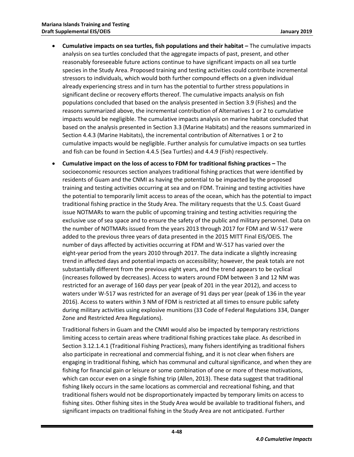- **Cumulative impacts on sea turtles, fish populations and their habitat –** The cumulative impacts analysis on sea turtles concluded that the aggregate impacts of past, present, and other reasonably foreseeable future actions continue to have significant impacts on all sea turtle species in the Study Area. Proposed training and testing activities could contribute incremental stressors to individuals, which would both further compound effects on a given individual already experiencing stress and in turn has the potential to further stress populations in significant decline or recovery efforts thereof. The cumulative impacts analysis on fish populations concluded that based on the analysis presented in Section 3.9 (Fishes) and the reasons summarized above, the incremental contribution of Alternatives 1 or 2 to cumulative impacts would be negligible. The cumulative impacts analysis on marine habitat concluded that based on the analysis presented in Section 3.3 (Marine Habitats) and the reasons summarized in Section 4.4.3 (Marine Habitats), the incremental contribution of Alternatives 1 or 2 to cumulative impacts would be negligible. Further analysis for cumulative impacts on sea turtles and fish can be found in Section 4.4.5 (Sea Turtles) and 4.4.9 (Fish) respectively.
- **Cumulative impact on the loss of access to FDM for traditional fishing practices –** The socioeconomic resources section analyzes traditional fishing practices that were identified by residents of Guam and the CNMI as having the potential to be impacted by the proposed training and testing activities occurring at sea and on FDM. Training and testing activities have the potential to temporarily limit access to areas of the ocean, which has the potential to impact traditional fishing practice in the Study Area. The military requests that the U.S. Coast Guard issue NOTMARs to warn the public of upcoming training and testing activities requiring the exclusive use of sea space and to ensure the safety of the public and military personnel. Data on the number of NOTMARs issued from the years 2013 through 2017 for FDM and W-517 were added to the previous three years of data presented in the 2015 MITT Final EIS/OEIS. The number of days affected by activities occurring at FDM and W-517 has varied over the eight-year period from the years 2010 through 2017. The data indicate a slightly increasing trend in affected days and potential impacts on accessibility; however, the peak totals are not substantially different from the previous eight years, and the trend appears to be cyclical (increases followed by decreases). Access to waters around FDM between 3 and 12 NM was restricted for an average of 160 days per year (peak of 201 in the year 2012), and access to waters under W-517 was restricted for an average of 91 days per year (peak of 136 in the year 2016). Access to waters within 3 NM of FDM is restricted at all times to ensure public safety during military activities using explosive munitions (33 Code of Federal Regulations 334, Danger Zone and Restricted Area Regulations).

Traditional fishers in Guam and the CNMI would also be impacted by temporary restrictions limiting access to certain areas where traditional fishing practices take place. As described in Section 3.12.1.4.1 (Traditional Fishing Practices), many fishers identifying as traditional fishers also participate in recreational and commercial fishing, and it is not clear when fishers are engaging in traditional fishing, which has communal and cultural significance, and when they are fishing for financial gain or leisure or some combination of one or more of these motivations, which can occur even on a single fishing trip [\(Allen, 2013\)](#page-54-14). These data suggest that traditional fishing likely occurs in the same locations as commercial and recreational fishing, and that traditional fishers would not be disproportionately impacted by temporary limits on access to fishing sites. Other fishing sites in the Study Area would be available to traditional fishers, and significant impacts on traditional fishing in the Study Area are not anticipated. Further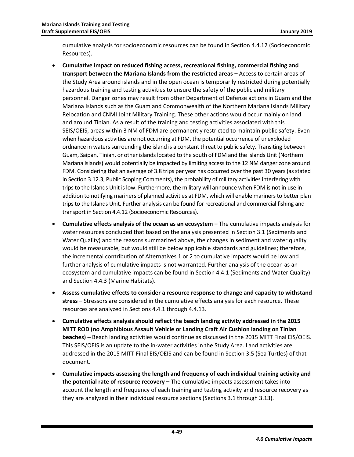cumulative analysis for socioeconomic resources can be found in Section 4.4.12 (Socioeconomic Resources).

- **Cumulative impact on reduced fishing access, recreational fishing, commercial fishing and transport between the Mariana Islands from the restricted areas –** Access to certain areas of the Study Area around islands and in the open ocean is temporarily restricted during potentially hazardous training and testing activities to ensure the safety of the public and military personnel. Danger zones may result from other Department of Defense actions in Guam and the Mariana Islands such as the Guam and Commonwealth of the Northern Mariana Islands Military Relocation and CNMI Joint Military Training. These other actions would occur mainly on land and around Tinian. As a result of the training and testing activities associated with this SEIS/OEIS, areas within 3 NM of FDM are permanently restricted to maintain public safety. Even when hazardous activities are not occurring at FDM, the potential occurrence of unexploded ordnance in waters surrounding the island is a constant threat to public safety. Transiting between Guam, Saipan, Tinian, or other islands located to the south of FDM and the Islands Unit (Northern Mariana Islands) would potentially be impacted by limiting access to the 12 NM danger zone around FDM. Considering that an average of 3.8 trips per year has occurred over the past 30 years(as stated in Section 3.12.3, Public Scoping Comments), the probability of military activities interfering with trips to the Islands Unit is low. Furthermore, the military will announce when FDM is not in use in addition to notifying mariners of planned activities at FDM, which will enable mariners to better plan trips to the Islands Unit. Further analysis can be found for recreational and commercial fishing and transport in Section 4.4.12 (Socioeconomic Resources).
- **Cumulative effects analysis of the ocean as an ecosystem –** The cumulative impacts analysis for water resources concluded that based on the analysis presented in Section 3.1 (Sediments and Water Quality) and the reasons summarized above, the changes in sediment and water quality would be measurable, but would still be below applicable standards and guidelines; therefore, the incremental contribution of Alternatives 1 or 2 to cumulative impacts would be low and further analysis of cumulative impacts is not warranted. Further analysis of the ocean as an ecosystem and cumulative impacts can be found in Section 4.4.1 (Sediments and Water Quality) and Section 4.4.3 (Marine Habitats).
- **Assess cumulative effects to consider a resource response to change and capacity to withstand stress –** Stressors are considered in the cumulative effects analysis for each resource. These resources are analyzed in Sections 4.4.1 through 4.4.13.
- **Cumulative effects analysis should reflect the beach landing activity addressed in the 2015 MITT ROD (no Amphibious Assault Vehicle or Landing Craft Air Cushion landing on Tinian beaches) –** Beach landing activities would continue as discussed in the 2015 MITT Final EIS/OEIS. This SEIS/OEIS is an update to the in-water activities in the Study Area. Land activities are addressed in the 2015 MITT Final EIS/OEIS and can be found in Section 3.5 (Sea Turtles) of that document.
- **Cumulative impacts assessing the length and frequency of each individual training activity and the potential rate of resource recovery –** The cumulative impacts assessment takes into account the length and frequency of each training and testing activity and resource recovery as they are analyzed in their individual resource sections (Sections 3.1 through 3.13).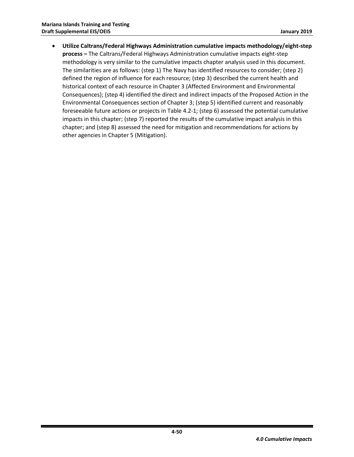**Utilize Caltrans/Federal Highways Administration cumulative impacts methodology/eight-step process –** The Caltrans/Federal Highways Administration cumulative impacts eight-step methodology is very similar to the cumulative impacts chapter analysis used in this document. The similarities are as follows: (step 1) The Navy has identified resources to consider; (step 2) defined the region of influence for each resource; (step 3) described the current health and historical context of each resource in Chapter 3 (Affected Environment and Environmental Consequences); (step 4) identified the direct and indirect impacts of the Proposed Action in the Environmental Consequences section of Chapter 3; (step 5) identified current and reasonably foreseeable future actions or projects i[n Table 4.2-1;](#page-6-0) (step 6) assessed the potential cumulative impacts in this chapter; (step 7) reported the results of the cumulative impact analysis in this chapter; and (step 8) assessed the need for mitigation and recommendations for actions by other agencies in Chapter 5 (Mitigation).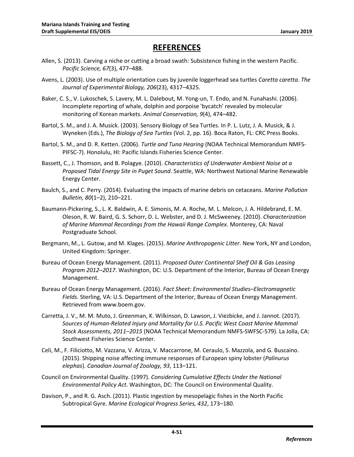# **REFERENCES**

- <span id="page-54-14"></span>Allen, S. (2013). Carving a niche or cutting a broad swath: Subsistence fishing in the western Pacific. *Pacific Science, 67*(3), 477–488.
- <span id="page-54-12"></span>Avens, L. (2003). Use of multiple orientation cues by juvenile loggerhead sea turtles *Caretta caretta*. *The Journal of Experimental Biology, 206*(23), 4317–4325.
- <span id="page-54-4"></span>Baker, C. S., V. Lukoschek, S. Lavery, M. L. Dalebout, M. Yong-un, T. Endo, and N. Funahashi. (2006). Incomplete reporting of whale, dolphin and porpoise 'bycatch' revealed by molecular monitoring of Korean markets. *Animal Conservation, 9*(4), 474–482.
- <span id="page-54-10"></span>Bartol, S. M., and J. A. Musick. (2003). Sensory Biology of Sea Turtles. In P. L. Lutz, J. A. Musick, & J. Wyneken (Eds.), *The Biology of Sea Turtles* (Vol. 2, pp. 16). Boca Raton, FL: CRC Press Books.
- <span id="page-54-11"></span>Bartol, S. M., and D. R. Ketten. (2006). *Turtle and Tuna Hearing* (NOAA Technical Memorandum NMFS-PIFSC-7). Honolulu, HI: Pacific Islands Fisheries Science Center.
- <span id="page-54-8"></span><span id="page-54-1"></span>Bassett, C., J. Thomson, and B. Polagye. (2010). *Characteristics of Underwater Ambient Noise at a Proposed Tidal Energy Site in Puget Sound*. Seattle, WA: Northwest National Marine Renewable Energy Center.
- <span id="page-54-5"></span><span id="page-54-2"></span>Baulch, S., and C. Perry. (2014). Evaluating the impacts of marine debris on cetaceans. *Marine Pollution Bulletin, 80*(1–2), 210–221.
- <span id="page-54-9"></span>Baumann-Pickering, S., L. K. Baldwin, A. E. Simonis, M. A. Roche, M. L. Melcon, J. A. Hildebrand, E. M. Oleson, R. W. Baird, G. S. Schorr, D. L. Webster, and D. J. McSweeney. (2010). *Characterization of Marine Mammal Recordings from the Hawaii Range Complex*. Monterey, CA: Naval Postgraduate School.
- <span id="page-54-6"></span>Bergmann, M., L. Gutow, and M. Klages. (2015). *Marine Anthropogenic Litter*. New York, NY and London, United Kingdom: Springer.
- Bureau of Ocean Energy Management. (2011). *Proposed Outer Continental Shelf Oil & Gas Leasing Program 2012–2017*. Washington, DC: U.S. Department of the Interior, Bureau of Ocean Energy Management.
- <span id="page-54-3"></span>Bureau of Ocean Energy Management. (2016). *Fact Sheet: Environmental Studies–Electromagnetic Fields*. Sterling, VA: U.S. Department of the Interior, Bureau of Ocean Energy Management. Retrieved from www.boem.gov.
- <span id="page-54-7"></span>Carretta, J. V., M. M. Muto, J. Greenman, K. Wilkinson, D. Lawson, J. Viezbicke, and J. Jannot. (2017). *Sources of Human-Related Injury and Mortality for U.S. Pacific West Coast Marine Mammal Stock Assessments, 2011–2015* (NOAA Technical Memorandum NMFS-SWFSC-579). La Jolla, CA: Southwest Fisheries Science Center.
- <span id="page-54-13"></span>Celi, M., F. Filiciotto, M. Vazzana, V. Arizza, V. Maccarrone, M. Ceraulo, S. Mazzola, and G. Buscaino. (2015). Shipping noise affecting immune responses of European spiny lobster (*Palinurus elephas*). *Canadian Journal of Zoology, 93*, 113–121.
- <span id="page-54-0"></span>Council on Environmental Quality. (1997). *Considering Cumulative Effects Under the National Environmental Policy Act*. Washington, DC: The Council on Environmental Quality.
- Davison, P., and R. G. Asch. (2011). Plastic ingestion by mesopelagic fishes in the North Pacific Subtropical Gyre. *Marine Ecological Progress Series, 432*, 173–180.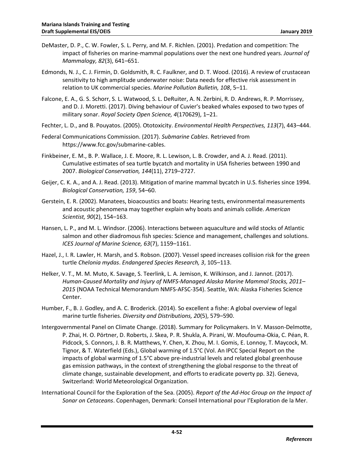- <span id="page-55-4"></span><span id="page-55-1"></span>DeMaster, D. P., C. W. Fowler, S. L. Perry, and M. F. Richlen. (2001). Predation and competition: The impact of fisheries on marine-mammal populations over the next one hundred years. *Journal of Mammalogy, 82*(3), 641–651.
- <span id="page-55-12"></span>Edmonds, N. J., C. J. Firmin, D. Goldsmith, R. C. Faulkner, and D. T. Wood. (2016). A review of crustacean sensitivity to high amplitude underwater noise: Data needs for effective risk assessment in relation to UK commercial species. *Marine Pollution Bulletin, 108*, 5–11.
- Falcone, E. A., G. S. Schorr, S. L. Watwood, S. L. DeRuiter, A. N. Zerbini, R. D. Andrews, R. P. Morrissey, and D. J. Moretti. (2017). Diving behaviour of Cuvier's beaked whales exposed to two types of military sonar. *Royal Society Open Science, 4*(170629), 1–21.
- <span id="page-55-8"></span><span id="page-55-0"></span>Fechter, L. D., and B. Pouyatos. (2005). Ototoxicity. *Environmental Health Perspectives, 113*(7), 443–444.
- Federal Communications Commission. (2017). *Submarine Cables*. Retrieved from https://www.fcc.gov/submarine-cables.
- <span id="page-55-9"></span>Finkbeiner, E. M., B. P. Wallace, J. E. Moore, R. L. Lewison, L. B. Crowder, and A. J. Read. (2011). Cumulative estimates of sea turtle bycatch and mortality in USA fisheries between 1990 and 2007. *Biological Conservation, 144*(11), 2719–2727.
- <span id="page-55-3"></span>Geijer, C. K. A., and A. J. Read. (2013). Mitigation of marine mammal bycatch in U.S. fisheries since 1994. *Biological Conservation, 159*, 54–60.
- <span id="page-55-5"></span>Gerstein, E. R. (2002). Manatees, bioacoustics and boats: Hearing tests, environmental measurements and acoustic phenomena may together explain why boats and animals collide. *American Scientist, 90*(2), 154–163.
- <span id="page-55-2"></span>Hansen, L. P., and M. L. Windsor. (2006). Interactions between aquaculture and wild stocks of Atlantic salmon and other diadromous fish species: Science and management, challenges and solutions. *ICES Journal of Marine Science, 63*(7), 1159–1161.
- <span id="page-55-11"></span>Hazel, J., I. R. Lawler, H. Marsh, and S. Robson. (2007). Vessel speed increases collision risk for the green turtle *Chelonia mydas*. *Endangered Species Research, 3*, 105–113.
- <span id="page-55-6"></span>Helker, V. T., M. M. Muto, K. Savage, S. Teerlink, L. A. Jemison, K. Wilkinson, and J. Jannot. (2017). *Human-Caused Mortality and Injury of NMFS-Managed Alaska Marine Mammal Stocks, 2011– 2015* (NOAA Technical Memorandum NMFS-AFSC-354). Seattle, WA: Alaska Fisheries Science Center.
- <span id="page-55-10"></span>Humber, F., B. J. Godley, and A. C. Broderick. (2014). So excellent a fishe: A global overview of legal marine turtle fisheries. *Diversity and Distributions, 20*(5), 579–590.
- Intergovernmental Panel on Climate Change. (2018). Summary for Policymakers. In V. Masson-Delmotte, P. Zhai, H. O. Pörtner, D. Roberts, J. Skea, P. R. Shukla, A. Pirani, W. Moufouma-Okia, C. Péan, R. Pidcock, S. Connors, J. B. R. Matthews, Y. Chen, X. Zhou, M. I. Gomis, E. Lonnoy, T. Maycock, M. Tignor, & T. Waterfield (Eds.), Global warming of 1.5°C (Vol. An IPCC Special Report on the impacts of global warming of 1.5°C above pre-industrial levels and related global greenhouse gas emission pathways, in the context of strengthening the global response to the threat of climate change, sustainable development, and efforts to eradicate poverty pp. 32). Geneva, Switzerland: World Meteorological Organization.
- <span id="page-55-7"></span>International Council for the Exploration of the Sea. (2005). *Report of the Ad-Hoc Group on the Impact of Sonar on Cetaceans*. Copenhagen, Denmark: Conseil International pour l'Exploration de la Mer.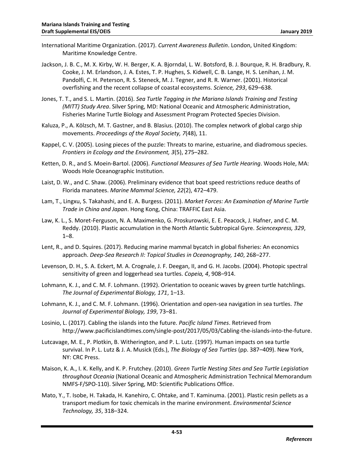- <span id="page-56-5"></span><span id="page-56-1"></span><span id="page-56-0"></span>International Maritime Organization. (2017). *Current Awareness Bulletin*. London, United Kingdom: Maritime Knowledge Centre.
- <span id="page-56-8"></span>Jackson, J. B. C., M. X. Kirby, W. H. Berger, K. A. Bjorndal, L. W. Botsford, B. J. Bourque, R. H. Bradbury, R. Cooke, J. M. Erlandson, J. A. Estes, T. P. Hughes, S. Kidwell, C. B. Lange, H. S. Lenihan, J. M. Pandolfi, C. H. Peterson, R. S. Steneck, M. J. Tegner, and R. R. Warner. (2001). Historical overfishing and the recent collapse of coastal ecosystems. *Science, 293*, 629–638.
- Jones, T. T., and S. L. Martin. (2016). *Sea Turtle Tagging in the Mariana Islands Training and Testing (MITT) Study Area*. Silver Spring, MD: National Oceanic and Atmospheric Administration, Fisheries Marine Turtle Biology and Assessment Program Protected Species Division.
- <span id="page-56-6"></span><span id="page-56-3"></span>Kaluza, P., A. Kölzsch, M. T. Gastner, and B. Blasius. (2010). The complex network of global cargo ship movements. *Proceedings of the Royal Society, 7*(48), 11.
- Kappel, C. V. (2005). Losing pieces of the puzzle: Threats to marine, estuarine, and diadromous species. *Frontiers in Ecology and the Environment, 3*(5), 275–282.
- <span id="page-56-13"></span>Ketten, D. R., and S. Moein-Bartol. (2006). *Functional Measures of Sea Turtle Hearing*. Woods Hole, MA: Woods Hole Oceanographic Institution.
- <span id="page-56-9"></span>Laist, D. W., and C. Shaw. (2006). Preliminary evidence that boat speed restrictions reduce deaths of Florida manatees. *Marine Mammal Science, 22*(2), 472–479.
- <span id="page-56-10"></span>Lam, T., Lingxu, S. Takahashi, and E. A. Burgess. (2011). *Market Forces: An Examination of Marine Turtle Trade in China and Japan*. Hong Kong, China: TRAFFIC East Asia.
- <span id="page-56-2"></span>Law, K. L., S. Moret-Ferguson, N. A. Maximenko, G. Proskurowski, E. E. Peacock, J. Hafner, and C. M. Reddy. (2010). Plastic accumulation in the North Atlantic Subtropical Gyre. *Sciencexpress, 329*, 1–8.
- <span id="page-56-7"></span>Lent, R., and D. Squires. (2017). Reducing marine mammal bycatch in global fisheries: An economics approach. *Deep-Sea Research II: Topical Studies in Oceanography, 140*, 268–277.
- <span id="page-56-14"></span>Levenson, D. H., S. A. Eckert, M. A. Crognale, J. F. Deegan, II, and G. H. Jacobs. (2004). Photopic spectral sensitivity of green and loggerhead sea turtles. *Copeia, 4*, 908–914.
- <span id="page-56-15"></span><span id="page-56-4"></span>Lohmann, K. J., and C. M. F. Lohmann. (1992). Orientation to oceanic waves by green turtle hatchlings. *The Journal of Experimental Biology, 171*, 1–13.
- <span id="page-56-16"></span>Lohmann, K. J., and C. M. F. Lohmann. (1996). Orientation and open-sea navigation in sea turtles. *The Journal of Experimental Biology, 199*, 73–81.
- Losinio, L. (2017). Cabling the islands into the future. *Pacific Island Times*. Retrieved from http://www.pacificislandtimes.com/single-post/2017/05/03/Cabling-the-islands-into-the-future.
- <span id="page-56-12"></span>Lutcavage, M. E., P. Plotkin, B. Witherington, and P. L. Lutz. (1997). Human impacts on sea turtle survival. In P. L. Lutz & J. A. Musick (Eds.), *The Biology of Sea Turtles* (pp. 387–409). New York, NY: CRC Press.
- <span id="page-56-11"></span>Maison, K. A., I. K. Kelly, and K. P. Frutchey. (2010). *Green Turtle Nesting Sites and Sea Turtle Legislation throughout Oceania* (National Oceanic and Atmospheric Administration Technical Memorandum NMFS-F/SPO-110). Silver Spring, MD: Scientific Publications Office.
- Mato, Y., T. Isobe, H. Takada, H. Kanehiro, C. Ohtake, and T. Kaminuma. (2001). Plastic resin pellets as a transport medium for toxic chemicals in the marine environment. *Environmental Science Technology, 35*, 318–324.

**4-53**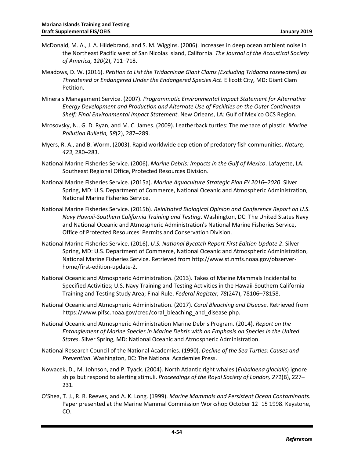- <span id="page-57-9"></span><span id="page-57-1"></span>McDonald, M. A., J. A. Hildebrand, and S. M. Wiggins. (2006). Increases in deep ocean ambient noise in the Northeast Pacific west of San Nicolas Island, California. *The Journal of the Acoustical Society of America, 120*(2), 711–718.
- <span id="page-57-12"></span><span id="page-57-0"></span>Meadows, D. W. (2016). *Petition to List the Tridacninae Giant Clams (Excluding Tridacna rosewateri) as Threatened or Endangered Under the Endangered Species Act*. Ellicott City, MD: Giant Clam Petition.
- <span id="page-57-14"></span>Minerals Management Service. (2007). *Programmatic Environmental Impact Statement for Alternative Energy Development and Production and Alternate Use of Facilities on the Outer Continental Shelf: Final Environmental Impact Statement*. New Orleans, LA: Gulf of Mexico OCS Region.
- <span id="page-57-11"></span>Mrosovsky, N., G. D. Ryan, and M. C. James. (2009). Leatherback turtles: The menace of plastic. *Marine Pollution Bulletin, 58*(2), 287–289.
- <span id="page-57-3"></span>Myers, R. A., and B. Worm. (2003). Rapid worldwide depletion of predatory fish communities. *Nature, 423*, 280–283.
- National Marine Fisheries Service. (2006). *Marine Debris: Impacts in the Gulf of Mexico*. Lafayette, LA: Southeast Regional Office, Protected Resources Division.
- National Marine Fisheries Service. (2015a). *Marine Aquaculture Strategic Plan FY 2016–2020*. Silver Spring, MD: U.S. Department of Commerce, National Oceanic and Atmospheric Administration, National Marine Fisheries Service.
- <span id="page-57-6"></span>National Marine Fisheries Service. (2015b). *Reinitiated Biological Opinion and Conference Report on U.S. Navy Hawaii-Southern California Training and Testing*. Washington, DC: The United States Navy and National Oceanic and Atmospheric Administration's National Marine Fisheries Service, Office of Protected Resources' Permits and Conservation Division.
- <span id="page-57-2"></span>National Marine Fisheries Service. (2016). *U.S. National Bycatch Report First Edition Update 2*. Silver Spring, MD: U.S. Department of Commerce, National Oceanic and Atmospheric Administration, National Marine Fisheries Service. Retrieved from http://www.st.nmfs.noaa.gov/observerhome/first-edition-update-2.
- <span id="page-57-7"></span>National Oceanic and Atmospheric Administration. (2013). Takes of Marine Mammals Incidental to Specified Activities; U.S. Navy Training and Testing Activities in the Hawaii-Southern California Training and Testing Study Area; Final Rule. *Federal Register, 78*(247), 78106–78158.
- <span id="page-57-13"></span>National Oceanic and Atmospheric Administration. (2017). *Coral Bleaching and Disease*. Retrieved from https://www.pifsc.noaa.gov/cred/coral\_bleaching\_and\_disease.php.
- <span id="page-57-8"></span>National Oceanic and Atmospheric Administration Marine Debris Program. (2014). *Report on the Entanglement of Marine Species in Marine Debris with an Emphasis on Species in the United States*. Silver Spring, MD: National Oceanic and Atmospheric Administration.
- <span id="page-57-10"></span>National Research Council of the National Academies. (1990). *Decline of the Sea Turtles: Causes and Prevention*. Washington, DC: The National Academies Press.
- <span id="page-57-4"></span>Nowacek, D., M. Johnson, and P. Tyack. (2004). North Atlantic right whales (*Eubalaena glacialis*) ignore ships but respond to alerting stimuli. *Proceedings of the Royal Society of London, 271*(B), 227– 231.
- <span id="page-57-5"></span>O'Shea, T. J., R. R. Reeves, and A. K. Long. (1999). *Marine Mammals and Persistent Ocean Contaminants.* Paper presented at the Marine Mammal Commission Workshop October 12–15 1998. Keystone, CO.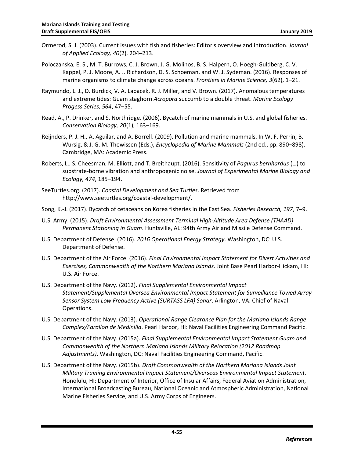- <span id="page-58-7"></span><span id="page-58-6"></span>Ormerod, S. J. (2003). Current issues with fish and fisheries: Editor's overview and introduction. *Journal of Applied Ecology, 40*(2), 204–213.
- Poloczanska, E. S., M. T. Burrows, C. J. Brown, J. G. Molinos, B. S. Halpern, O. Hoegh-Guldberg, C. V. Kappel, P. J. Moore, A. J. Richardson, D. S. Schoeman, and W. J. Sydeman. (2016). Responses of marine organisms to climate change across oceans. *Frontiers in Marine Science, 3*(62), 1–21.
- <span id="page-58-13"></span>Raymundo, L. J., D. Burdick, V. A. Lapacek, R. J. Miller, and V. Brown. (2017). Anomalous temperatures and extreme tides: Guam staghorn *Acropora* succumb to a double threat. *Marine Ecology Progess Series, 564*, 47–55.
- <span id="page-58-9"></span><span id="page-58-5"></span>Read, A., P. Drinker, and S. Northridge. (2006). Bycatch of marine mammals in U.S. and global fisheries. *Conservation Biology, 20*(1), 163–169.
- <span id="page-58-11"></span><span id="page-58-2"></span>Reijnders, P. J. H., A. Aguilar, and A. Borrell. (2009). Pollution and marine mammals. In W. F. Perrin, B. Wursig, & J. G. M. Thewissen (Eds.), *Encyclopedia of Marine Mammals* (2nd ed., pp. 890–898). Cambridge, MA: Academic Press.
- <span id="page-58-14"></span><span id="page-58-4"></span>Roberts, L., S. Cheesman, M. Elliott, and T. Breithaupt. (2016). Sensitivity of *Pagurus bernhardus* (L.) to substrate-borne vibration and anthropogenic noise. *Journal of Experimental Marine Biology and Ecology, 474*, 185–194.
- <span id="page-58-12"></span>SeeTurtles.org. (2017). *Coastal Development and Sea Turtles*. Retrieved from http://www.seeturtles.org/coastal-development/.
- <span id="page-58-10"></span>Song, K.-J. (2017). Bycatch of cetaceans on Korea fisheries in the East Sea. *Fisheries Research, 197*, 7–9.
- U.S. Army. (2015). *Draft Environmental Assessment Terminal High-Altitude Area Defense (THAAD) Permanent Stationing in Guam*. Huntsville, AL: 94th Army Air and Missile Defense Command.
- <span id="page-58-8"></span><span id="page-58-3"></span>U.S. Department of Defense. (2016). *2016 Operational Energy Strategy*. Washington, DC: U.S. Department of Defense.
- <span id="page-58-1"></span>U.S. Department of the Air Force. (2016). *Final Environmental Impact Statement for Divert Activities and Exercises, Commonwealth of the Northern Mariana Islands*. Joint Base Pearl Harbor-Hickam, HI: U.S. Air Force.
- U.S. Department of the Navy. (2012). *Final Supplemental Environmental Impact Statement/Supplemental Oversea Environmental Impact Statement for Surveillance Towed Array Sensor System Low Frequency Active (SURTASS LFA) Sonar*. Arlington, VA: Chief of Naval Operations.
- <span id="page-58-15"></span>U.S. Department of the Navy. (2013). *Operational Range Clearance Plan for the Mariana Islands Range Complex/Farallon de Medinilla*. Pearl Harbor, HI: Naval Facilities Engineering Command Pacific.
- <span id="page-58-0"></span>U.S. Department of the Navy. (2015a). *Final Supplemental Environmental Impact Statement Guam and Commonwealth of the Northern Mariana Islands Military Relocation (2012 Roadmap Adjustments)*. Washington, DC: Naval Facilities Engineering Command, Pacific.
- U.S. Department of the Navy. (2015b). *Draft Commonwealth of the Northern Mariana Islands Joint Military Training Environmental Impact Statement/Overseas Environmental Impact Statement*. Honolulu, HI: Department of Interior, Office of Insular Affairs, Federal Aviation Administration, International Broadcasting Bureau, National Oceanic and Atmospheric Administration, National Marine Fisheries Service, and U.S. Army Corps of Engineers.